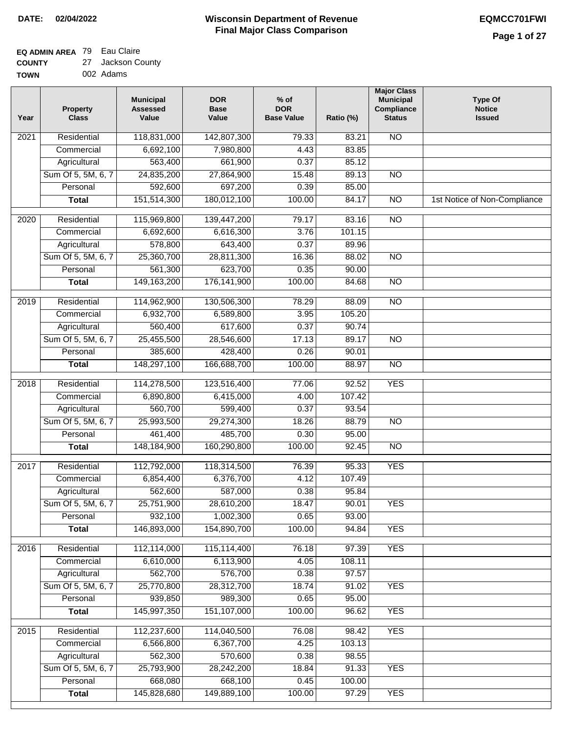#### **EQ ADMIN AREA** 79 Eau Claire  $\sim$

| <b>COUNTY</b> | 27 Jackson County |
|---------------|-------------------|
| <b>TOWN</b>   | 002 Adams         |

| Year              | <b>Property</b><br><b>Class</b> | <b>Municipal</b><br><b>Assessed</b><br>Value | <b>DOR</b><br><b>Base</b><br>Value | $%$ of<br><b>DOR</b><br><b>Base Value</b> | Ratio (%) | <b>Major Class</b><br><b>Municipal</b><br>Compliance<br><b>Status</b> | <b>Type Of</b><br><b>Notice</b><br><b>Issued</b> |
|-------------------|---------------------------------|----------------------------------------------|------------------------------------|-------------------------------------------|-----------|-----------------------------------------------------------------------|--------------------------------------------------|
| 2021              | Residential                     | 118,831,000                                  | 142,807,300                        | 79.33                                     | 83.21     | $\overline{NO}$                                                       |                                                  |
|                   | Commercial                      | 6,692,100                                    | 7,980,800                          | 4.43                                      | 83.85     |                                                                       |                                                  |
|                   | Agricultural                    | 563,400                                      | 661,900                            | 0.37                                      | 85.12     |                                                                       |                                                  |
|                   | Sum Of 5, 5M, 6, 7              | 24,835,200                                   | 27,864,900                         | 15.48                                     | 89.13     | $\overline{NO}$                                                       |                                                  |
|                   | Personal                        | 592,600                                      | 697,200                            | 0.39                                      | 85.00     |                                                                       |                                                  |
|                   | <b>Total</b>                    | 151,514,300                                  | 180,012,100                        | 100.00                                    | 84.17     | $\overline{NO}$                                                       | 1st Notice of Non-Compliance                     |
| $\overline{2020}$ | Residential                     | 115,969,800                                  | 139,447,200                        | 79.17                                     | 83.16     | $\overline{10}$                                                       |                                                  |
|                   | Commercial                      | 6,692,600                                    | 6,616,300                          | 3.76                                      | 101.15    |                                                                       |                                                  |
|                   | Agricultural                    | 578,800                                      | 643,400                            | 0.37                                      | 89.96     |                                                                       |                                                  |
|                   | Sum Of 5, 5M, 6, 7              | 25,360,700                                   | 28,811,300                         | 16.36                                     | 88.02     | $\overline{NO}$                                                       |                                                  |
|                   | Personal                        | 561,300                                      | 623,700                            | 0.35                                      | 90.00     |                                                                       |                                                  |
|                   | <b>Total</b>                    | 149, 163, 200                                | 176, 141, 900                      | 100.00                                    | 84.68     | N <sub>O</sub>                                                        |                                                  |
| 2019              | Residential                     | 114,962,900                                  | 130,506,300                        | 78.29                                     | 88.09     | $\overline{NO}$                                                       |                                                  |
|                   | Commercial                      | 6,932,700                                    | 6,589,800                          | 3.95                                      | 105.20    |                                                                       |                                                  |
|                   | Agricultural                    | 560,400                                      | 617,600                            | 0.37                                      | 90.74     |                                                                       |                                                  |
|                   | Sum Of 5, 5M, 6, 7              | 25,455,500                                   | 28,546,600                         | 17.13                                     | 89.17     | $\overline{NO}$                                                       |                                                  |
|                   | Personal                        | 385,600                                      | 428,400                            | 0.26                                      | 90.01     |                                                                       |                                                  |
|                   | <b>Total</b>                    | 148,297,100                                  | 166,688,700                        | 100.00                                    | 88.97     | $\overline{NO}$                                                       |                                                  |
| 2018              | Residential                     | 114,278,500                                  | 123,516,400                        | 77.06                                     | 92.52     | <b>YES</b>                                                            |                                                  |
|                   | Commercial                      | 6,890,800                                    | 6,415,000                          | 4.00                                      | 107.42    |                                                                       |                                                  |
|                   | Agricultural                    | 560,700                                      | 599,400                            | 0.37                                      | 93.54     |                                                                       |                                                  |
|                   | Sum Of 5, 5M, 6, 7              | 25,993,500                                   | 29,274,300                         | 18.26                                     | 88.79     | $\overline{10}$                                                       |                                                  |
|                   | Personal                        | 461,400                                      | 485,700                            | 0.30                                      | 95.00     |                                                                       |                                                  |
|                   | <b>Total</b>                    | 148,184,900                                  | 160,290,800                        | 100.00                                    | 92.45     | N <sub>O</sub>                                                        |                                                  |
| 2017              | Residential                     | 112,792,000                                  | 118,314,500                        | 76.39                                     | 95.33     | <b>YES</b>                                                            |                                                  |
|                   | Commercial                      | 6,854,400                                    | 6,376,700                          | 4.12                                      | 107.49    |                                                                       |                                                  |
|                   | Agricultural                    | 562,600                                      | 587,000                            | 0.38                                      | 95.84     |                                                                       |                                                  |
|                   | Sum Of 5, 5M, 6, 7              | 25,751,900                                   | 28,610,200                         | 18.47                                     | 90.01     | <b>YES</b>                                                            |                                                  |
|                   | Personal                        | 932,100                                      | 1,002,300                          | 0.65                                      | 93.00     |                                                                       |                                                  |
|                   | <b>Total</b>                    | 146,893,000                                  | 154,890,700                        | 100.00                                    | 94.84     | <b>YES</b>                                                            |                                                  |
| 2016              | Residential                     | 112,114,000                                  | 115,114,400                        | 76.18                                     | 97.39     | <b>YES</b>                                                            |                                                  |
|                   | Commercial                      | 6,610,000                                    | 6,113,900                          | 4.05                                      | 108.11    |                                                                       |                                                  |
|                   | Agricultural                    | 562,700                                      | 576,700                            | 0.38                                      | 97.57     |                                                                       |                                                  |
|                   | Sum Of 5, 5M, 6, 7              | 25,770,800                                   | 28,312,700                         | 18.74                                     | 91.02     | <b>YES</b>                                                            |                                                  |
|                   | Personal                        | 939,850                                      | 989,300                            | 0.65                                      | 95.00     |                                                                       |                                                  |
|                   | <b>Total</b>                    | 145,997,350                                  | 151,107,000                        | 100.00                                    | 96.62     | <b>YES</b>                                                            |                                                  |
| 2015              | Residential                     | 112,237,600                                  | 114,040,500                        | 76.08                                     | 98.42     | <b>YES</b>                                                            |                                                  |
|                   | Commercial                      | 6,566,800                                    | 6,367,700                          | 4.25                                      | 103.13    |                                                                       |                                                  |
|                   | Agricultural                    | 562,300                                      | 570,600                            | 0.38                                      | 98.55     |                                                                       |                                                  |
|                   | Sum Of 5, 5M, 6, 7              | 25,793,900                                   | 28,242,200                         | 18.84                                     | 91.33     | <b>YES</b>                                                            |                                                  |
|                   | Personal                        | 668,080                                      | 668,100                            | 0.45                                      | 100.00    |                                                                       |                                                  |
|                   | <b>Total</b>                    | 145,828,680                                  | 149,889,100                        | 100.00                                    | 97.29     | <b>YES</b>                                                            |                                                  |
|                   |                                 |                                              |                                    |                                           |           |                                                                       |                                                  |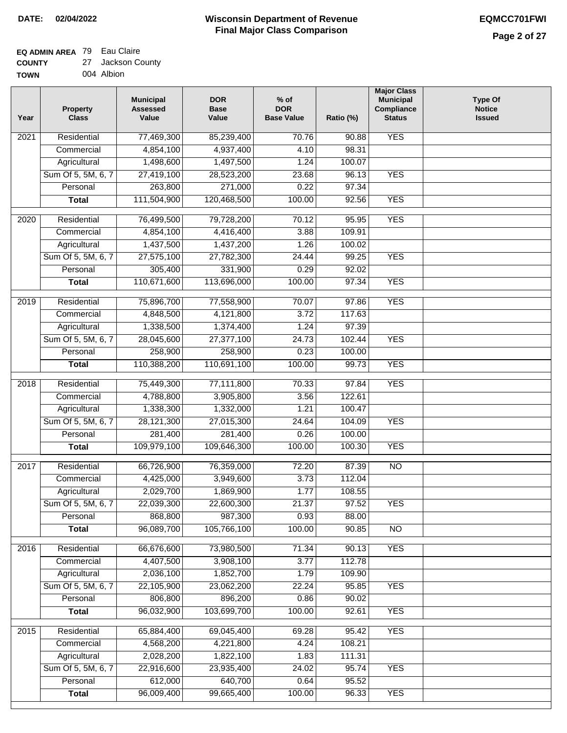### **EQ ADMIN AREA** 79 Eau Claire

| <b>COUNTY</b> | 27 Jackson County |
|---------------|-------------------|
| <b>TOWN</b>   | 004 Albion        |

| Year | <b>Property</b><br><b>Class</b> | <b>Municipal</b><br><b>Assessed</b><br>Value | <b>DOR</b><br><b>Base</b><br>Value | $%$ of<br><b>DOR</b><br><b>Base Value</b> | Ratio (%) | <b>Major Class</b><br><b>Municipal</b><br>Compliance<br><b>Status</b> | <b>Type Of</b><br><b>Notice</b><br><b>Issued</b> |
|------|---------------------------------|----------------------------------------------|------------------------------------|-------------------------------------------|-----------|-----------------------------------------------------------------------|--------------------------------------------------|
| 2021 | Residential                     | 77,469,300                                   | 85,239,400                         | 70.76                                     | 90.88     | <b>YES</b>                                                            |                                                  |
|      | Commercial                      | 4,854,100                                    | 4,937,400                          | 4.10                                      | 98.31     |                                                                       |                                                  |
|      | Agricultural                    | 1,498,600                                    | 1,497,500                          | 1.24                                      | 100.07    |                                                                       |                                                  |
|      | Sum Of 5, 5M, 6, 7              | 27,419,100                                   | 28,523,200                         | 23.68                                     | 96.13     | <b>YES</b>                                                            |                                                  |
|      | Personal                        | 263,800                                      | 271,000                            | 0.22                                      | 97.34     |                                                                       |                                                  |
|      | <b>Total</b>                    | 111,504,900                                  | 120,468,500                        | 100.00                                    | 92.56     | <b>YES</b>                                                            |                                                  |
| 2020 | Residential                     | 76,499,500                                   | 79,728,200                         | 70.12                                     | 95.95     | <b>YES</b>                                                            |                                                  |
|      | Commercial                      | 4,854,100                                    | 4,416,400                          | 3.88                                      | 109.91    |                                                                       |                                                  |
|      | Agricultural                    | 1,437,500                                    | 1,437,200                          | 1.26                                      | 100.02    |                                                                       |                                                  |
|      | Sum Of 5, 5M, 6, 7              | 27,575,100                                   | 27,782,300                         | 24.44                                     | 99.25     | <b>YES</b>                                                            |                                                  |
|      | Personal                        | 305,400                                      | 331,900                            | 0.29                                      | 92.02     |                                                                       |                                                  |
|      | <b>Total</b>                    | 110,671,600                                  | 113,696,000                        | 100.00                                    | 97.34     | <b>YES</b>                                                            |                                                  |
| 2019 | Residential                     | 75,896,700                                   | 77,558,900                         | 70.07                                     | 97.86     | <b>YES</b>                                                            |                                                  |
|      | Commercial                      | 4,848,500                                    | 4,121,800                          | 3.72                                      | 117.63    |                                                                       |                                                  |
|      | Agricultural                    | 1,338,500                                    | 1,374,400                          | 1.24                                      | 97.39     |                                                                       |                                                  |
|      | Sum Of 5, 5M, 6, 7              | 28,045,600                                   | 27,377,100                         | 24.73                                     | 102.44    | <b>YES</b>                                                            |                                                  |
|      | Personal                        | 258,900                                      | 258,900                            | 0.23                                      | 100.00    |                                                                       |                                                  |
|      | <b>Total</b>                    | 110,388,200                                  | 110,691,100                        | 100.00                                    | 99.73     | <b>YES</b>                                                            |                                                  |
|      |                                 |                                              |                                    |                                           |           |                                                                       |                                                  |
| 2018 | Residential                     | 75,449,300                                   | 77,111,800                         | 70.33                                     | 97.84     | <b>YES</b>                                                            |                                                  |
|      | Commercial                      | 4,788,800                                    | 3,905,800                          | 3.56                                      | 122.61    |                                                                       |                                                  |
|      | Agricultural                    | 1,338,300                                    | 1,332,000                          | 1.21                                      | 100.47    |                                                                       |                                                  |
|      | Sum Of 5, 5M, 6, 7              | 28,121,300                                   | 27,015,300                         | 24.64                                     | 104.09    | <b>YES</b>                                                            |                                                  |
|      | Personal                        | 281,400                                      | 281,400                            | 0.26                                      | 100.00    |                                                                       |                                                  |
|      | <b>Total</b>                    | 109,979,100                                  | 109,646,300                        | 100.00                                    | 100.30    | <b>YES</b>                                                            |                                                  |
| 2017 | Residential                     | 66,726,900                                   | 76,359,000                         | 72.20                                     | 87.39     | N <sub>O</sub>                                                        |                                                  |
|      | Commercial                      | 4,425,000                                    | 3,949,600                          | 3.73                                      | 112.04    |                                                                       |                                                  |
|      | Agricultural                    | 2,029,700                                    | 1,869,900                          | 1.77                                      | 108.55    |                                                                       |                                                  |
|      | Sum Of 5, 5M, 6, 7              | 22,039,300                                   | 22,600,300                         | 21.37                                     | 97.52     | <b>YES</b>                                                            |                                                  |
|      | Personal                        | 868,800                                      | 987,300                            | 0.93                                      | 88.00     |                                                                       |                                                  |
|      | <b>Total</b>                    | 96,089,700                                   | 105,766,100                        | 100.00                                    | 90.85     | <b>NO</b>                                                             |                                                  |
| 2016 | Residential                     | 66,676,600                                   | 73,980,500                         | 71.34                                     | 90.13     | <b>YES</b>                                                            |                                                  |
|      | Commercial                      | 4,407,500                                    | 3,908,100                          | 3.77                                      | 112.78    |                                                                       |                                                  |
|      | Agricultural                    | 2,036,100                                    | 1,852,700                          | 1.79                                      | 109.90    |                                                                       |                                                  |
|      | Sum Of 5, 5M, 6, 7              | 22,105,900                                   | 23,062,200                         | 22.24                                     | 95.85     | <b>YES</b>                                                            |                                                  |
|      | Personal                        | 806,800                                      | 896,200                            | 0.86                                      | 90.02     |                                                                       |                                                  |
|      | <b>Total</b>                    | 96,032,900                                   | 103,699,700                        | 100.00                                    | 92.61     | <b>YES</b>                                                            |                                                  |
| 2015 | Residential                     | 65,884,400                                   | 69,045,400                         | 69.28                                     | 95.42     | <b>YES</b>                                                            |                                                  |
|      | Commercial                      | 4,568,200                                    | 4,221,800                          | 4.24                                      | 108.21    |                                                                       |                                                  |
|      | Agricultural                    | 2,028,200                                    | 1,822,100                          | 1.83                                      | 111.31    |                                                                       |                                                  |
|      | Sum Of 5, 5M, 6, 7              | 22,916,600                                   | 23,935,400                         | 24.02                                     | 95.74     | <b>YES</b>                                                            |                                                  |
|      | Personal                        | 612,000                                      | 640,700                            | 0.64                                      | 95.52     |                                                                       |                                                  |
|      | <b>Total</b>                    | 96,009,400                                   | 99,665,400                         | 100.00                                    | 96.33     | <b>YES</b>                                                            |                                                  |
|      |                                 |                                              |                                    |                                           |           |                                                                       |                                                  |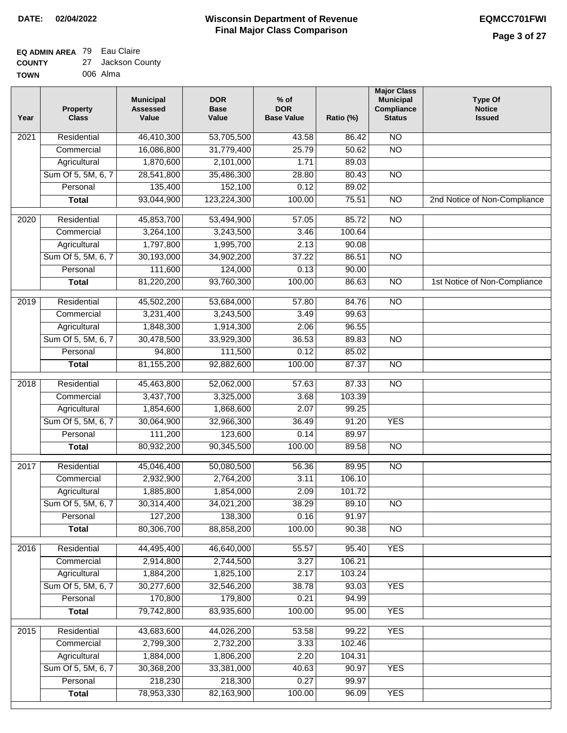### **EQ ADMIN AREA** 79 Eau Claire **COUNTY**

| <b>COUNTY</b> | 27 Jackson County |
|---------------|-------------------|
| <b>TOWN</b>   | 006 Alma          |

| Year              | <b>Property</b><br><b>Class</b> | <b>Municipal</b><br><b>Assessed</b><br>Value | <b>DOR</b><br><b>Base</b><br>Value | $%$ of<br><b>DOR</b><br><b>Base Value</b> | Ratio (%) | <b>Major Class</b><br><b>Municipal</b><br>Compliance<br><b>Status</b> | <b>Type Of</b><br><b>Notice</b><br><b>Issued</b> |
|-------------------|---------------------------------|----------------------------------------------|------------------------------------|-------------------------------------------|-----------|-----------------------------------------------------------------------|--------------------------------------------------|
| 2021              | Residential                     | 46,410,300                                   | 53,705,500                         | 43.58                                     | 86.42     | $\overline{NO}$                                                       |                                                  |
|                   | Commercial                      | 16,086,800                                   | 31,779,400                         | 25.79                                     | 50.62     | $\overline{NO}$                                                       |                                                  |
|                   | Agricultural                    | 1,870,600                                    | 2,101,000                          | 1.71                                      | 89.03     |                                                                       |                                                  |
|                   | Sum Of 5, 5M, 6, 7              | 28,541,800                                   | 35,486,300                         | 28.80                                     | 80.43     | $\overline{NO}$                                                       |                                                  |
|                   | Personal                        | 135,400                                      | 152,100                            | 0.12                                      | 89.02     |                                                                       |                                                  |
|                   | <b>Total</b>                    | 93,044,900                                   | 123,224,300                        | 100.00                                    | 75.51     | $\overline{NO}$                                                       | 2nd Notice of Non-Compliance                     |
| $\overline{2020}$ | Residential                     | 45,853,700                                   | 53,494,900                         | 57.05                                     | 85.72     | $\overline{NO}$                                                       |                                                  |
|                   | Commercial                      | 3,264,100                                    | 3,243,500                          | 3.46                                      | 100.64    |                                                                       |                                                  |
|                   | Agricultural                    | 1,797,800                                    | 1,995,700                          | 2.13                                      | 90.08     |                                                                       |                                                  |
|                   | Sum Of 5, 5M, 6, 7              | 30,193,000                                   | 34,902,200                         | 37.22                                     | 86.51     | $\overline{NO}$                                                       |                                                  |
|                   | Personal                        | 111,600                                      | 124,000                            | 0.13                                      | 90.00     |                                                                       |                                                  |
|                   | <b>Total</b>                    | 81,220,200                                   | 93,760,300                         | 100.00                                    | 86.63     | $\overline{NO}$                                                       | 1st Notice of Non-Compliance                     |
| $\frac{1}{2019}$  | Residential                     | 45,502,200                                   | 53,684,000                         | 57.80                                     | 84.76     | $\overline{NO}$                                                       |                                                  |
|                   | Commercial                      | 3,231,400                                    | 3,243,500                          | 3.49                                      | 99.63     |                                                                       |                                                  |
|                   | Agricultural                    | 1,848,300                                    | 1,914,300                          | 2.06                                      | 96.55     |                                                                       |                                                  |
|                   | Sum Of 5, 5M, 6, 7              | 30,478,500                                   | 33,929,300                         | 36.53                                     | 89.83     | $\overline{NO}$                                                       |                                                  |
|                   | Personal                        | 94,800                                       | 111,500                            | 0.12                                      | 85.02     |                                                                       |                                                  |
|                   | <b>Total</b>                    | 81,155,200                                   | 92,882,600                         | 100.00                                    | 87.37     | $\overline{NO}$                                                       |                                                  |
|                   |                                 |                                              |                                    |                                           |           |                                                                       |                                                  |
| 2018              | Residential                     | 45,463,800                                   | 52,062,000                         | 57.63                                     | 87.33     | $\overline{NO}$                                                       |                                                  |
|                   | Commercial                      | 3,437,700                                    | 3,325,000                          | 3.68                                      | 103.39    |                                                                       |                                                  |
|                   | Agricultural                    | 1,854,600                                    | 1,868,600                          | 2.07                                      | 99.25     |                                                                       |                                                  |
|                   | Sum Of 5, 5M, 6, 7              | 30,064,900                                   | 32,966,300                         | 36.49                                     | 91.20     | <b>YES</b>                                                            |                                                  |
|                   | Personal                        | 111,200                                      | 123,600                            | 0.14                                      | 89.97     |                                                                       |                                                  |
|                   | <b>Total</b>                    | 80,932,200                                   | 90,345,500                         | 100.00                                    | 89.58     | <b>NO</b>                                                             |                                                  |
| 2017              | Residential                     | 45,046,400                                   | 50,080,500                         | 56.36                                     | 89.95     | $\overline{NO}$                                                       |                                                  |
|                   | Commercial                      | 2,932,900                                    | 2,764,200                          | 3.11                                      | 106.10    |                                                                       |                                                  |
|                   | Agricultural                    | 1,885,800                                    | 1,854,000                          | 2.09                                      | 101.72    |                                                                       |                                                  |
|                   | Sum Of 5, 5M, 6, 7              | 30,314,400                                   | 34,021,200                         | 38.29                                     | 89.10     | NO.                                                                   |                                                  |
|                   | Personal                        | 127,200                                      | 138,300                            | 0.16                                      | 91.97     |                                                                       |                                                  |
|                   | <b>Total</b>                    | 80,306,700                                   | 88,858,200                         | 100.00                                    | 90.38     | $\overline{N}$                                                        |                                                  |
| 2016              | Residential                     | 44,495,400                                   | 46,640,000                         | 55.57                                     | 95.40     | <b>YES</b>                                                            |                                                  |
|                   | Commercial                      | 2,914,800                                    | 2,744,500                          | 3.27                                      | 106.21    |                                                                       |                                                  |
|                   | Agricultural                    | 1,884,200                                    | 1,825,100                          | 2.17                                      | 103.24    |                                                                       |                                                  |
|                   | Sum Of 5, 5M, 6, 7              | 30,277,600                                   | 32,546,200                         | 38.78                                     | 93.03     | <b>YES</b>                                                            |                                                  |
|                   | Personal                        | 170,800                                      | 179,800                            | 0.21                                      | 94.99     |                                                                       |                                                  |
|                   | <b>Total</b>                    | 79,742,800                                   | 83,935,600                         | 100.00                                    | 95.00     | <b>YES</b>                                                            |                                                  |
| 2015              | Residential                     | 43,683,600                                   | 44,026,200                         | 53.58                                     | 99.22     | <b>YES</b>                                                            |                                                  |
|                   | Commercial                      | 2,799,300                                    | 2,732,200                          | 3.33                                      | 102.46    |                                                                       |                                                  |
|                   | Agricultural                    | 1,884,000                                    | 1,806,200                          | 2.20                                      | 104.31    |                                                                       |                                                  |
|                   | Sum Of 5, 5M, 6, 7              | 30,368,200                                   | 33,381,000                         | 40.63                                     | 90.97     | <b>YES</b>                                                            |                                                  |
|                   | Personal                        | 218,230                                      | 218,300                            | 0.27                                      | 99.97     |                                                                       |                                                  |
|                   | <b>Total</b>                    | 78,953,330                                   | 82,163,900                         | 100.00                                    | 96.09     | <b>YES</b>                                                            |                                                  |
|                   |                                 |                                              |                                    |                                           |           |                                                                       |                                                  |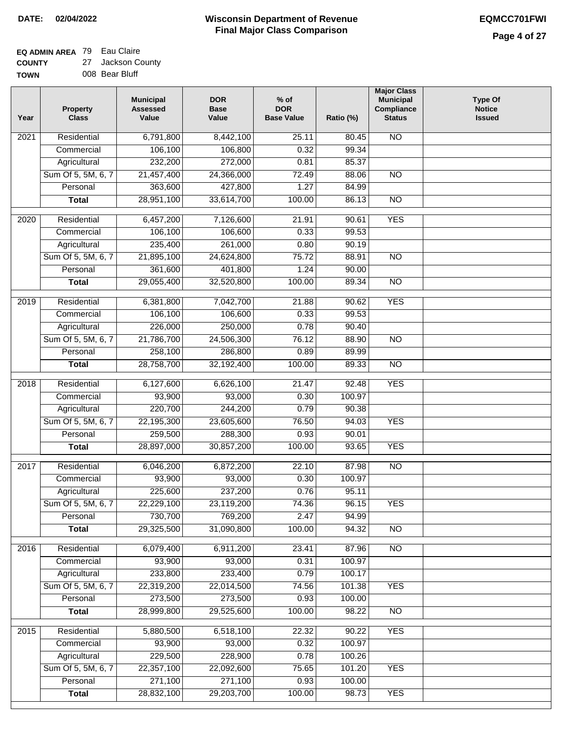### **Wisconsin Department of Revenue Final Major Class Comparison DATE: 02/04/2022 EQMCC701FWI**

#### **EQ ADMIN AREA** 79 Eau Claire **COUNTY** 27 Jackson County

**TOWN** 008 Bear Bluff

| Year             | <b>Property</b><br><b>Class</b>    | <b>Municipal</b><br><b>Assessed</b><br>Value | <b>DOR</b><br><b>Base</b><br>Value | $%$ of<br><b>DOR</b><br><b>Base Value</b> | Ratio (%)       | <b>Major Class</b><br><b>Municipal</b><br>Compliance<br><b>Status</b> | <b>Type Of</b><br><b>Notice</b><br><b>Issued</b> |
|------------------|------------------------------------|----------------------------------------------|------------------------------------|-------------------------------------------|-----------------|-----------------------------------------------------------------------|--------------------------------------------------|
| 2021             | Residential                        | 6,791,800                                    | 8,442,100                          | 25.11                                     | 80.45           | $\overline{NO}$                                                       |                                                  |
|                  | Commercial                         | 106,100                                      | 106,800                            | 0.32                                      | 99.34           |                                                                       |                                                  |
|                  | Agricultural                       | 232,200                                      | 272,000                            | 0.81                                      | 85.37           |                                                                       |                                                  |
|                  | Sum Of 5, 5M, 6, 7                 | 21,457,400                                   | 24,366,000                         | 72.49                                     | 88.06           | $\overline{NO}$                                                       |                                                  |
|                  | Personal                           | 363,600                                      | 427,800                            | 1.27                                      | 84.99           |                                                                       |                                                  |
|                  | <b>Total</b>                       | 28,951,100                                   | 33,614,700                         | 100.00                                    | 86.13           | $\overline{NO}$                                                       |                                                  |
| $\frac{1}{2020}$ | Residential                        | 6,457,200                                    | 7,126,600                          | 21.91                                     | 90.61           | <b>YES</b>                                                            |                                                  |
|                  | Commercial                         | 106,100                                      | 106,600                            | 0.33                                      | 99.53           |                                                                       |                                                  |
|                  | Agricultural                       | 235,400                                      | 261,000                            | 0.80                                      | 90.19           |                                                                       |                                                  |
|                  | Sum Of 5, 5M, 6, 7                 | 21,895,100                                   | 24,624,800                         | 75.72                                     | 88.91           | <b>NO</b>                                                             |                                                  |
|                  | Personal                           | 361,600                                      | 401,800                            | 1.24                                      | 90.00           |                                                                       |                                                  |
|                  | <b>Total</b>                       | 29,055,400                                   | 32,520,800                         | 100.00                                    | 89.34           | <b>NO</b>                                                             |                                                  |
|                  |                                    |                                              |                                    |                                           |                 |                                                                       |                                                  |
| $\frac{1}{2019}$ | Residential                        | 6,381,800                                    | 7,042,700                          | 21.88                                     | 90.62           | <b>YES</b>                                                            |                                                  |
|                  | Commercial                         | 106,100                                      | 106,600                            | 0.33                                      | 99.53           |                                                                       |                                                  |
|                  | Agricultural                       | 226,000                                      | 250,000                            | 0.78                                      | 90.40           |                                                                       |                                                  |
|                  | Sum Of 5, 5M, 6, 7                 | 21,786,700                                   | 24,506,300                         | 76.12                                     | 88.90           | $\overline{NO}$                                                       |                                                  |
|                  | Personal                           | 258,100                                      | 286,800                            | 0.89                                      | 89.99           |                                                                       |                                                  |
|                  | <b>Total</b>                       | 28,758,700                                   | 32,192,400                         | 100.00                                    | 89.33           | $\overline{NO}$                                                       |                                                  |
| 2018             | Residential                        | 6,127,600                                    | 6,626,100                          | 21.47                                     | 92.48           | <b>YES</b>                                                            |                                                  |
|                  | Commercial                         | 93,900                                       | 93,000                             | 0.30                                      | 100.97          |                                                                       |                                                  |
|                  | Agricultural                       | 220,700                                      | 244,200                            | 0.79                                      | 90.38           |                                                                       |                                                  |
|                  | Sum Of 5, 5M, 6, 7                 | 22,195,300                                   | 23,605,600                         | 76.50                                     | 94.03           | <b>YES</b>                                                            |                                                  |
|                  | Personal                           | 259,500                                      | 288,300                            | 0.93                                      | 90.01           |                                                                       |                                                  |
|                  | <b>Total</b>                       | 28,897,000                                   | 30,857,200                         | 100.00                                    | 93.65           | <b>YES</b>                                                            |                                                  |
| 2017             | Residential                        | 6,046,200                                    | 6,872,200                          | 22.10                                     | 87.98           | $\overline{NO}$                                                       |                                                  |
|                  | Commercial                         | 93,900                                       | 93,000                             | 0.30                                      | 100.97          |                                                                       |                                                  |
|                  | Agricultural                       | 225,600                                      | 237,200                            | 0.76                                      | 95.11           |                                                                       |                                                  |
|                  | Sum Of 5, 5M, 6, 7                 | 22,229,100                                   | 23,119,200                         | 74.36                                     | 96.15           | <b>YES</b>                                                            |                                                  |
|                  | Personal                           | 730,700                                      | 769,200                            | 2.47                                      | 94.99           |                                                                       |                                                  |
|                  | <b>Total</b>                       | 29,325,500                                   | 31,090,800                         | 100.00                                    | 94.32           | NO                                                                    |                                                  |
|                  |                                    |                                              |                                    |                                           |                 |                                                                       |                                                  |
| 2016             | Residential                        | 6,079,400                                    | 6,911,200                          | 23.41                                     | 87.96<br>100.97 | N <sub>O</sub>                                                        |                                                  |
|                  | Commercial                         | 93,900                                       | 93,000                             | 0.31                                      |                 |                                                                       |                                                  |
|                  | Agricultural<br>Sum Of 5, 5M, 6, 7 | 233,800<br>22,319,200                        | 233,400                            | 0.79                                      | 100.17          |                                                                       |                                                  |
|                  |                                    |                                              | 22,014,500                         | 74.56                                     | 101.38          | <b>YES</b>                                                            |                                                  |
|                  | Personal                           | 273,500                                      | 273,500                            | 0.93                                      | 100.00          |                                                                       |                                                  |
|                  | <b>Total</b>                       | 28,999,800                                   | 29,525,600                         | 100.00                                    | 98.22           | $\overline{NO}$                                                       |                                                  |
| 2015             | Residential                        | 5,880,500                                    | 6,518,100                          | 22.32                                     | 90.22           | <b>YES</b>                                                            |                                                  |
|                  | Commercial                         | 93,900                                       | 93,000                             | 0.32                                      | 100.97          |                                                                       |                                                  |
|                  | Agricultural                       | 229,500                                      | 228,900                            | 0.78                                      | 100.26          |                                                                       |                                                  |
|                  | Sum Of 5, 5M, 6, 7                 | 22,357,100                                   | 22,092,600                         | 75.65                                     | 101.20          | <b>YES</b>                                                            |                                                  |
|                  | Personal                           | 271,100                                      | 271,100                            | 0.93                                      | 100.00          |                                                                       |                                                  |
|                  | <b>Total</b>                       | 28,832,100                                   | 29,203,700                         | 100.00                                    | 98.73           | <b>YES</b>                                                            |                                                  |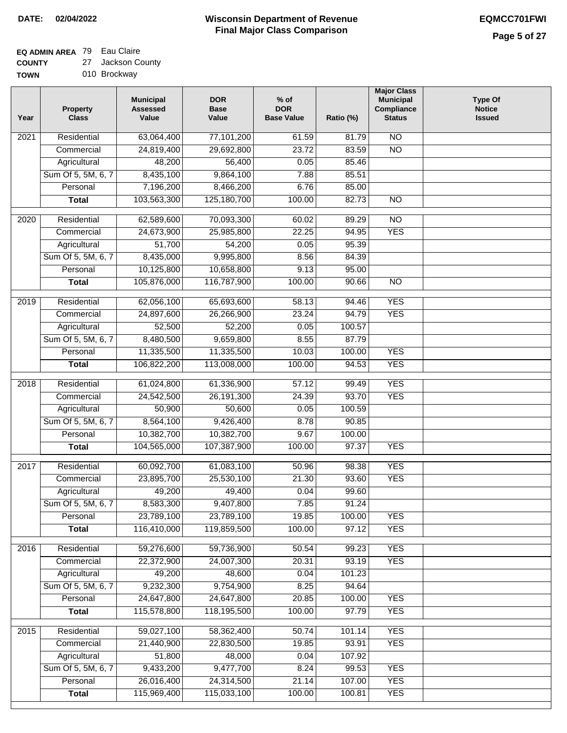# **EQ ADMIN AREA** 79 Eau Claire

**COUNTY TOWN** 27 Jackson County

|  | 010 Brockway |
|--|--------------|
|  |              |

| Year              | <b>Property</b><br><b>Class</b> | <b>Municipal</b><br><b>Assessed</b><br>Value | <b>DOR</b><br><b>Base</b><br>Value | % of<br><b>DOR</b><br><b>Base Value</b> | Ratio (%) | <b>Major Class</b><br><b>Municipal</b><br>Compliance<br><b>Status</b> | <b>Type Of</b><br><b>Notice</b><br><b>Issued</b> |
|-------------------|---------------------------------|----------------------------------------------|------------------------------------|-----------------------------------------|-----------|-----------------------------------------------------------------------|--------------------------------------------------|
| $\overline{202}1$ | Residential                     | 63,064,400                                   | 77,101,200                         | 61.59                                   | 81.79     | N <sub>O</sub>                                                        |                                                  |
|                   | Commercial                      | 24,819,400                                   | 29,692,800                         | 23.72                                   | 83.59     | $\overline{NO}$                                                       |                                                  |
|                   | Agricultural                    | 48,200                                       | 56,400                             | 0.05                                    | 85.46     |                                                                       |                                                  |
|                   | Sum Of 5, 5M, 6, 7              | 8,435,100                                    | 9,864,100                          | 7.88                                    | 85.51     |                                                                       |                                                  |
|                   | Personal                        | 7,196,200                                    | 8,466,200                          | 6.76                                    | 85.00     |                                                                       |                                                  |
|                   | <b>Total</b>                    | 103,563,300                                  | 125,180,700                        | 100.00                                  | 82.73     | $\overline{NO}$                                                       |                                                  |
| $\overline{2020}$ | Residential                     | 62,589,600                                   | 70,093,300                         | 60.02                                   | 89.29     | $\overline{NO}$                                                       |                                                  |
|                   | Commercial                      | 24,673,900                                   | 25,985,800                         | 22.25                                   | 94.95     | <b>YES</b>                                                            |                                                  |
|                   | Agricultural                    | 51,700                                       | 54,200                             | 0.05                                    | 95.39     |                                                                       |                                                  |
|                   | Sum Of 5, 5M, 6, 7              | 8,435,000                                    | 9,995,800                          | 8.56                                    | 84.39     |                                                                       |                                                  |
|                   | Personal                        | 10,125,800                                   | 10,658,800                         | 9.13                                    | 95.00     |                                                                       |                                                  |
|                   | <b>Total</b>                    | 105,876,000                                  | 116,787,900                        | 100.00                                  | 90.66     | $\overline{NO}$                                                       |                                                  |
| $\frac{2019}{ }$  | Residential                     | 62,056,100                                   | 65,693,600                         | 58.13                                   | 94.46     | <b>YES</b>                                                            |                                                  |
|                   | Commercial                      | 24,897,600                                   | 26,266,900                         | 23.24                                   | 94.79     | <b>YES</b>                                                            |                                                  |
|                   | Agricultural                    | 52,500                                       | 52,200                             | 0.05                                    | 100.57    |                                                                       |                                                  |
|                   | Sum Of 5, 5M, 6, 7              | 8,480,500                                    | 9,659,800                          | 8.55                                    | 87.79     |                                                                       |                                                  |
|                   | Personal                        | 11,335,500                                   | 11,335,500                         | 10.03                                   | 100.00    | <b>YES</b>                                                            |                                                  |
|                   | <b>Total</b>                    | 106,822,200                                  | 113,008,000                        | 100.00                                  | 94.53     | <b>YES</b>                                                            |                                                  |
|                   |                                 |                                              |                                    |                                         |           |                                                                       |                                                  |
| 2018              | Residential                     | 61,024,800                                   | 61,336,900                         | 57.12                                   | 99.49     | <b>YES</b>                                                            |                                                  |
|                   | Commercial                      | 24,542,500                                   | 26,191,300                         | 24.39                                   | 93.70     | <b>YES</b>                                                            |                                                  |
|                   | Agricultural                    | 50,900                                       | 50,600                             | 0.05                                    | 100.59    |                                                                       |                                                  |
|                   | Sum Of 5, 5M, 6, 7              | 8,564,100                                    | 9,426,400                          | 8.78                                    | 90.85     |                                                                       |                                                  |
|                   | Personal                        | 10,382,700                                   | 10,382,700                         | 9.67                                    | 100.00    |                                                                       |                                                  |
|                   | <b>Total</b>                    | 104,565,000                                  | 107,387,900                        | 100.00                                  | 97.37     | <b>YES</b>                                                            |                                                  |
| $\overline{2017}$ | Residential                     | 60,092,700                                   | 61,083,100                         | 50.96                                   | 98.38     | <b>YES</b>                                                            |                                                  |
|                   | Commercial                      | 23,895,700                                   | 25,530,100                         | 21.30                                   | 93.60     | <b>YES</b>                                                            |                                                  |
|                   | Agricultural                    | 49,200                                       | 49,400                             | 0.04                                    | 99.60     |                                                                       |                                                  |
|                   | Sum Of 5, 5M, 6, 7              | 8,583,300                                    | 9,407,800                          | 7.85                                    | 91.24     |                                                                       |                                                  |
|                   | Personal                        | 23,789,100                                   | 23,789,100                         | 19.85                                   | 100.00    | <b>YES</b>                                                            |                                                  |
|                   | <b>Total</b>                    | 116,410,000                                  | 119,859,500                        | 100.00                                  | 97.12     | <b>YES</b>                                                            |                                                  |
| 2016              | Residential                     | 59,276,600                                   | 59,736,900                         | 50.54                                   | 99.23     | <b>YES</b>                                                            |                                                  |
|                   | Commercial                      | 22,372,900                                   | 24,007,300                         | 20.31                                   | 93.19     | <b>YES</b>                                                            |                                                  |
|                   | Agricultural                    | 49,200                                       | 48,600                             | 0.04                                    | 101.23    |                                                                       |                                                  |
|                   | Sum Of 5, 5M, 6, 7              | 9,232,300                                    | 9,754,900                          | 8.25                                    | 94.64     |                                                                       |                                                  |
|                   | Personal                        | 24,647,800                                   | 24,647,800                         | 20.85                                   | 100.00    | <b>YES</b>                                                            |                                                  |
|                   | <b>Total</b>                    | 115,578,800                                  | 118,195,500                        | 100.00                                  | 97.79     | <b>YES</b>                                                            |                                                  |
| 2015              | Residential                     | 59,027,100                                   | 58,362,400                         | 50.74                                   | 101.14    | <b>YES</b>                                                            |                                                  |
|                   | Commercial                      | 21,440,900                                   | 22,830,500                         | 19.85                                   | 93.91     | <b>YES</b>                                                            |                                                  |
|                   | Agricultural                    | 51,800                                       | 48,000                             | 0.04                                    | 107.92    |                                                                       |                                                  |
|                   | Sum Of 5, 5M, 6, 7              | 9,433,200                                    | 9,477,700                          | 8.24                                    | 99.53     | <b>YES</b>                                                            |                                                  |
|                   | Personal                        | 26,016,400                                   | 24,314,500                         | 21.14                                   | 107.00    | <b>YES</b>                                                            |                                                  |
|                   | <b>Total</b>                    | 115,969,400                                  | 115,033,100                        | 100.00                                  | 100.81    | <b>YES</b>                                                            |                                                  |
|                   |                                 |                                              |                                    |                                         |           |                                                                       |                                                  |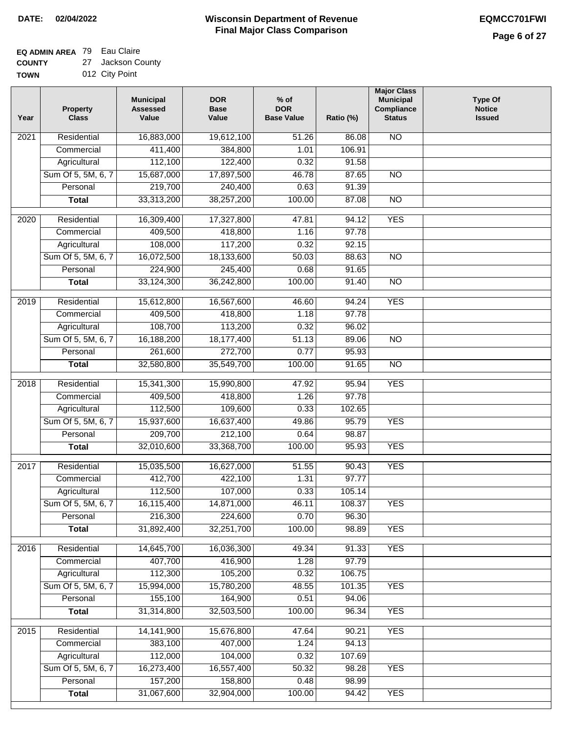٦

### **EQ ADMIN AREA** 79 Eau Claire

**COUNTY** 27 Jackson County

| COUNTY      | 27 Jackson Count |
|-------------|------------------|
| <b>TOWN</b> | 012 City Point   |

| Year             | <b>Property</b><br><b>Class</b> | <b>Municipal</b><br><b>Assessed</b><br>Value | <b>DOR</b><br><b>Base</b><br>Value | $%$ of<br><b>DOR</b><br><b>Base Value</b> | Ratio (%)      | <b>Major Class</b><br><b>Municipal</b><br>Compliance<br><b>Status</b> | <b>Type Of</b><br><b>Notice</b><br><b>Issued</b> |
|------------------|---------------------------------|----------------------------------------------|------------------------------------|-------------------------------------------|----------------|-----------------------------------------------------------------------|--------------------------------------------------|
| 2021             | Residential                     | 16,883,000                                   | 19,612,100                         | 51.26                                     | 86.08          | $\overline{NO}$                                                       |                                                  |
|                  | Commercial                      | 411,400                                      | 384,800                            | 1.01                                      | 106.91         |                                                                       |                                                  |
|                  | Agricultural                    | 112,100                                      | 122,400                            | 0.32                                      | 91.58          |                                                                       |                                                  |
|                  | Sum Of 5, 5M, 6, 7              | 15,687,000                                   | 17,897,500                         | 46.78                                     | 87.65          | $\overline{NO}$                                                       |                                                  |
|                  | Personal                        | 219,700                                      | 240,400                            | 0.63                                      | 91.39          |                                                                       |                                                  |
|                  | <b>Total</b>                    | 33,313,200                                   | 38,257,200                         | 100.00                                    | 87.08          | <b>NO</b>                                                             |                                                  |
| 2020             | Residential                     | 16,309,400                                   | 17,327,800                         | 47.81                                     | 94.12          | <b>YES</b>                                                            |                                                  |
|                  | Commercial                      | 409,500                                      | 418,800                            | 1.16                                      | 97.78          |                                                                       |                                                  |
|                  | Agricultural                    | 108,000                                      | 117,200                            | 0.32                                      | 92.15          |                                                                       |                                                  |
|                  | Sum Of 5, 5M, 6, 7              | 16,072,500                                   | 18,133,600                         | 50.03                                     | 88.63          | $\overline{NO}$                                                       |                                                  |
|                  | Personal                        | 224,900                                      | 245,400                            | 0.68                                      | 91.65          |                                                                       |                                                  |
|                  | <b>Total</b>                    | 33,124,300                                   | 36,242,800                         | 100.00                                    | 91.40          | $\overline{NO}$                                                       |                                                  |
| $\frac{1}{2019}$ | Residential                     | 15,612,800                                   | 16,567,600                         | 46.60                                     | 94.24          | <b>YES</b>                                                            |                                                  |
|                  | Commercial                      | 409,500                                      | 418,800                            | 1.18                                      | 97.78          |                                                                       |                                                  |
|                  | Agricultural                    | 108,700                                      | 113,200                            | 0.32                                      | 96.02          |                                                                       |                                                  |
|                  | Sum Of 5, 5M, 6, 7              | 16,188,200                                   | 18,177,400                         | 51.13                                     | 89.06          | $\overline{NO}$                                                       |                                                  |
|                  | Personal                        | 261,600                                      | 272,700                            | 0.77                                      | 95.93          |                                                                       |                                                  |
|                  | <b>Total</b>                    | 32,580,800                                   | 35,549,700                         | 100.00                                    | 91.65          | $\overline{NO}$                                                       |                                                  |
|                  |                                 |                                              |                                    |                                           |                |                                                                       |                                                  |
| 2018             | Residential                     | 15,341,300                                   | 15,990,800                         | 47.92                                     | 95.94          | <b>YES</b>                                                            |                                                  |
|                  | Commercial                      | 409,500                                      | 418,800                            | 1.26                                      | 97.78          |                                                                       |                                                  |
|                  | Agricultural                    | 112,500                                      | 109,600                            | 0.33                                      | 102.65         |                                                                       |                                                  |
|                  | Sum Of 5, 5M, 6, 7              | 15,937,600                                   | 16,637,400                         | 49.86                                     | 95.79          | <b>YES</b>                                                            |                                                  |
|                  | Personal                        | 209,700                                      | 212,100                            | 0.64                                      | 98.87          |                                                                       |                                                  |
|                  | <b>Total</b>                    | 32,010,600                                   | 33,368,700                         | 100.00                                    | 95.93          | <b>YES</b>                                                            |                                                  |
| 2017             | Residential                     | 15,035,500                                   | 16,627,000                         | 51.55                                     | 90.43          | <b>YES</b>                                                            |                                                  |
|                  | Commercial                      | 412,700                                      | 422,100                            | 1.31                                      | 97.77          |                                                                       |                                                  |
|                  | Agricultural                    | 112,500                                      | 107,000                            | 0.33                                      | 105.14         |                                                                       |                                                  |
|                  | Sum Of 5, 5M, 6, 7              | 16,115,400                                   | 14,871,000                         | 46.11                                     | 108.37         | YES                                                                   |                                                  |
|                  | Personal                        | 216,300                                      | 224,600                            | 0.70                                      | 96.30          |                                                                       |                                                  |
|                  | <b>Total</b>                    | 31,892,400                                   | 32,251,700                         | 100.00                                    | 98.89          | <b>YES</b>                                                            |                                                  |
|                  |                                 |                                              |                                    |                                           |                |                                                                       |                                                  |
| 2016             | Residential                     | 14,645,700<br>407,700                        | 16,036,300                         | 49.34                                     | 91.33<br>97.79 | <b>YES</b>                                                            |                                                  |
|                  | Commercial                      |                                              | 416,900                            | 1.28                                      |                |                                                                       |                                                  |
|                  | Agricultural                    | 112,300                                      | 105,200                            | 0.32                                      | 106.75         |                                                                       |                                                  |
|                  | Sum Of 5, 5M, 6, 7<br>Personal  | 15,994,000<br>155,100                        | 15,780,200<br>164,900              | 48.55                                     | 101.35         | <b>YES</b>                                                            |                                                  |
|                  |                                 |                                              | 32,503,500                         | 0.51                                      | 94.06          | <b>YES</b>                                                            |                                                  |
|                  | <b>Total</b>                    | 31,314,800                                   |                                    | 100.00                                    | 96.34          |                                                                       |                                                  |
| 2015             | Residential                     | 14,141,900                                   | 15,676,800                         | 47.64                                     | 90.21          | <b>YES</b>                                                            |                                                  |
|                  | Commercial                      | 383,100                                      | 407,000                            | 1.24                                      | 94.13          |                                                                       |                                                  |
|                  | Agricultural                    | 112,000                                      | 104,000                            | 0.32                                      | 107.69         |                                                                       |                                                  |
|                  | Sum Of 5, 5M, 6, 7              | 16,273,400                                   | 16,557,400                         | 50.32                                     | 98.28          | <b>YES</b>                                                            |                                                  |
|                  | Personal                        | 157,200                                      | 158,800                            | 0.48                                      | 98.99          |                                                                       |                                                  |
|                  | <b>Total</b>                    | 31,067,600                                   | 32,904,000                         | 100.00                                    | 94.42          | <b>YES</b>                                                            |                                                  |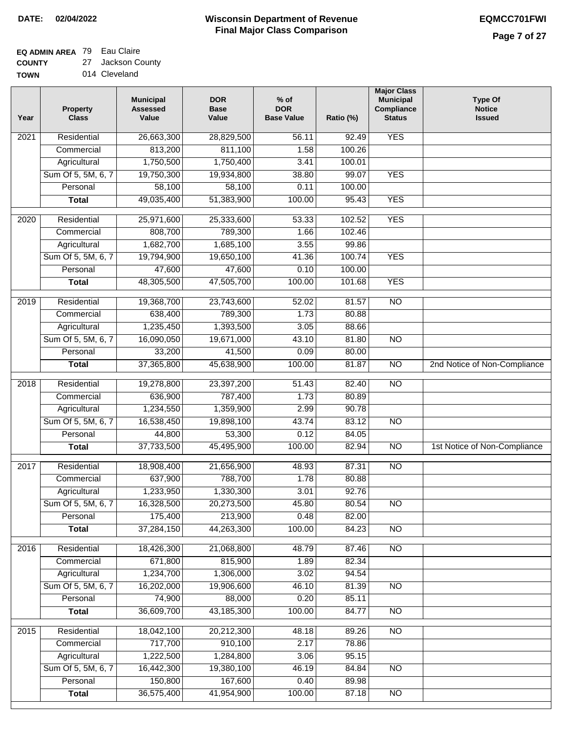### **EQ ADMIN AREA** 79 Eau Claire

**COUNTY** 27 Jackson County

| <b>TOWN</b> | 014 Cleveland |
|-------------|---------------|
|             |               |

| Year              | <b>Property</b><br><b>Class</b> | <b>Municipal</b><br><b>Assessed</b><br>Value | <b>DOR</b><br><b>Base</b><br>Value | $%$ of<br><b>DOR</b><br><b>Base Value</b> | Ratio (%) | <b>Major Class</b><br><b>Municipal</b><br>Compliance<br><b>Status</b> | <b>Type Of</b><br><b>Notice</b><br><b>Issued</b> |
|-------------------|---------------------------------|----------------------------------------------|------------------------------------|-------------------------------------------|-----------|-----------------------------------------------------------------------|--------------------------------------------------|
| $\overline{202}1$ | Residential                     | 26,663,300                                   | 28,829,500                         | 56.11                                     | 92.49     | <b>YES</b>                                                            |                                                  |
|                   | Commercial                      | 813,200                                      | 811,100                            | 1.58                                      | 100.26    |                                                                       |                                                  |
|                   | Agricultural                    | 1,750,500                                    | 1,750,400                          | 3.41                                      | 100.01    |                                                                       |                                                  |
|                   | Sum Of 5, 5M, 6, 7              | 19,750,300                                   | 19,934,800                         | 38.80                                     | 99.07     | <b>YES</b>                                                            |                                                  |
|                   | Personal                        | 58,100                                       | 58,100                             | 0.11                                      | 100.00    |                                                                       |                                                  |
|                   | <b>Total</b>                    | 49,035,400                                   | 51,383,900                         | 100.00                                    | 95.43     | <b>YES</b>                                                            |                                                  |
| $\overline{2020}$ | Residential                     | 25,971,600                                   | 25,333,600                         | 53.33                                     | 102.52    | <b>YES</b>                                                            |                                                  |
|                   | Commercial                      | 808,700                                      | 789,300                            | 1.66                                      | 102.46    |                                                                       |                                                  |
|                   | Agricultural                    | 1,682,700                                    | 1,685,100                          | 3.55                                      | 99.86     |                                                                       |                                                  |
|                   | Sum Of 5, 5M, 6, 7              | 19,794,900                                   | 19,650,100                         | 41.36                                     | 100.74    | <b>YES</b>                                                            |                                                  |
|                   | Personal                        | 47,600                                       | 47,600                             | 0.10                                      | 100.00    |                                                                       |                                                  |
|                   | <b>Total</b>                    | 48,305,500                                   | 47,505,700                         | 100.00                                    | 101.68    | <b>YES</b>                                                            |                                                  |
| 2019              | Residential                     | 19,368,700                                   | 23,743,600                         | 52.02                                     | 81.57     | $\overline{NO}$                                                       |                                                  |
|                   | Commercial                      | 638,400                                      | 789,300                            | 1.73                                      | 80.88     |                                                                       |                                                  |
|                   | Agricultural                    | 1,235,450                                    | 1,393,500                          | 3.05                                      | 88.66     |                                                                       |                                                  |
|                   | Sum Of 5, 5M, 6, 7              | 16,090,050                                   | 19,671,000                         | 43.10                                     | 81.80     | $\overline{NO}$                                                       |                                                  |
|                   | Personal                        | 33,200                                       | 41,500                             | 0.09                                      | 80.00     |                                                                       |                                                  |
|                   | <b>Total</b>                    | 37,365,800                                   | 45,638,900                         | 100.00                                    | 81.87     | $\overline{NO}$                                                       | 2nd Notice of Non-Compliance                     |
| 2018              | Residential                     | 19,278,800                                   | 23,397,200                         | 51.43                                     | 82.40     | $\overline{NO}$                                                       |                                                  |
|                   | Commercial                      | 636,900                                      | 787,400                            | 1.73                                      | 80.89     |                                                                       |                                                  |
|                   | Agricultural                    | 1,234,550                                    | 1,359,900                          | 2.99                                      | 90.78     |                                                                       |                                                  |
|                   | Sum Of 5, 5M, 6, 7              | 16,538,450                                   | 19,898,100                         | 43.74                                     | 83.12     | $\overline{10}$                                                       |                                                  |
|                   | Personal                        | 44,800                                       | 53,300                             | 0.12                                      | 84.05     |                                                                       |                                                  |
|                   | <b>Total</b>                    | 37,733,500                                   | 45,495,900                         | 100.00                                    | 82.94     | $\overline{NO}$                                                       | 1st Notice of Non-Compliance                     |
| $\overline{2017}$ | Residential                     | 18,908,400                                   | 21,656,900                         | 48.93                                     | 87.31     | $\overline{NO}$                                                       |                                                  |
|                   | Commercial                      | 637,900                                      | 788,700                            | 1.78                                      | 80.88     |                                                                       |                                                  |
|                   | Agricultural                    | 1,233,950                                    | 1,330,300                          | 3.01                                      | 92.76     |                                                                       |                                                  |
|                   | Sum Of 5, 5M, 6, 7              | 16,328,500                                   | 20,273,500                         | 45.80                                     | 80.54     | <b>NO</b>                                                             |                                                  |
|                   | Personal                        | 175,400                                      | 213,900                            | 0.48                                      | 82.00     |                                                                       |                                                  |
|                   | <b>Total</b>                    | 37,284,150                                   | 44,263,300                         | 100.00                                    | 84.23     | <b>NO</b>                                                             |                                                  |
| 2016              | Residential                     | 18,426,300                                   | 21,068,800                         | 48.79                                     | 87.46     | $\overline{NO}$                                                       |                                                  |
|                   | Commercial                      | 671,800                                      | 815,900                            | 1.89                                      | 82.34     |                                                                       |                                                  |
|                   | Agricultural                    | 1,234,700                                    | 1,306,000                          | 3.02                                      | 94.54     |                                                                       |                                                  |
|                   | Sum Of 5, 5M, 6, 7              | 16,202,000                                   | 19,906,600                         | 46.10                                     | 81.39     | $\overline{NO}$                                                       |                                                  |
|                   | Personal                        | 74,900                                       | 88,000                             | 0.20                                      | 85.11     |                                                                       |                                                  |
|                   | <b>Total</b>                    | 36,609,700                                   | 43,185,300                         | 100.00                                    | 84.77     | $\overline{NO}$                                                       |                                                  |
| 2015              | Residential                     | 18,042,100                                   | 20,212,300                         | 48.18                                     | 89.26     | $\overline{NO}$                                                       |                                                  |
|                   | Commercial                      | 717,700                                      | 910,100                            | 2.17                                      | 78.86     |                                                                       |                                                  |
|                   | Agricultural                    | 1,222,500                                    | 1,284,800                          | 3.06                                      | 95.15     |                                                                       |                                                  |
|                   | Sum Of 5, 5M, 6, 7              | 16,442,300                                   | 19,380,100                         | 46.19                                     | 84.84     | <b>NO</b>                                                             |                                                  |
|                   | Personal                        | 150,800                                      | 167,600                            | 0.40                                      | 89.98     |                                                                       |                                                  |
|                   | <b>Total</b>                    | 36,575,400                                   | 41,954,900                         | 100.00                                    | 87.18     | <b>NO</b>                                                             |                                                  |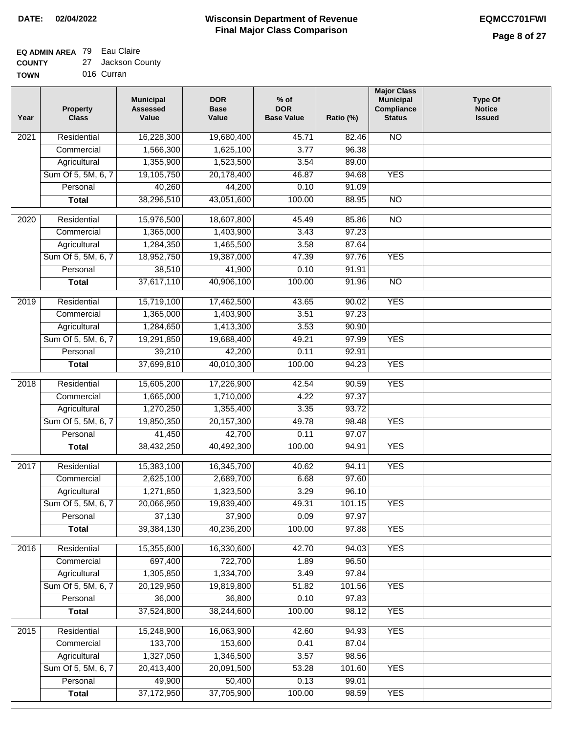# **EQ ADMIN AREA** 79 Eau Claire

**COUNTY TOWN** 27 Jackson County 016 Curran

| Year              | <b>Property</b><br><b>Class</b> | <b>Municipal</b><br><b>Assessed</b><br>Value | <b>DOR</b><br><b>Base</b><br>Value | % of<br><b>DOR</b><br><b>Base Value</b> | Ratio (%)      | <b>Major Class</b><br><b>Municipal</b><br>Compliance<br><b>Status</b> | <b>Type Of</b><br><b>Notice</b><br><b>Issued</b> |
|-------------------|---------------------------------|----------------------------------------------|------------------------------------|-----------------------------------------|----------------|-----------------------------------------------------------------------|--------------------------------------------------|
| $\overline{202}1$ | Residential                     | 16,228,300                                   | 19,680,400                         | 45.71                                   | 82.46          | <b>NO</b>                                                             |                                                  |
|                   | Commercial                      | 1,566,300                                    | 1,625,100                          | 3.77                                    | 96.38          |                                                                       |                                                  |
|                   | Agricultural                    | 1,355,900                                    | 1,523,500                          | 3.54                                    | 89.00          |                                                                       |                                                  |
|                   | Sum Of 5, 5M, 6, 7              | 19,105,750                                   | 20,178,400                         | 46.87                                   | 94.68          | <b>YES</b>                                                            |                                                  |
|                   | Personal                        | 40,260                                       | 44,200                             | 0.10                                    | 91.09          |                                                                       |                                                  |
|                   | <b>Total</b>                    | 38,296,510                                   | 43,051,600                         | 100.00                                  | 88.95          | $\overline{NO}$                                                       |                                                  |
| $\overline{2020}$ | Residential                     | 15,976,500                                   | 18,607,800                         | 45.49                                   | 85.86          | $\overline{N}$                                                        |                                                  |
|                   | Commercial                      | 1,365,000                                    | 1,403,900                          | 3.43                                    | 97.23          |                                                                       |                                                  |
|                   | Agricultural                    | 1,284,350                                    | 1,465,500                          | 3.58                                    | 87.64          |                                                                       |                                                  |
|                   | Sum Of 5, 5M, 6, 7              | 18,952,750                                   | 19,387,000                         | 47.39                                   | 97.76          | <b>YES</b>                                                            |                                                  |
|                   | Personal                        | 38,510                                       | 41,900                             | 0.10                                    | 91.91          |                                                                       |                                                  |
|                   | <b>Total</b>                    | 37,617,110                                   | 40,906,100                         | 100.00                                  | 91.96          | $\overline{NO}$                                                       |                                                  |
| $\frac{2019}{ }$  | Residential                     | 15,719,100                                   | 17,462,500                         | 43.65                                   | 90.02          | <b>YES</b>                                                            |                                                  |
|                   | Commercial                      | 1,365,000                                    | 1,403,900                          | 3.51                                    | 97.23          |                                                                       |                                                  |
|                   | Agricultural                    | 1,284,650                                    | 1,413,300                          | 3.53                                    | 90.90          |                                                                       |                                                  |
|                   | Sum Of 5, 5M, 6, 7              | 19,291,850                                   | 19,688,400                         | 49.21                                   | 97.99          | <b>YES</b>                                                            |                                                  |
|                   | Personal                        | 39,210                                       | 42,200                             | 0.11                                    | 92.91          |                                                                       |                                                  |
|                   | <b>Total</b>                    | 37,699,810                                   | 40,010,300                         | 100.00                                  | 94.23          | <b>YES</b>                                                            |                                                  |
|                   |                                 |                                              |                                    |                                         |                |                                                                       |                                                  |
| 2018              | Residential<br>Commercial       | 15,605,200<br>1,665,000                      | 17,226,900<br>1,710,000            | 42.54<br>4.22                           | 90.59<br>97.37 | <b>YES</b>                                                            |                                                  |
|                   | Agricultural                    | 1,270,250                                    | 1,355,400                          | 3.35                                    | 93.72          |                                                                       |                                                  |
|                   | Sum Of 5, 5M, 6, 7              | 19,850,350                                   | 20,157,300                         | 49.78                                   | 98.48          | <b>YES</b>                                                            |                                                  |
|                   | Personal                        | 41,450                                       | 42,700                             | 0.11                                    | 97.07          |                                                                       |                                                  |
|                   | <b>Total</b>                    | 38,432,250                                   | 40,492,300                         | 100.00                                  | 94.91          | <b>YES</b>                                                            |                                                  |
|                   |                                 |                                              |                                    |                                         |                |                                                                       |                                                  |
| $\overline{2017}$ | Residential                     | 15,383,100                                   | 16,345,700                         | 40.62                                   | 94.11          | <b>YES</b>                                                            |                                                  |
|                   | Commercial                      | 2,625,100                                    | 2,689,700                          | 6.68                                    | 97.60          |                                                                       |                                                  |
|                   | Agricultural                    | 1,271,850                                    | 1,323,500                          | 3.29                                    | 96.10          |                                                                       |                                                  |
|                   | Sum Of 5, 5M, 6, 7              | 20,066,950                                   | 19,839,400                         | 49.31                                   | 101.15         | <b>YES</b>                                                            |                                                  |
|                   | Personal<br><b>Total</b>        | 37,130<br>39,384,130                         | 37,900<br>40,236,200               | 0.09<br>100.00                          | 97.97<br>97.88 | <b>YES</b>                                                            |                                                  |
|                   |                                 |                                              |                                    |                                         |                |                                                                       |                                                  |
| 2016              | Residential                     | 15,355,600                                   | 16,330,600                         | 42.70                                   | 94.03          | <b>YES</b>                                                            |                                                  |
|                   | Commercial                      | 697,400                                      | 722,700                            | 1.89                                    | 96.50          |                                                                       |                                                  |
|                   | Agricultural                    | 1,305,850                                    | 1,334,700                          | 3.49                                    | 97.84          |                                                                       |                                                  |
|                   | Sum Of 5, 5M, 6, 7              | 20,129,950                                   | 19,819,800                         | 51.82                                   | 101.56         | <b>YES</b>                                                            |                                                  |
|                   | Personal                        | 36,000                                       | 36,800                             | 0.10                                    | 97.83          |                                                                       |                                                  |
|                   | <b>Total</b>                    | 37,524,800                                   | 38,244,600                         | 100.00                                  | 98.12          | <b>YES</b>                                                            |                                                  |
| 2015              | Residential                     | 15,248,900                                   | 16,063,900                         | 42.60                                   | 94.93          | <b>YES</b>                                                            |                                                  |
|                   | Commercial                      | 133,700                                      | 153,600                            | 0.41                                    | 87.04          |                                                                       |                                                  |
|                   | Agricultural                    | 1,327,050                                    | 1,346,500                          | 3.57                                    | 98.56          |                                                                       |                                                  |
|                   | Sum Of 5, 5M, 6, 7              | 20,413,400                                   | 20,091,500                         | 53.28                                   | 101.60         | <b>YES</b>                                                            |                                                  |
|                   | Personal                        | 49,900                                       | 50,400                             | 0.13                                    | 99.01          |                                                                       |                                                  |
|                   | <b>Total</b>                    | 37, 172, 950                                 | 37,705,900                         | 100.00                                  | 98.59          | <b>YES</b>                                                            |                                                  |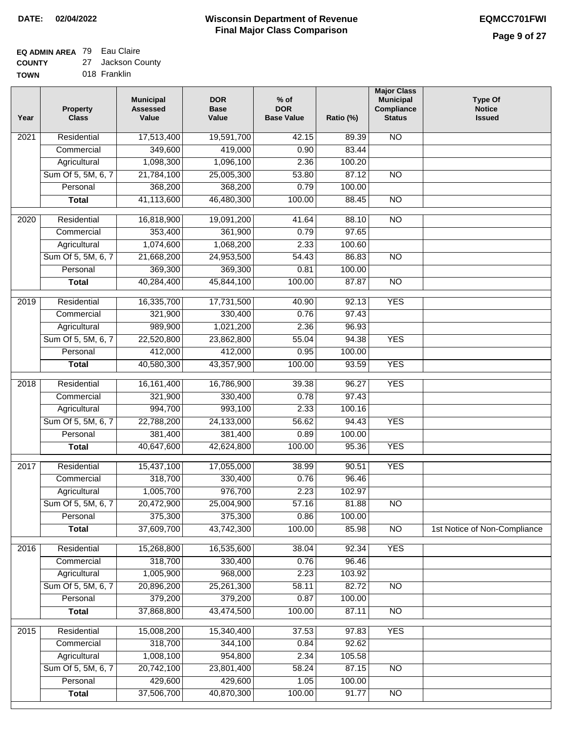### **EQ ADMIN AREA** 79 Eau Claire

**COUNTY** 27 Jackson County

**TOWN** 018 Franklin

| Year              | <b>Property</b><br><b>Class</b> | <b>Municipal</b><br><b>Assessed</b><br>Value | <b>DOR</b><br><b>Base</b><br>Value | $%$ of<br><b>DOR</b><br><b>Base Value</b> | Ratio (%) | <b>Major Class</b><br><b>Municipal</b><br>Compliance<br><b>Status</b> | <b>Type Of</b><br><b>Notice</b><br><b>Issued</b> |
|-------------------|---------------------------------|----------------------------------------------|------------------------------------|-------------------------------------------|-----------|-----------------------------------------------------------------------|--------------------------------------------------|
| $\overline{202}1$ | Residential                     | 17,513,400                                   | 19,591,700                         | 42.15                                     | 89.39     | N <sub>O</sub>                                                        |                                                  |
|                   | Commercial                      | 349,600                                      | 419,000                            | 0.90                                      | 83.44     |                                                                       |                                                  |
|                   | Agricultural                    | 1,098,300                                    | 1,096,100                          | 2.36                                      | 100.20    |                                                                       |                                                  |
|                   | Sum Of 5, 5M, 6, 7              | 21,784,100                                   | 25,005,300                         | 53.80                                     | 87.12     | $\overline{NO}$                                                       |                                                  |
|                   | Personal                        | 368,200                                      | 368,200                            | 0.79                                      | 100.00    |                                                                       |                                                  |
|                   | <b>Total</b>                    | 41,113,600                                   | 46,480,300                         | 100.00                                    | 88.45     | $\overline{NO}$                                                       |                                                  |
| $\overline{2020}$ | Residential                     | 16,818,900                                   | 19,091,200                         | 41.64                                     | 88.10     | $\overline{NO}$                                                       |                                                  |
|                   | Commercial                      | 353,400                                      | 361,900                            | 0.79                                      | 97.65     |                                                                       |                                                  |
|                   | Agricultural                    | 1,074,600                                    | 1,068,200                          | 2.33                                      | 100.60    |                                                                       |                                                  |
|                   | Sum Of 5, 5M, 6, 7              | 21,668,200                                   | 24,953,500                         | 54.43                                     | 86.83     | $\overline{NO}$                                                       |                                                  |
|                   | Personal                        | 369,300                                      | 369,300                            | 0.81                                      | 100.00    |                                                                       |                                                  |
|                   | <b>Total</b>                    | 40,284,400                                   | 45,844,100                         | 100.00                                    | 87.87     | $\overline{NO}$                                                       |                                                  |
| 2019              | Residential                     | 16,335,700                                   | 17,731,500                         | 40.90                                     | 92.13     | <b>YES</b>                                                            |                                                  |
|                   | Commercial                      | 321,900                                      | 330,400                            | 0.76                                      | 97.43     |                                                                       |                                                  |
|                   | Agricultural                    | 989,900                                      | 1,021,200                          | 2.36                                      | 96.93     |                                                                       |                                                  |
|                   | Sum Of 5, 5M, 6, 7              | 22,520,800                                   | 23,862,800                         | 55.04                                     | 94.38     | <b>YES</b>                                                            |                                                  |
|                   | Personal                        | 412,000                                      | 412,000                            | 0.95                                      | 100.00    |                                                                       |                                                  |
|                   | <b>Total</b>                    | 40,580,300                                   | 43,357,900                         | 100.00                                    | 93.59     | <b>YES</b>                                                            |                                                  |
| 2018              | Residential                     | 16, 161, 400                                 | 16,786,900                         | 39.38                                     | 96.27     | <b>YES</b>                                                            |                                                  |
|                   | Commercial                      | 321,900                                      | 330,400                            | 0.78                                      | 97.43     |                                                                       |                                                  |
|                   | Agricultural                    | 994,700                                      | 993,100                            | 2.33                                      | 100.16    |                                                                       |                                                  |
|                   | Sum Of 5, 5M, 6, 7              | 22,788,200                                   | 24,133,000                         | 56.62                                     | 94.43     | <b>YES</b>                                                            |                                                  |
|                   | Personal                        | 381,400                                      | 381,400                            | 0.89                                      | 100.00    |                                                                       |                                                  |
|                   | <b>Total</b>                    | 40,647,600                                   | 42,624,800                         | 100.00                                    | 95.36     | <b>YES</b>                                                            |                                                  |
| $\overline{2017}$ | Residential                     | 15,437,100                                   | 17,055,000                         | 38.99                                     | 90.51     | <b>YES</b>                                                            |                                                  |
|                   | Commercial                      | 318,700                                      | 330,400                            | 0.76                                      | 96.46     |                                                                       |                                                  |
|                   | Agricultural                    | 1,005,700                                    | 976,700                            | 2.23                                      | 102.97    |                                                                       |                                                  |
|                   | Sum Of 5, 5M, 6, 7              | 20,472,900                                   | 25,004,900                         | 57.16                                     | 81.88     | <b>NO</b>                                                             |                                                  |
|                   | Personal                        | 375,300                                      | 375,300                            | 0.86                                      | 100.00    |                                                                       |                                                  |
|                   | <b>Total</b>                    | 37,609,700                                   | 43,742,300                         | 100.00                                    | 85.98     | <b>NO</b>                                                             | 1st Notice of Non-Compliance                     |
| 2016              | Residential                     | 15,268,800                                   | 16,535,600                         | 38.04                                     | 92.34     | <b>YES</b>                                                            |                                                  |
|                   | Commercial                      | 318,700                                      | 330,400                            | 0.76                                      | 96.46     |                                                                       |                                                  |
|                   | Agricultural                    | 1,005,900                                    | 968,000                            | 2.23                                      | 103.92    |                                                                       |                                                  |
|                   | Sum Of 5, 5M, 6, 7              | 20,896,200                                   | 25,261,300                         | 58.11                                     | 82.72     | $\overline{NO}$                                                       |                                                  |
|                   | Personal                        | 379,200                                      | 379,200                            | 0.87                                      | 100.00    |                                                                       |                                                  |
|                   | <b>Total</b>                    | 37,868,800                                   | 43,474,500                         | 100.00                                    | 87.11     | N <sub>O</sub>                                                        |                                                  |
| 2015              | Residential                     | 15,008,200                                   | 15,340,400                         | 37.53                                     | 97.83     | <b>YES</b>                                                            |                                                  |
|                   | Commercial                      | 318,700                                      | 344,100                            | 0.84                                      | 92.62     |                                                                       |                                                  |
|                   | Agricultural                    | 1,008,100                                    | 954,800                            | 2.34                                      | 105.58    |                                                                       |                                                  |
|                   | Sum Of 5, 5M, 6, 7              | 20,742,100                                   | 23,801,400                         | 58.24                                     | 87.15     | <b>NO</b>                                                             |                                                  |
|                   | Personal                        | 429,600                                      | 429,600                            | 1.05                                      | 100.00    |                                                                       |                                                  |
|                   | <b>Total</b>                    | 37,506,700                                   | 40,870,300                         | 100.00                                    | 91.77     | N <sub>O</sub>                                                        |                                                  |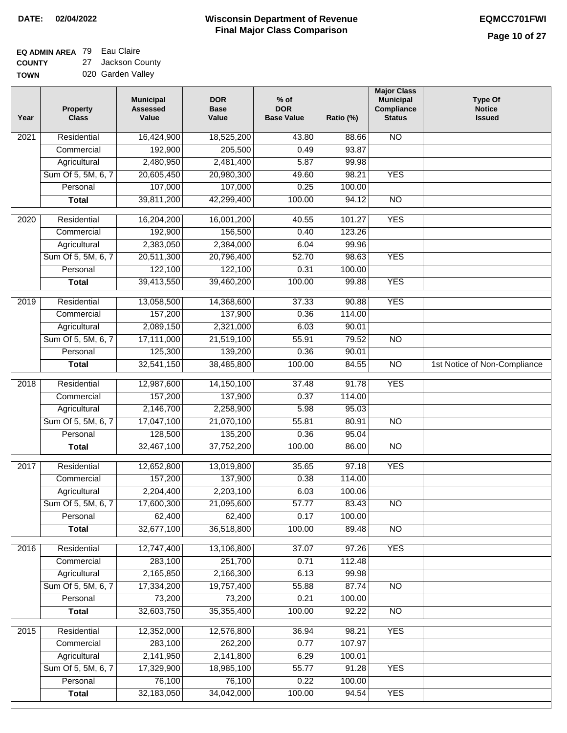## **EQ ADMIN AREA** 79 Eau Claire

**COUNTY TOWN** 27 Jackson County 020 Garden Valley

| Year | <b>Property</b><br><b>Class</b>    | <b>Municipal</b><br><b>Assessed</b><br>Value | <b>DOR</b><br><b>Base</b><br>Value | % of<br><b>DOR</b><br><b>Base Value</b> | Ratio (%)      | <b>Major Class</b><br><b>Municipal</b><br>Compliance<br><b>Status</b> | <b>Type Of</b><br><b>Notice</b><br><b>Issued</b> |
|------|------------------------------------|----------------------------------------------|------------------------------------|-----------------------------------------|----------------|-----------------------------------------------------------------------|--------------------------------------------------|
| 2021 | Residential                        | 16,424,900                                   | 18,525,200                         | 43.80                                   | 88.66          | $\overline{NO}$                                                       |                                                  |
|      | Commercial                         | 192,900                                      | 205,500                            | 0.49                                    | 93.87          |                                                                       |                                                  |
|      | Agricultural                       | 2,480,950                                    | 2,481,400                          | 5.87                                    | 99.98          |                                                                       |                                                  |
|      | Sum Of 5, 5M, 6, 7                 | 20,605,450                                   | 20,980,300                         | 49.60                                   | 98.21          | <b>YES</b>                                                            |                                                  |
|      | Personal                           | 107,000                                      | 107,000                            | 0.25                                    | 100.00         |                                                                       |                                                  |
|      | <b>Total</b>                       | 39,811,200                                   | 42,299,400                         | 100.00                                  | 94.12          | $\overline{NO}$                                                       |                                                  |
| 2020 | Residential                        | 16,204,200                                   | 16,001,200                         | 40.55                                   | 101.27         | <b>YES</b>                                                            |                                                  |
|      | Commercial                         | 192,900                                      | 156,500                            | 0.40                                    | 123.26         |                                                                       |                                                  |
|      | Agricultural                       | 2,383,050                                    | 2,384,000                          | 6.04                                    | 99.96          |                                                                       |                                                  |
|      | Sum Of 5, 5M, 6, 7                 | 20,511,300                                   | 20,796,400                         | 52.70                                   | 98.63          | <b>YES</b>                                                            |                                                  |
|      | Personal                           | 122,100                                      | 122,100                            | 0.31                                    | 100.00         |                                                                       |                                                  |
|      | <b>Total</b>                       | 39,413,550                                   | 39,460,200                         | 100.00                                  | 99.88          | <b>YES</b>                                                            |                                                  |
|      |                                    |                                              |                                    |                                         |                |                                                                       |                                                  |
| 2019 | Residential                        | 13,058,500                                   | 14,368,600                         | 37.33                                   | 90.88          | <b>YES</b>                                                            |                                                  |
|      | Commercial                         | 157,200                                      | 137,900                            | 0.36                                    | 114.00         |                                                                       |                                                  |
|      | Agricultural                       | 2,089,150                                    | 2,321,000                          | 6.03                                    | 90.01          |                                                                       |                                                  |
|      | Sum Of 5, 5M, 6, 7                 | 17,111,000                                   | 21,519,100                         | 55.91                                   | 79.52          | $\overline{NO}$                                                       |                                                  |
|      | Personal                           | 125,300                                      | 139,200                            | 0.36                                    | 90.01          |                                                                       |                                                  |
|      | <b>Total</b>                       | 32,541,150                                   | 38,485,800                         | 100.00                                  | 84.55          | $\overline{NO}$                                                       | 1st Notice of Non-Compliance                     |
| 2018 | Residential                        | 12,987,600                                   | 14,150,100                         | 37.48                                   | 91.78          | <b>YES</b>                                                            |                                                  |
|      | Commercial                         | 157,200                                      | 137,900                            | 0.37                                    | 114.00         |                                                                       |                                                  |
|      | Agricultural                       | 2,146,700                                    | 2,258,900                          | 5.98                                    | 95.03          |                                                                       |                                                  |
|      | Sum Of 5, 5M, 6, 7                 | 17,047,100                                   | 21,070,100                         | 55.81                                   | 80.91          | $\overline{NO}$                                                       |                                                  |
|      | Personal                           | 128,500                                      | 135,200                            | 0.36                                    | 95.04          |                                                                       |                                                  |
|      | <b>Total</b>                       | 32,467,100                                   | 37,752,200                         | 100.00                                  | 86.00          | NO                                                                    |                                                  |
| 2017 | Residential                        | 12,652,800                                   | 13,019,800                         | 35.65                                   | 97.18          | <b>YES</b>                                                            |                                                  |
|      | Commercial                         | 157,200                                      | 137,900                            | 0.38                                    | 114.00         |                                                                       |                                                  |
|      | Agricultural                       | 2,204,400                                    | 2,203,100                          | 6.03                                    | 100.06         |                                                                       |                                                  |
|      | Sum Of 5, 5M, 6, 7                 | 17,600,300                                   | 21,095,600                         | 57.77                                   | 83.43          | <b>NO</b>                                                             |                                                  |
|      | Personal                           | 62,400                                       | 62,400                             | 0.17                                    | 100.00         |                                                                       |                                                  |
|      | <b>Total</b>                       | 32,677,100                                   | 36,518,800                         | 100.00                                  | 89.48          | <b>NO</b>                                                             |                                                  |
|      |                                    |                                              |                                    |                                         |                |                                                                       |                                                  |
| 2016 | Residential                        | 12,747,400                                   | 13,106,800<br>251,700              | 37.07                                   | 97.26          | <b>YES</b>                                                            |                                                  |
|      | Commercial                         | 283,100<br>2,165,850                         | 2,166,300                          | 0.71<br>6.13                            | 112.48         |                                                                       |                                                  |
|      | Agricultural<br>Sum Of 5, 5M, 6, 7 | 17,334,200                                   | 19,757,400                         | 55.88                                   | 99.98<br>87.74 | N <sub>O</sub>                                                        |                                                  |
|      | Personal                           | 73,200                                       | 73,200                             | 0.21                                    | 100.00         |                                                                       |                                                  |
|      | <b>Total</b>                       | 32,603,750                                   | 35,355,400                         | 100.00                                  | 92.22          | $\overline{NO}$                                                       |                                                  |
|      |                                    |                                              |                                    |                                         |                |                                                                       |                                                  |
| 2015 | Residential                        | 12,352,000                                   | 12,576,800                         | 36.94                                   | 98.21          | <b>YES</b>                                                            |                                                  |
|      | Commercial                         | 283,100                                      | 262,200                            | 0.77                                    | 107.97         |                                                                       |                                                  |
|      | Agricultural                       | 2,141,950                                    | 2,141,800                          | 6.29                                    | 100.01         |                                                                       |                                                  |
|      | Sum Of 5, 5M, 6, 7                 | 17,329,900                                   | 18,985,100                         | 55.77                                   | 91.28          | <b>YES</b>                                                            |                                                  |
|      | Personal                           | 76,100                                       | 76,100                             | 0.22                                    | 100.00         |                                                                       |                                                  |
|      | <b>Total</b>                       | 32,183,050                                   | 34,042,000                         | 100.00                                  | 94.54          | <b>YES</b>                                                            |                                                  |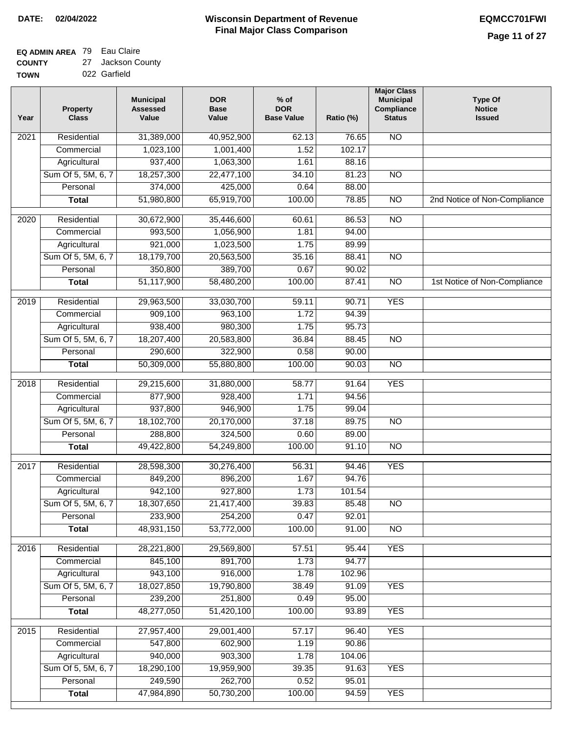### **EQ ADMIN AREA** 79 Eau Claire

**COUNTY TOWN** 27 Jackson County

| 022 Garfield |  |
|--------------|--|

| Year              | <b>Property</b><br><b>Class</b> | <b>Municipal</b><br><b>Assessed</b><br>Value | <b>DOR</b><br><b>Base</b><br>Value | % of<br><b>DOR</b><br><b>Base Value</b> | Ratio (%) | <b>Major Class</b><br><b>Municipal</b><br>Compliance<br><b>Status</b> | <b>Type Of</b><br><b>Notice</b><br><b>Issued</b> |
|-------------------|---------------------------------|----------------------------------------------|------------------------------------|-----------------------------------------|-----------|-----------------------------------------------------------------------|--------------------------------------------------|
| $\overline{202}1$ | Residential                     | 31,389,000                                   | 40,952,900                         | 62.13                                   | 76.65     | <b>NO</b>                                                             |                                                  |
|                   | Commercial                      | 1,023,100                                    | 1,001,400                          | 1.52                                    | 102.17    |                                                                       |                                                  |
|                   | Agricultural                    | 937,400                                      | 1,063,300                          | 1.61                                    | 88.16     |                                                                       |                                                  |
|                   | Sum Of 5, 5M, 6, 7              | 18,257,300                                   | 22,477,100                         | 34.10                                   | 81.23     | $\overline{NO}$                                                       |                                                  |
|                   | Personal                        | 374,000                                      | 425,000                            | 0.64                                    | 88.00     |                                                                       |                                                  |
|                   | <b>Total</b>                    | 51,980,800                                   | 65,919,700                         | 100.00                                  | 78.85     | $\overline{NO}$                                                       | 2nd Notice of Non-Compliance                     |
| $\overline{2020}$ | Residential                     | 30,672,900                                   | 35,446,600                         | 60.61                                   | 86.53     | $\overline{NO}$                                                       |                                                  |
|                   | Commercial                      | 993,500                                      | 1,056,900                          | 1.81                                    | 94.00     |                                                                       |                                                  |
|                   | Agricultural                    | 921,000                                      | 1,023,500                          | 1.75                                    | 89.99     |                                                                       |                                                  |
|                   | Sum Of 5, 5M, 6, 7              | 18,179,700                                   | 20,563,500                         | 35.16                                   | 88.41     | $\overline{NO}$                                                       |                                                  |
|                   | Personal                        | 350,800                                      | 389,700                            | 0.67                                    | 90.02     |                                                                       |                                                  |
|                   | <b>Total</b>                    | 51,117,900                                   | 58,480,200                         | 100.00                                  | 87.41     | $\overline{NO}$                                                       | 1st Notice of Non-Compliance                     |
| 2019              | Residential                     | 29,963,500                                   | 33,030,700                         | 59.11                                   | 90.71     | <b>YES</b>                                                            |                                                  |
|                   | Commercial                      | 909,100                                      | 963,100                            | 1.72                                    | 94.39     |                                                                       |                                                  |
|                   | Agricultural                    | 938,400                                      | 980,300                            | 1.75                                    | 95.73     |                                                                       |                                                  |
|                   | Sum Of 5, 5M, 6, 7              | 18,207,400                                   | 20,583,800                         | 36.84                                   | 88.45     | $\overline{NO}$                                                       |                                                  |
|                   | Personal                        | 290,600                                      | 322,900                            | 0.58                                    | 90.00     |                                                                       |                                                  |
|                   | <b>Total</b>                    | 50,309,000                                   | 55,880,800                         | 100.00                                  | 90.03     | $\overline{NO}$                                                       |                                                  |
| 2018              | Residential                     | 29,215,600                                   | 31,880,000                         | 58.77                                   | 91.64     | <b>YES</b>                                                            |                                                  |
|                   | Commercial                      | 877,900                                      | 928,400                            | 1.71                                    | 94.56     |                                                                       |                                                  |
|                   | Agricultural                    | 937,800                                      | 946,900                            | 1.75                                    | 99.04     |                                                                       |                                                  |
|                   | Sum Of 5, 5M, 6, 7              | 18,102,700                                   | 20,170,000                         | 37.18                                   | 89.75     | $\overline{3}$                                                        |                                                  |
|                   | Personal                        | 288,800                                      | 324,500                            | 0.60                                    | 89.00     |                                                                       |                                                  |
|                   | <b>Total</b>                    | 49,422,800                                   | 54,249,800                         | 100.00                                  | 91.10     | <b>NO</b>                                                             |                                                  |
| 2017              | Residential                     | 28,598,300                                   | 30,276,400                         | 56.31                                   | 94.46     | <b>YES</b>                                                            |                                                  |
|                   | Commercial                      | 849,200                                      | 896,200                            | 1.67                                    | 94.76     |                                                                       |                                                  |
|                   | Agricultural                    | 942,100                                      | 927,800                            | 1.73                                    | 101.54    |                                                                       |                                                  |
|                   | Sum Of 5, 5M, 6, 7              | 18,307,650                                   | 21,417,400                         | 39.83                                   | 85.48     | <b>NO</b>                                                             |                                                  |
|                   | Personal                        | 233,900                                      | 254,200                            | 0.47                                    | 92.01     |                                                                       |                                                  |
|                   | <b>Total</b>                    | 48,931,150                                   | 53,772,000                         | 100.00                                  | 91.00     | <b>NO</b>                                                             |                                                  |
| 2016              | Residential                     | 28,221,800                                   | 29,569,800                         | 57.51                                   | 95.44     | <b>YES</b>                                                            |                                                  |
|                   | Commercial                      | 845,100                                      | 891,700                            | 1.73                                    | 94.77     |                                                                       |                                                  |
|                   | Agricultural                    | 943,100                                      | 916,000                            | 1.78                                    | 102.96    |                                                                       |                                                  |
|                   | Sum Of 5, 5M, 6, 7              | 18,027,850                                   | 19,790,800                         | 38.49                                   | 91.09     | <b>YES</b>                                                            |                                                  |
|                   | Personal                        | 239,200                                      | 251,800                            | 0.49                                    | 95.00     |                                                                       |                                                  |
|                   | <b>Total</b>                    | 48,277,050                                   | 51,420,100                         | 100.00                                  | 93.89     | <b>YES</b>                                                            |                                                  |
| 2015              | Residential                     | 27,957,400                                   | 29,001,400                         | 57.17                                   | 96.40     | <b>YES</b>                                                            |                                                  |
|                   | Commercial                      | 547,800                                      | 602,900                            | 1.19                                    | 90.86     |                                                                       |                                                  |
|                   | Agricultural                    | 940,000                                      | 903,300                            | 1.78                                    | 104.06    |                                                                       |                                                  |
|                   | Sum Of 5, 5M, 6, 7              | 18,290,100                                   | 19,959,900                         | 39.35                                   | 91.63     | <b>YES</b>                                                            |                                                  |
|                   | Personal                        | 249,590                                      | 262,700                            | 0.52                                    | 95.01     |                                                                       |                                                  |
|                   | <b>Total</b>                    | 47,984,890                                   | 50,730,200                         | 100.00                                  | 94.59     | <b>YES</b>                                                            |                                                  |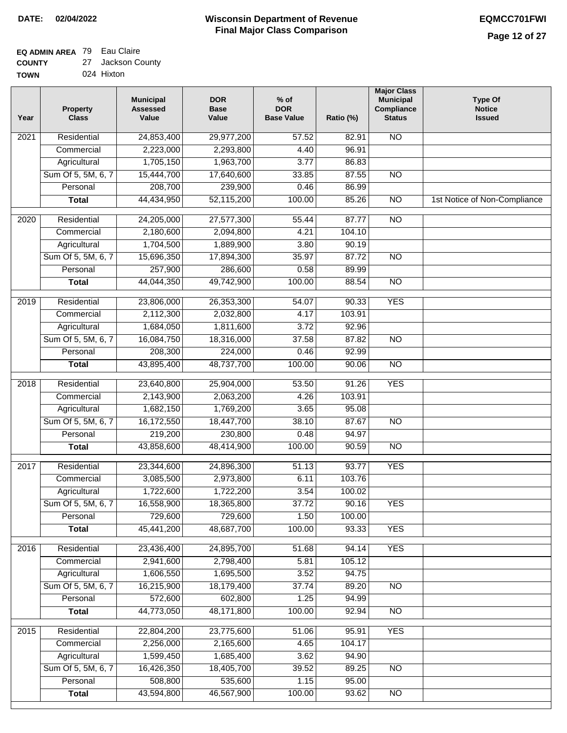### **Wisconsin Department of Revenue Final Major Class Comparison DATE: 02/04/2022 EQMCC701FWI**

### **EQ ADMIN AREA** 79 Eau Claire  $27$

| <b>COUNTY</b> | 27 Jackson County |
|---------------|-------------------|
| <b>TOWN</b>   | 024 Hixton        |

| Year             | <b>Property</b><br><b>Class</b>    | <b>Municipal</b><br><b>Assessed</b><br>Value | <b>DOR</b><br><b>Base</b><br>Value | $%$ of<br><b>DOR</b><br><b>Base Value</b> | Ratio (%)       | <b>Major Class</b><br><b>Municipal</b><br>Compliance<br><b>Status</b> | <b>Type Of</b><br><b>Notice</b><br><b>Issued</b> |
|------------------|------------------------------------|----------------------------------------------|------------------------------------|-------------------------------------------|-----------------|-----------------------------------------------------------------------|--------------------------------------------------|
| 2021             | Residential                        | 24,853,400                                   | 29,977,200                         | 57.52                                     | 82.91           | <b>NO</b>                                                             |                                                  |
|                  | Commercial                         | 2,223,000                                    | 2,293,800                          | 4.40                                      | 96.91           |                                                                       |                                                  |
|                  | Agricultural                       | 1,705,150                                    | 1,963,700                          | 3.77                                      | 86.83           |                                                                       |                                                  |
|                  | Sum Of 5, 5M, 6, 7                 | 15,444,700                                   | 17,640,600                         | 33.85                                     | 87.55           | $\overline{NO}$                                                       |                                                  |
|                  | Personal                           | 208,700                                      | 239,900                            | 0.46                                      | 86.99           |                                                                       |                                                  |
|                  | <b>Total</b>                       | 44,434,950                                   | 52,115,200                         | 100.00                                    | 85.26           | $\overline{NO}$                                                       | 1st Notice of Non-Compliance                     |
| $\frac{1}{2020}$ | Residential                        | 24,205,000                                   | 27,577,300                         | 55.44                                     | 87.77           | $\overline{3}$                                                        |                                                  |
|                  | Commercial                         | 2,180,600                                    | 2,094,800                          | 4.21                                      | 104.10          |                                                                       |                                                  |
|                  | Agricultural                       | 1,704,500                                    | 1,889,900                          | 3.80                                      | 90.19           |                                                                       |                                                  |
|                  | Sum Of 5, 5M, 6, 7                 | 15,696,350                                   | 17,894,300                         | 35.97                                     | 87.72           | <b>NO</b>                                                             |                                                  |
|                  | Personal                           | 257,900                                      | 286,600                            | 0.58                                      | 89.99           |                                                                       |                                                  |
|                  | <b>Total</b>                       | 44,044,350                                   | 49,742,900                         | 100.00                                    | 88.54           | <b>NO</b>                                                             |                                                  |
|                  |                                    |                                              |                                    |                                           |                 |                                                                       |                                                  |
| 2019             | Residential                        | 23,806,000                                   | 26,353,300                         | 54.07                                     | 90.33           | <b>YES</b>                                                            |                                                  |
|                  | Commercial                         | 2,112,300                                    | 2,032,800                          | 4.17                                      | 103.91          |                                                                       |                                                  |
|                  | Agricultural                       | 1,684,050                                    | 1,811,600                          | 3.72                                      | 92.96           |                                                                       |                                                  |
|                  | Sum Of 5, 5M, 6, 7                 | 16,084,750                                   | 18,316,000                         | 37.58                                     | 87.82           | $\overline{NO}$                                                       |                                                  |
|                  | Personal                           | 208,300                                      | 224,000                            | 0.46                                      | 92.99           |                                                                       |                                                  |
|                  | <b>Total</b>                       | 43,895,400                                   | 48,737,700                         | 100.00                                    | 90.06           | $\overline{NO}$                                                       |                                                  |
| 2018             | Residential                        | 23,640,800                                   | 25,904,000                         | 53.50                                     | 91.26           | <b>YES</b>                                                            |                                                  |
|                  | Commercial                         | 2,143,900                                    | 2,063,200                          | 4.26                                      | 103.91          |                                                                       |                                                  |
|                  | Agricultural                       | 1,682,150                                    | 1,769,200                          | 3.65                                      | 95.08           |                                                                       |                                                  |
|                  | Sum Of 5, 5M, 6, 7                 | 16,172,550                                   | 18,447,700                         | 38.10                                     | 87.67           | <b>NO</b>                                                             |                                                  |
|                  | Personal                           | 219,200                                      | 230,800                            | 0.48                                      | 94.97           |                                                                       |                                                  |
|                  | <b>Total</b>                       | 43,858,600                                   | 48,414,900                         | 100.00                                    | 90.59           | $\overline{10}$                                                       |                                                  |
| 2017             | Residential                        | 23,344,600                                   | 24,896,300                         | 51.13                                     | 93.77           | <b>YES</b>                                                            |                                                  |
|                  | Commercial                         | 3,085,500                                    | 2,973,800                          | 6.11                                      | 103.76          |                                                                       |                                                  |
|                  | Agricultural                       | 1,722,600                                    | 1,722,200                          | 3.54                                      | 100.02          |                                                                       |                                                  |
|                  | Sum Of 5, 5M, 6, 7                 | 16,558,900                                   | 18,365,800                         | 37.72                                     | 90.16           | <b>YES</b>                                                            |                                                  |
|                  | Personal                           | 729,600                                      | 729,600                            | 1.50                                      | 100.00          |                                                                       |                                                  |
|                  | <b>Total</b>                       | 45,441,200                                   | 48,687,700                         | 100.00                                    | 93.33           | <b>YES</b>                                                            |                                                  |
| 2016             | Residential                        | 23,436,400                                   | 24,895,700                         |                                           |                 | <b>YES</b>                                                            |                                                  |
|                  | Commercial                         | 2,941,600                                    | 2,798,400                          | 51.68<br>5.81                             | 94.14<br>105.12 |                                                                       |                                                  |
|                  |                                    | 1,606,550                                    |                                    | 3.52                                      | 94.75           |                                                                       |                                                  |
|                  | Agricultural<br>Sum Of 5, 5M, 6, 7 | 16,215,900                                   | 1,695,500<br>18,179,400            | 37.74                                     | 89.20           |                                                                       |                                                  |
|                  | Personal                           | 572,600                                      | 602,800                            | 1.25                                      | 94.99           | <b>NO</b>                                                             |                                                  |
|                  |                                    | 44,773,050                                   | 48,171,800                         | 100.00                                    | 92.94           | N <sub>O</sub>                                                        |                                                  |
|                  | <b>Total</b>                       |                                              |                                    |                                           |                 |                                                                       |                                                  |
| 2015             | Residential                        | 22,804,200                                   | 23,775,600                         | 51.06                                     | 95.91           | <b>YES</b>                                                            |                                                  |
|                  | Commercial                         | 2,256,000                                    | 2,165,600                          | 4.65                                      | 104.17          |                                                                       |                                                  |
|                  | Agricultural                       | 1,599,450                                    | 1,685,400                          | 3.62                                      | 94.90           |                                                                       |                                                  |
|                  | Sum Of 5, 5M, 6, 7                 | 16,426,350                                   | 18,405,700                         | 39.52                                     | 89.25           | N <sub>O</sub>                                                        |                                                  |
|                  | Personal                           | 508,800                                      | 535,600                            | 1.15                                      | 95.00           |                                                                       |                                                  |
|                  | <b>Total</b>                       | 43,594,800                                   | 46,567,900                         | 100.00                                    | 93.62           | N <sub>O</sub>                                                        |                                                  |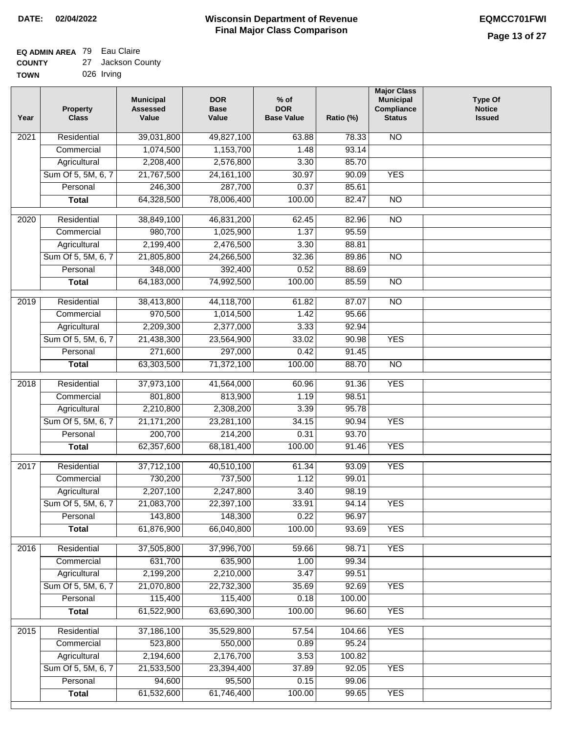#### **EQ ADMIN AREA** 79 Eau Claire **COUNTY** 27 Jackson County

| <b>TOWN</b> | 026 Irving |  |
|-------------|------------|--|

| Year              | <b>Property</b><br><b>Class</b> | <b>Municipal</b><br><b>Assessed</b><br>Value | <b>DOR</b><br><b>Base</b><br>Value | $%$ of<br><b>DOR</b><br><b>Base Value</b> | Ratio (%)      | <b>Major Class</b><br><b>Municipal</b><br>Compliance<br><b>Status</b> | <b>Type Of</b><br><b>Notice</b><br><b>Issued</b> |
|-------------------|---------------------------------|----------------------------------------------|------------------------------------|-------------------------------------------|----------------|-----------------------------------------------------------------------|--------------------------------------------------|
| $\overline{202}1$ | Residential                     | 39,031,800                                   | 49,827,100                         | 63.88                                     | 78.33          | N <sub>O</sub>                                                        |                                                  |
|                   | Commercial                      | 1,074,500                                    | 1,153,700                          | 1.48                                      | 93.14          |                                                                       |                                                  |
|                   | Agricultural                    | 2,208,400                                    | 2,576,800                          | 3.30                                      | 85.70          |                                                                       |                                                  |
|                   | Sum Of 5, 5M, 6, 7              | 21,767,500                                   | 24, 161, 100                       | 30.97                                     | 90.09          | <b>YES</b>                                                            |                                                  |
|                   | Personal                        | 246,300                                      | 287,700                            | 0.37                                      | 85.61          |                                                                       |                                                  |
|                   | <b>Total</b>                    | 64,328,500                                   | 78,006,400                         | 100.00                                    | 82.47          | $\overline{NO}$                                                       |                                                  |
| $\overline{2020}$ | Residential                     | 38,849,100                                   | 46,831,200                         | 62.45                                     | 82.96          | $\overline{NO}$                                                       |                                                  |
|                   | Commercial                      | 980,700                                      | 1,025,900                          | 1.37                                      | 95.59          |                                                                       |                                                  |
|                   | Agricultural                    | 2,199,400                                    | 2,476,500                          | 3.30                                      | 88.81          |                                                                       |                                                  |
|                   | Sum Of 5, 5M, 6, 7              | 21,805,800                                   | 24,266,500                         | 32.36                                     | 89.86          | $\overline{NO}$                                                       |                                                  |
|                   | Personal                        | 348,000                                      | 392,400                            | 0.52                                      | 88.69          |                                                                       |                                                  |
|                   | <b>Total</b>                    | 64,183,000                                   | 74,992,500                         | 100.00                                    | 85.59          | $\overline{NO}$                                                       |                                                  |
|                   |                                 |                                              |                                    | 61.82                                     |                |                                                                       |                                                  |
| 2019              | Residential<br>Commercial       | 38,413,800<br>970,500                        | 44,118,700<br>1,014,500            | 1.42                                      | 87.07<br>95.66 | $\overline{NO}$                                                       |                                                  |
|                   | Agricultural                    |                                              |                                    | 3.33                                      | 92.94          |                                                                       |                                                  |
|                   |                                 | 2,209,300                                    | 2,377,000                          | 33.02                                     | 90.98          | <b>YES</b>                                                            |                                                  |
|                   | Sum Of 5, 5M, 6, 7<br>Personal  | 21,438,300<br>271,600                        | 23,564,900<br>297,000              | 0.42                                      | 91.45          |                                                                       |                                                  |
|                   | <b>Total</b>                    |                                              | 71,372,100                         | 100.00                                    | 88.70          | $\overline{NO}$                                                       |                                                  |
|                   |                                 | 63,303,500                                   |                                    |                                           |                |                                                                       |                                                  |
| 2018              | Residential                     | 37,973,100                                   | 41,564,000                         | 60.96                                     | 91.36          | <b>YES</b>                                                            |                                                  |
|                   | Commercial                      | 801,800                                      | 813,900                            | 1.19                                      | 98.51          |                                                                       |                                                  |
|                   | Agricultural                    | 2,210,800                                    | 2,308,200                          | 3.39                                      | 95.78          |                                                                       |                                                  |
|                   | Sum Of 5, 5M, 6, 7              | 21, 171, 200                                 | 23,281,100                         | 34.15                                     | 90.94          | <b>YES</b>                                                            |                                                  |
|                   | Personal                        | 200,700                                      | 214,200                            | 0.31                                      | 93.70          |                                                                       |                                                  |
|                   | <b>Total</b>                    | 62,357,600                                   | 68,181,400                         | 100.00                                    | 91.46          | <b>YES</b>                                                            |                                                  |
| $\overline{2017}$ | Residential                     | 37,712,100                                   | 40,510,100                         | 61.34                                     | 93.09          | <b>YES</b>                                                            |                                                  |
|                   | Commercial                      | 730,200                                      | 737,500                            | 1.12                                      | 99.01          |                                                                       |                                                  |
|                   | Agricultural                    | 2,207,100                                    | 2,247,800                          | 3.40                                      | 98.19          |                                                                       |                                                  |
|                   | Sum Of 5, 5M, 6, 7              | 21,083,700                                   | 22,397,100                         | 33.91                                     | 94.14          | <b>YES</b>                                                            |                                                  |
|                   | Personal                        | 143,800                                      | 148,300                            | 0.22                                      | 96.97          |                                                                       |                                                  |
|                   | <b>Total</b>                    | 61,876,900                                   | 66,040,800                         | 100.00                                    | 93.69          | <b>YES</b>                                                            |                                                  |
| 2016              | Residential                     | 37,505,800                                   | 37,996,700                         | 59.66                                     | 98.71          | <b>YES</b>                                                            |                                                  |
|                   | Commercial                      | 631,700                                      | 635,900                            | 1.00                                      | 99.34          |                                                                       |                                                  |
|                   | Agricultural                    | 2,199,200                                    | 2,210,000                          | 3.47                                      | 99.51          |                                                                       |                                                  |
|                   | Sum Of 5, 5M, 6, 7              | 21,070,800                                   | 22,732,300                         | 35.69                                     | 92.69          | <b>YES</b>                                                            |                                                  |
|                   | Personal                        | 115,400                                      | 115,400                            | 0.18                                      | 100.00         |                                                                       |                                                  |
|                   | <b>Total</b>                    | 61,522,900                                   | 63,690,300                         | 100.00                                    | 96.60          | <b>YES</b>                                                            |                                                  |
|                   |                                 |                                              |                                    |                                           |                |                                                                       |                                                  |
| 2015              | Residential                     | 37,186,100                                   | 35,529,800                         | 57.54                                     | 104.66         | <b>YES</b>                                                            |                                                  |
|                   | Commercial                      | 523,800                                      | 550,000                            | 0.89                                      | 95.24          |                                                                       |                                                  |
|                   | Agricultural                    | 2,194,600                                    | 2,176,700                          | 3.53                                      | 100.82         |                                                                       |                                                  |
|                   | Sum Of 5, 5M, 6, 7              | 21,533,500                                   | 23,394,400                         | 37.89                                     | 92.05          | <b>YES</b>                                                            |                                                  |
|                   | Personal                        | 94,600<br>61,532,600                         | 95,500                             | 0.15                                      | 99.06          | <b>YES</b>                                                            |                                                  |
|                   | <b>Total</b>                    |                                              | 61,746,400                         | 100.00                                    | 99.65          |                                                                       |                                                  |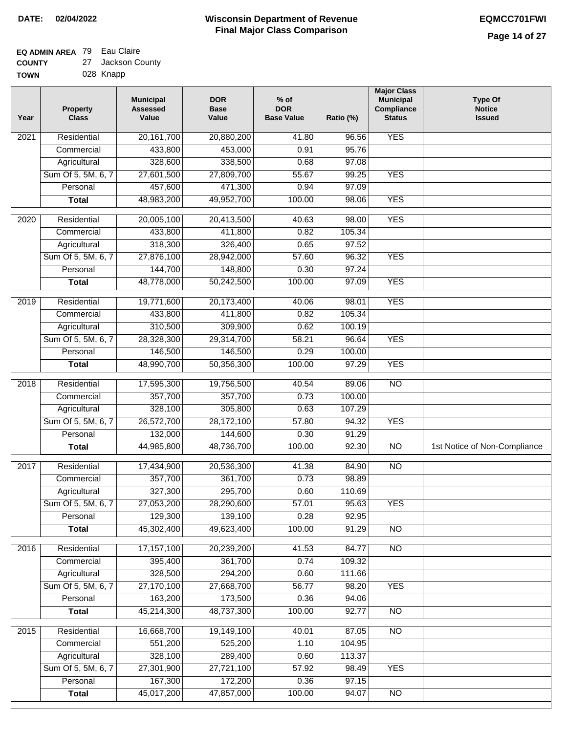### **Wisconsin Department of Revenue Final Major Class Comparison DATE: 02/04/2022 EQMCC701FWI**

### **EQ ADMIN AREA** 79 Eau Claire **COUNTY**

| <b>COUNTY</b> | 27 Jackson County |
|---------------|-------------------|
| <b>TOWN</b>   | 028 Knapp         |

| 20, 161, 700<br><b>YES</b><br>Residential<br>20,880,200<br>41.80<br>96.56<br>2021<br>433,800<br>453,000<br>0.91<br>95.76<br>Commercial<br>328,600<br>338,500<br>0.68<br>97.08<br>Agricultural<br><b>YES</b><br>Sum Of 5, 5M, 6, 7<br>27,601,500<br>27,809,700<br>55.67<br>99.25<br>457,600<br>Personal<br>471,300<br>0.94<br>97.09<br>48,983,200<br>49,952,700<br>100.00<br><b>YES</b><br>98.06<br><b>Total</b><br><b>YES</b><br>$\overline{2020}$<br>Residential<br>20,005,100<br>20,413,500<br>40.63<br>98.00<br>433,800<br>105.34<br>Commercial<br>411,800<br>0.82<br>318,300<br>97.52<br>326,400<br>0.65<br>Agricultural<br>Sum Of 5, 5M, 6, 7<br>27,876,100<br>57.60<br>96.32<br><b>YES</b><br>28,942,000<br>144,700<br>148,800<br>0.30<br>97.24<br>Personal<br><b>YES</b><br><b>Total</b><br>48,778,000<br>50,242,500<br>100.00<br>97.09<br><b>YES</b><br>2019<br>Residential<br>19,771,600<br>20,173,400<br>98.01<br>40.06<br>105.34<br>Commercial<br>433,800<br>411,800<br>0.82<br>310,500<br>309,900<br>Agricultural<br>0.62<br>100.19<br>Sum Of 5, 5M, 6, 7<br><b>YES</b><br>28,328,300<br>29,314,700<br>58.21<br>96.64<br>0.29<br>Personal<br>146,500<br>146,500<br>100.00<br><b>YES</b><br>48,990,700<br>50,356,300<br>100.00<br>97.29<br><b>Total</b><br>17,595,300<br>$\overline{NO}$<br>Residential<br>19,756,500<br>40.54<br>89.06<br>2018<br>357,700<br>0.73<br>Commercial<br>357,700<br>100.00<br>328,100<br>305,800<br>0.63<br>107.29<br>Agricultural<br>Sum Of 5, 5M, 6, 7<br>26,572,700<br>28,172,100<br>57.80<br><b>YES</b><br>94.32<br>132,000<br>144,600<br>0.30<br>91.29<br>Personal<br>44,985,800<br>48,736,700<br>100.00<br>92.30<br>$\overline{10}$<br><b>Total</b><br>1st Notice of Non-Compliance<br>Residential<br>17,434,900<br>20,536,300<br>41.38<br><b>NO</b><br>2017<br>84.90<br>357,700<br>0.73<br>361,700<br>98.89<br>Commercial<br>327,300<br>295,700<br>0.60<br>110.69<br>Agricultural<br>Sum Of 5, 5M, 6, 7<br>27,053,200<br>28,290,600<br>57.01<br>95.63<br><b>YES</b><br>129,300<br>Personal<br>139,100<br>0.28<br>92.95<br>45,302,400<br>49,623,400<br>100.00<br>91.29<br>$\overline{30}$<br><b>Total</b><br>2016<br>Residential<br>17,157,100<br>20,239,200<br>41.53<br>N <sub>O</sub><br>84.77<br>395,400<br>109.32<br>Commercial<br>361,700<br>0.74<br>328,500<br>294,200<br>0.60<br>111.66<br>Agricultural<br>27,170,100<br>Sum Of 5, 5M, 6, 7<br>27,668,700<br>56.77<br>98.20<br><b>YES</b><br>163,200<br>173,500<br>Personal<br>0.36<br>94.06<br>45,214,300<br>48,737,300<br>100.00<br>92.77<br>N <sub>O</sub><br><b>Total</b><br>2015<br>16,668,700<br>19,149,100<br>N <sub>O</sub><br>Residential<br>40.01<br>87.05<br>551,200<br>525,200<br>104.95<br>1.10<br>Commercial<br>328,100<br>Agricultural<br>289,400<br>113.37<br>0.60<br>Sum Of 5, 5M, 6, 7<br>27,301,900<br>98.49<br><b>YES</b><br>27,721,100<br>57.92<br>167,300<br>Personal<br>172,200<br>0.36<br>97.15<br>45,017,200<br>47,857,000<br>100.00<br>94.07<br>N <sub>O</sub><br><b>Total</b> | Year | <b>Property</b><br><b>Class</b> | <b>Municipal</b><br><b>Assessed</b><br>Value | <b>DOR</b><br><b>Base</b><br>Value | $%$ of<br><b>DOR</b><br><b>Base Value</b> | Ratio (%) | <b>Major Class</b><br><b>Municipal</b><br>Compliance<br><b>Status</b> | <b>Type Of</b><br><b>Notice</b><br><b>Issued</b> |
|-------------------------------------------------------------------------------------------------------------------------------------------------------------------------------------------------------------------------------------------------------------------------------------------------------------------------------------------------------------------------------------------------------------------------------------------------------------------------------------------------------------------------------------------------------------------------------------------------------------------------------------------------------------------------------------------------------------------------------------------------------------------------------------------------------------------------------------------------------------------------------------------------------------------------------------------------------------------------------------------------------------------------------------------------------------------------------------------------------------------------------------------------------------------------------------------------------------------------------------------------------------------------------------------------------------------------------------------------------------------------------------------------------------------------------------------------------------------------------------------------------------------------------------------------------------------------------------------------------------------------------------------------------------------------------------------------------------------------------------------------------------------------------------------------------------------------------------------------------------------------------------------------------------------------------------------------------------------------------------------------------------------------------------------------------------------------------------------------------------------------------------------------------------------------------------------------------------------------------------------------------------------------------------------------------------------------------------------------------------------------------------------------------------------------------------------------------------------------------------------------------------------------------------------------------------------------------------------------------------------------------------------------------------------------------------------------------------------------------------------------------------------------------------------------------------------------------------------------------------------------------------------------------------------------------------------------------------------------------------------------------------|------|---------------------------------|----------------------------------------------|------------------------------------|-------------------------------------------|-----------|-----------------------------------------------------------------------|--------------------------------------------------|
|                                                                                                                                                                                                                                                                                                                                                                                                                                                                                                                                                                                                                                                                                                                                                                                                                                                                                                                                                                                                                                                                                                                                                                                                                                                                                                                                                                                                                                                                                                                                                                                                                                                                                                                                                                                                                                                                                                                                                                                                                                                                                                                                                                                                                                                                                                                                                                                                                                                                                                                                                                                                                                                                                                                                                                                                                                                                                                                                                                                                             |      |                                 |                                              |                                    |                                           |           |                                                                       |                                                  |
|                                                                                                                                                                                                                                                                                                                                                                                                                                                                                                                                                                                                                                                                                                                                                                                                                                                                                                                                                                                                                                                                                                                                                                                                                                                                                                                                                                                                                                                                                                                                                                                                                                                                                                                                                                                                                                                                                                                                                                                                                                                                                                                                                                                                                                                                                                                                                                                                                                                                                                                                                                                                                                                                                                                                                                                                                                                                                                                                                                                                             |      |                                 |                                              |                                    |                                           |           |                                                                       |                                                  |
|                                                                                                                                                                                                                                                                                                                                                                                                                                                                                                                                                                                                                                                                                                                                                                                                                                                                                                                                                                                                                                                                                                                                                                                                                                                                                                                                                                                                                                                                                                                                                                                                                                                                                                                                                                                                                                                                                                                                                                                                                                                                                                                                                                                                                                                                                                                                                                                                                                                                                                                                                                                                                                                                                                                                                                                                                                                                                                                                                                                                             |      |                                 |                                              |                                    |                                           |           |                                                                       |                                                  |
|                                                                                                                                                                                                                                                                                                                                                                                                                                                                                                                                                                                                                                                                                                                                                                                                                                                                                                                                                                                                                                                                                                                                                                                                                                                                                                                                                                                                                                                                                                                                                                                                                                                                                                                                                                                                                                                                                                                                                                                                                                                                                                                                                                                                                                                                                                                                                                                                                                                                                                                                                                                                                                                                                                                                                                                                                                                                                                                                                                                                             |      |                                 |                                              |                                    |                                           |           |                                                                       |                                                  |
|                                                                                                                                                                                                                                                                                                                                                                                                                                                                                                                                                                                                                                                                                                                                                                                                                                                                                                                                                                                                                                                                                                                                                                                                                                                                                                                                                                                                                                                                                                                                                                                                                                                                                                                                                                                                                                                                                                                                                                                                                                                                                                                                                                                                                                                                                                                                                                                                                                                                                                                                                                                                                                                                                                                                                                                                                                                                                                                                                                                                             |      |                                 |                                              |                                    |                                           |           |                                                                       |                                                  |
|                                                                                                                                                                                                                                                                                                                                                                                                                                                                                                                                                                                                                                                                                                                                                                                                                                                                                                                                                                                                                                                                                                                                                                                                                                                                                                                                                                                                                                                                                                                                                                                                                                                                                                                                                                                                                                                                                                                                                                                                                                                                                                                                                                                                                                                                                                                                                                                                                                                                                                                                                                                                                                                                                                                                                                                                                                                                                                                                                                                                             |      |                                 |                                              |                                    |                                           |           |                                                                       |                                                  |
|                                                                                                                                                                                                                                                                                                                                                                                                                                                                                                                                                                                                                                                                                                                                                                                                                                                                                                                                                                                                                                                                                                                                                                                                                                                                                                                                                                                                                                                                                                                                                                                                                                                                                                                                                                                                                                                                                                                                                                                                                                                                                                                                                                                                                                                                                                                                                                                                                                                                                                                                                                                                                                                                                                                                                                                                                                                                                                                                                                                                             |      |                                 |                                              |                                    |                                           |           |                                                                       |                                                  |
|                                                                                                                                                                                                                                                                                                                                                                                                                                                                                                                                                                                                                                                                                                                                                                                                                                                                                                                                                                                                                                                                                                                                                                                                                                                                                                                                                                                                                                                                                                                                                                                                                                                                                                                                                                                                                                                                                                                                                                                                                                                                                                                                                                                                                                                                                                                                                                                                                                                                                                                                                                                                                                                                                                                                                                                                                                                                                                                                                                                                             |      |                                 |                                              |                                    |                                           |           |                                                                       |                                                  |
|                                                                                                                                                                                                                                                                                                                                                                                                                                                                                                                                                                                                                                                                                                                                                                                                                                                                                                                                                                                                                                                                                                                                                                                                                                                                                                                                                                                                                                                                                                                                                                                                                                                                                                                                                                                                                                                                                                                                                                                                                                                                                                                                                                                                                                                                                                                                                                                                                                                                                                                                                                                                                                                                                                                                                                                                                                                                                                                                                                                                             |      |                                 |                                              |                                    |                                           |           |                                                                       |                                                  |
|                                                                                                                                                                                                                                                                                                                                                                                                                                                                                                                                                                                                                                                                                                                                                                                                                                                                                                                                                                                                                                                                                                                                                                                                                                                                                                                                                                                                                                                                                                                                                                                                                                                                                                                                                                                                                                                                                                                                                                                                                                                                                                                                                                                                                                                                                                                                                                                                                                                                                                                                                                                                                                                                                                                                                                                                                                                                                                                                                                                                             |      |                                 |                                              |                                    |                                           |           |                                                                       |                                                  |
|                                                                                                                                                                                                                                                                                                                                                                                                                                                                                                                                                                                                                                                                                                                                                                                                                                                                                                                                                                                                                                                                                                                                                                                                                                                                                                                                                                                                                                                                                                                                                                                                                                                                                                                                                                                                                                                                                                                                                                                                                                                                                                                                                                                                                                                                                                                                                                                                                                                                                                                                                                                                                                                                                                                                                                                                                                                                                                                                                                                                             |      |                                 |                                              |                                    |                                           |           |                                                                       |                                                  |
|                                                                                                                                                                                                                                                                                                                                                                                                                                                                                                                                                                                                                                                                                                                                                                                                                                                                                                                                                                                                                                                                                                                                                                                                                                                                                                                                                                                                                                                                                                                                                                                                                                                                                                                                                                                                                                                                                                                                                                                                                                                                                                                                                                                                                                                                                                                                                                                                                                                                                                                                                                                                                                                                                                                                                                                                                                                                                                                                                                                                             |      |                                 |                                              |                                    |                                           |           |                                                                       |                                                  |
|                                                                                                                                                                                                                                                                                                                                                                                                                                                                                                                                                                                                                                                                                                                                                                                                                                                                                                                                                                                                                                                                                                                                                                                                                                                                                                                                                                                                                                                                                                                                                                                                                                                                                                                                                                                                                                                                                                                                                                                                                                                                                                                                                                                                                                                                                                                                                                                                                                                                                                                                                                                                                                                                                                                                                                                                                                                                                                                                                                                                             |      |                                 |                                              |                                    |                                           |           |                                                                       |                                                  |
|                                                                                                                                                                                                                                                                                                                                                                                                                                                                                                                                                                                                                                                                                                                                                                                                                                                                                                                                                                                                                                                                                                                                                                                                                                                                                                                                                                                                                                                                                                                                                                                                                                                                                                                                                                                                                                                                                                                                                                                                                                                                                                                                                                                                                                                                                                                                                                                                                                                                                                                                                                                                                                                                                                                                                                                                                                                                                                                                                                                                             |      |                                 |                                              |                                    |                                           |           |                                                                       |                                                  |
|                                                                                                                                                                                                                                                                                                                                                                                                                                                                                                                                                                                                                                                                                                                                                                                                                                                                                                                                                                                                                                                                                                                                                                                                                                                                                                                                                                                                                                                                                                                                                                                                                                                                                                                                                                                                                                                                                                                                                                                                                                                                                                                                                                                                                                                                                                                                                                                                                                                                                                                                                                                                                                                                                                                                                                                                                                                                                                                                                                                                             |      |                                 |                                              |                                    |                                           |           |                                                                       |                                                  |
|                                                                                                                                                                                                                                                                                                                                                                                                                                                                                                                                                                                                                                                                                                                                                                                                                                                                                                                                                                                                                                                                                                                                                                                                                                                                                                                                                                                                                                                                                                                                                                                                                                                                                                                                                                                                                                                                                                                                                                                                                                                                                                                                                                                                                                                                                                                                                                                                                                                                                                                                                                                                                                                                                                                                                                                                                                                                                                                                                                                                             |      |                                 |                                              |                                    |                                           |           |                                                                       |                                                  |
|                                                                                                                                                                                                                                                                                                                                                                                                                                                                                                                                                                                                                                                                                                                                                                                                                                                                                                                                                                                                                                                                                                                                                                                                                                                                                                                                                                                                                                                                                                                                                                                                                                                                                                                                                                                                                                                                                                                                                                                                                                                                                                                                                                                                                                                                                                                                                                                                                                                                                                                                                                                                                                                                                                                                                                                                                                                                                                                                                                                                             |      |                                 |                                              |                                    |                                           |           |                                                                       |                                                  |
|                                                                                                                                                                                                                                                                                                                                                                                                                                                                                                                                                                                                                                                                                                                                                                                                                                                                                                                                                                                                                                                                                                                                                                                                                                                                                                                                                                                                                                                                                                                                                                                                                                                                                                                                                                                                                                                                                                                                                                                                                                                                                                                                                                                                                                                                                                                                                                                                                                                                                                                                                                                                                                                                                                                                                                                                                                                                                                                                                                                                             |      |                                 |                                              |                                    |                                           |           |                                                                       |                                                  |
|                                                                                                                                                                                                                                                                                                                                                                                                                                                                                                                                                                                                                                                                                                                                                                                                                                                                                                                                                                                                                                                                                                                                                                                                                                                                                                                                                                                                                                                                                                                                                                                                                                                                                                                                                                                                                                                                                                                                                                                                                                                                                                                                                                                                                                                                                                                                                                                                                                                                                                                                                                                                                                                                                                                                                                                                                                                                                                                                                                                                             |      |                                 |                                              |                                    |                                           |           |                                                                       |                                                  |
|                                                                                                                                                                                                                                                                                                                                                                                                                                                                                                                                                                                                                                                                                                                                                                                                                                                                                                                                                                                                                                                                                                                                                                                                                                                                                                                                                                                                                                                                                                                                                                                                                                                                                                                                                                                                                                                                                                                                                                                                                                                                                                                                                                                                                                                                                                                                                                                                                                                                                                                                                                                                                                                                                                                                                                                                                                                                                                                                                                                                             |      |                                 |                                              |                                    |                                           |           |                                                                       |                                                  |
|                                                                                                                                                                                                                                                                                                                                                                                                                                                                                                                                                                                                                                                                                                                                                                                                                                                                                                                                                                                                                                                                                                                                                                                                                                                                                                                                                                                                                                                                                                                                                                                                                                                                                                                                                                                                                                                                                                                                                                                                                                                                                                                                                                                                                                                                                                                                                                                                                                                                                                                                                                                                                                                                                                                                                                                                                                                                                                                                                                                                             |      |                                 |                                              |                                    |                                           |           |                                                                       |                                                  |
|                                                                                                                                                                                                                                                                                                                                                                                                                                                                                                                                                                                                                                                                                                                                                                                                                                                                                                                                                                                                                                                                                                                                                                                                                                                                                                                                                                                                                                                                                                                                                                                                                                                                                                                                                                                                                                                                                                                                                                                                                                                                                                                                                                                                                                                                                                                                                                                                                                                                                                                                                                                                                                                                                                                                                                                                                                                                                                                                                                                                             |      |                                 |                                              |                                    |                                           |           |                                                                       |                                                  |
|                                                                                                                                                                                                                                                                                                                                                                                                                                                                                                                                                                                                                                                                                                                                                                                                                                                                                                                                                                                                                                                                                                                                                                                                                                                                                                                                                                                                                                                                                                                                                                                                                                                                                                                                                                                                                                                                                                                                                                                                                                                                                                                                                                                                                                                                                                                                                                                                                                                                                                                                                                                                                                                                                                                                                                                                                                                                                                                                                                                                             |      |                                 |                                              |                                    |                                           |           |                                                                       |                                                  |
|                                                                                                                                                                                                                                                                                                                                                                                                                                                                                                                                                                                                                                                                                                                                                                                                                                                                                                                                                                                                                                                                                                                                                                                                                                                                                                                                                                                                                                                                                                                                                                                                                                                                                                                                                                                                                                                                                                                                                                                                                                                                                                                                                                                                                                                                                                                                                                                                                                                                                                                                                                                                                                                                                                                                                                                                                                                                                                                                                                                                             |      |                                 |                                              |                                    |                                           |           |                                                                       |                                                  |
|                                                                                                                                                                                                                                                                                                                                                                                                                                                                                                                                                                                                                                                                                                                                                                                                                                                                                                                                                                                                                                                                                                                                                                                                                                                                                                                                                                                                                                                                                                                                                                                                                                                                                                                                                                                                                                                                                                                                                                                                                                                                                                                                                                                                                                                                                                                                                                                                                                                                                                                                                                                                                                                                                                                                                                                                                                                                                                                                                                                                             |      |                                 |                                              |                                    |                                           |           |                                                                       |                                                  |
|                                                                                                                                                                                                                                                                                                                                                                                                                                                                                                                                                                                                                                                                                                                                                                                                                                                                                                                                                                                                                                                                                                                                                                                                                                                                                                                                                                                                                                                                                                                                                                                                                                                                                                                                                                                                                                                                                                                                                                                                                                                                                                                                                                                                                                                                                                                                                                                                                                                                                                                                                                                                                                                                                                                                                                                                                                                                                                                                                                                                             |      |                                 |                                              |                                    |                                           |           |                                                                       |                                                  |
|                                                                                                                                                                                                                                                                                                                                                                                                                                                                                                                                                                                                                                                                                                                                                                                                                                                                                                                                                                                                                                                                                                                                                                                                                                                                                                                                                                                                                                                                                                                                                                                                                                                                                                                                                                                                                                                                                                                                                                                                                                                                                                                                                                                                                                                                                                                                                                                                                                                                                                                                                                                                                                                                                                                                                                                                                                                                                                                                                                                                             |      |                                 |                                              |                                    |                                           |           |                                                                       |                                                  |
|                                                                                                                                                                                                                                                                                                                                                                                                                                                                                                                                                                                                                                                                                                                                                                                                                                                                                                                                                                                                                                                                                                                                                                                                                                                                                                                                                                                                                                                                                                                                                                                                                                                                                                                                                                                                                                                                                                                                                                                                                                                                                                                                                                                                                                                                                                                                                                                                                                                                                                                                                                                                                                                                                                                                                                                                                                                                                                                                                                                                             |      |                                 |                                              |                                    |                                           |           |                                                                       |                                                  |
|                                                                                                                                                                                                                                                                                                                                                                                                                                                                                                                                                                                                                                                                                                                                                                                                                                                                                                                                                                                                                                                                                                                                                                                                                                                                                                                                                                                                                                                                                                                                                                                                                                                                                                                                                                                                                                                                                                                                                                                                                                                                                                                                                                                                                                                                                                                                                                                                                                                                                                                                                                                                                                                                                                                                                                                                                                                                                                                                                                                                             |      |                                 |                                              |                                    |                                           |           |                                                                       |                                                  |
|                                                                                                                                                                                                                                                                                                                                                                                                                                                                                                                                                                                                                                                                                                                                                                                                                                                                                                                                                                                                                                                                                                                                                                                                                                                                                                                                                                                                                                                                                                                                                                                                                                                                                                                                                                                                                                                                                                                                                                                                                                                                                                                                                                                                                                                                                                                                                                                                                                                                                                                                                                                                                                                                                                                                                                                                                                                                                                                                                                                                             |      |                                 |                                              |                                    |                                           |           |                                                                       |                                                  |
|                                                                                                                                                                                                                                                                                                                                                                                                                                                                                                                                                                                                                                                                                                                                                                                                                                                                                                                                                                                                                                                                                                                                                                                                                                                                                                                                                                                                                                                                                                                                                                                                                                                                                                                                                                                                                                                                                                                                                                                                                                                                                                                                                                                                                                                                                                                                                                                                                                                                                                                                                                                                                                                                                                                                                                                                                                                                                                                                                                                                             |      |                                 |                                              |                                    |                                           |           |                                                                       |                                                  |
|                                                                                                                                                                                                                                                                                                                                                                                                                                                                                                                                                                                                                                                                                                                                                                                                                                                                                                                                                                                                                                                                                                                                                                                                                                                                                                                                                                                                                                                                                                                                                                                                                                                                                                                                                                                                                                                                                                                                                                                                                                                                                                                                                                                                                                                                                                                                                                                                                                                                                                                                                                                                                                                                                                                                                                                                                                                                                                                                                                                                             |      |                                 |                                              |                                    |                                           |           |                                                                       |                                                  |
|                                                                                                                                                                                                                                                                                                                                                                                                                                                                                                                                                                                                                                                                                                                                                                                                                                                                                                                                                                                                                                                                                                                                                                                                                                                                                                                                                                                                                                                                                                                                                                                                                                                                                                                                                                                                                                                                                                                                                                                                                                                                                                                                                                                                                                                                                                                                                                                                                                                                                                                                                                                                                                                                                                                                                                                                                                                                                                                                                                                                             |      |                                 |                                              |                                    |                                           |           |                                                                       |                                                  |
|                                                                                                                                                                                                                                                                                                                                                                                                                                                                                                                                                                                                                                                                                                                                                                                                                                                                                                                                                                                                                                                                                                                                                                                                                                                                                                                                                                                                                                                                                                                                                                                                                                                                                                                                                                                                                                                                                                                                                                                                                                                                                                                                                                                                                                                                                                                                                                                                                                                                                                                                                                                                                                                                                                                                                                                                                                                                                                                                                                                                             |      |                                 |                                              |                                    |                                           |           |                                                                       |                                                  |
|                                                                                                                                                                                                                                                                                                                                                                                                                                                                                                                                                                                                                                                                                                                                                                                                                                                                                                                                                                                                                                                                                                                                                                                                                                                                                                                                                                                                                                                                                                                                                                                                                                                                                                                                                                                                                                                                                                                                                                                                                                                                                                                                                                                                                                                                                                                                                                                                                                                                                                                                                                                                                                                                                                                                                                                                                                                                                                                                                                                                             |      |                                 |                                              |                                    |                                           |           |                                                                       |                                                  |
|                                                                                                                                                                                                                                                                                                                                                                                                                                                                                                                                                                                                                                                                                                                                                                                                                                                                                                                                                                                                                                                                                                                                                                                                                                                                                                                                                                                                                                                                                                                                                                                                                                                                                                                                                                                                                                                                                                                                                                                                                                                                                                                                                                                                                                                                                                                                                                                                                                                                                                                                                                                                                                                                                                                                                                                                                                                                                                                                                                                                             |      |                                 |                                              |                                    |                                           |           |                                                                       |                                                  |
|                                                                                                                                                                                                                                                                                                                                                                                                                                                                                                                                                                                                                                                                                                                                                                                                                                                                                                                                                                                                                                                                                                                                                                                                                                                                                                                                                                                                                                                                                                                                                                                                                                                                                                                                                                                                                                                                                                                                                                                                                                                                                                                                                                                                                                                                                                                                                                                                                                                                                                                                                                                                                                                                                                                                                                                                                                                                                                                                                                                                             |      |                                 |                                              |                                    |                                           |           |                                                                       |                                                  |
|                                                                                                                                                                                                                                                                                                                                                                                                                                                                                                                                                                                                                                                                                                                                                                                                                                                                                                                                                                                                                                                                                                                                                                                                                                                                                                                                                                                                                                                                                                                                                                                                                                                                                                                                                                                                                                                                                                                                                                                                                                                                                                                                                                                                                                                                                                                                                                                                                                                                                                                                                                                                                                                                                                                                                                                                                                                                                                                                                                                                             |      |                                 |                                              |                                    |                                           |           |                                                                       |                                                  |
|                                                                                                                                                                                                                                                                                                                                                                                                                                                                                                                                                                                                                                                                                                                                                                                                                                                                                                                                                                                                                                                                                                                                                                                                                                                                                                                                                                                                                                                                                                                                                                                                                                                                                                                                                                                                                                                                                                                                                                                                                                                                                                                                                                                                                                                                                                                                                                                                                                                                                                                                                                                                                                                                                                                                                                                                                                                                                                                                                                                                             |      |                                 |                                              |                                    |                                           |           |                                                                       |                                                  |
|                                                                                                                                                                                                                                                                                                                                                                                                                                                                                                                                                                                                                                                                                                                                                                                                                                                                                                                                                                                                                                                                                                                                                                                                                                                                                                                                                                                                                                                                                                                                                                                                                                                                                                                                                                                                                                                                                                                                                                                                                                                                                                                                                                                                                                                                                                                                                                                                                                                                                                                                                                                                                                                                                                                                                                                                                                                                                                                                                                                                             |      |                                 |                                              |                                    |                                           |           |                                                                       |                                                  |
|                                                                                                                                                                                                                                                                                                                                                                                                                                                                                                                                                                                                                                                                                                                                                                                                                                                                                                                                                                                                                                                                                                                                                                                                                                                                                                                                                                                                                                                                                                                                                                                                                                                                                                                                                                                                                                                                                                                                                                                                                                                                                                                                                                                                                                                                                                                                                                                                                                                                                                                                                                                                                                                                                                                                                                                                                                                                                                                                                                                                             |      |                                 |                                              |                                    |                                           |           |                                                                       |                                                  |
|                                                                                                                                                                                                                                                                                                                                                                                                                                                                                                                                                                                                                                                                                                                                                                                                                                                                                                                                                                                                                                                                                                                                                                                                                                                                                                                                                                                                                                                                                                                                                                                                                                                                                                                                                                                                                                                                                                                                                                                                                                                                                                                                                                                                                                                                                                                                                                                                                                                                                                                                                                                                                                                                                                                                                                                                                                                                                                                                                                                                             |      |                                 |                                              |                                    |                                           |           |                                                                       |                                                  |
|                                                                                                                                                                                                                                                                                                                                                                                                                                                                                                                                                                                                                                                                                                                                                                                                                                                                                                                                                                                                                                                                                                                                                                                                                                                                                                                                                                                                                                                                                                                                                                                                                                                                                                                                                                                                                                                                                                                                                                                                                                                                                                                                                                                                                                                                                                                                                                                                                                                                                                                                                                                                                                                                                                                                                                                                                                                                                                                                                                                                             |      |                                 |                                              |                                    |                                           |           |                                                                       |                                                  |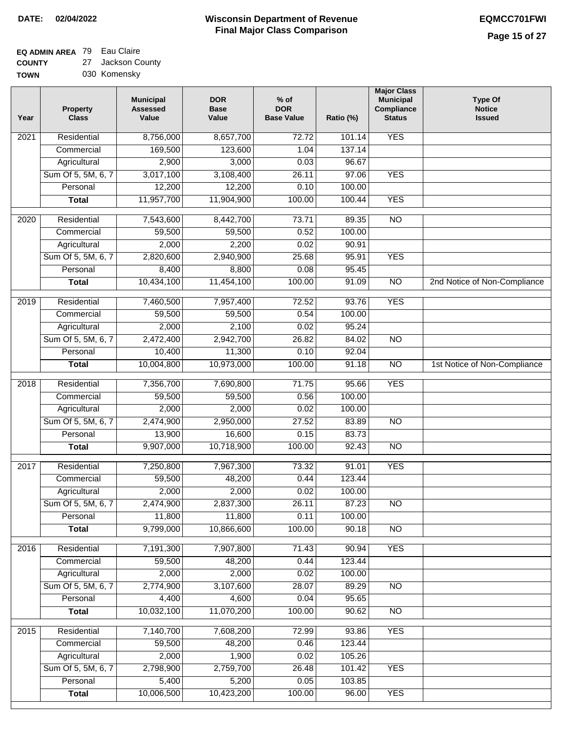┓

## **EQ ADMIN AREA** 79 Eau Claire

CO<sub>I</sub> TO  $\rightarrow$ Jackson County

| UNTY | 27 Jackson County |
|------|-------------------|
| WN   | 030 Komensky      |

| Year              | <b>Property</b><br><b>Class</b> | <b>Municipal</b><br><b>Assessed</b><br>Value | <b>DOR</b><br><b>Base</b><br>Value | $%$ of<br><b>DOR</b><br><b>Base Value</b> | Ratio (%) | <b>Major Class</b><br><b>Municipal</b><br>Compliance<br><b>Status</b> | <b>Type Of</b><br><b>Notice</b><br><b>Issued</b> |
|-------------------|---------------------------------|----------------------------------------------|------------------------------------|-------------------------------------------|-----------|-----------------------------------------------------------------------|--------------------------------------------------|
| 2021              | Residential                     | 8,756,000                                    | 8,657,700                          | 72.72                                     | 101.14    | <b>YES</b>                                                            |                                                  |
|                   | Commercial                      | 169,500                                      | 123,600                            | 1.04                                      | 137.14    |                                                                       |                                                  |
|                   | Agricultural                    | 2,900                                        | 3,000                              | 0.03                                      | 96.67     |                                                                       |                                                  |
|                   | Sum Of 5, 5M, 6, 7              | 3,017,100                                    | 3,108,400                          | 26.11                                     | 97.06     | <b>YES</b>                                                            |                                                  |
|                   | Personal                        | 12,200                                       | 12,200                             | 0.10                                      | 100.00    |                                                                       |                                                  |
|                   | <b>Total</b>                    | 11,957,700                                   | 11,904,900                         | 100.00                                    | 100.44    | <b>YES</b>                                                            |                                                  |
| 2020              | Residential                     | 7,543,600                                    | 8,442,700                          | 73.71                                     | 89.35     | $\overline{NO}$                                                       |                                                  |
|                   | Commercial                      | 59,500                                       | 59,500                             | 0.52                                      | 100.00    |                                                                       |                                                  |
|                   | Agricultural                    | 2,000                                        | 2,200                              | 0.02                                      | 90.91     |                                                                       |                                                  |
|                   | Sum Of 5, 5M, 6, 7              | 2,820,600                                    | 2,940,900                          | 25.68                                     | 95.91     | <b>YES</b>                                                            |                                                  |
|                   | Personal                        | 8,400                                        | 8,800                              | 0.08                                      | 95.45     |                                                                       |                                                  |
|                   | <b>Total</b>                    | 10,434,100                                   | 11,454,100                         | 100.00                                    | 91.09     | $\overline{NO}$                                                       | 2nd Notice of Non-Compliance                     |
| 2019              | Residential                     | 7,460,500                                    | 7,957,400                          | 72.52                                     | 93.76     | <b>YES</b>                                                            |                                                  |
|                   | Commercial                      | 59,500                                       | 59,500                             | 0.54                                      | 100.00    |                                                                       |                                                  |
|                   | Agricultural                    | 2,000                                        | 2,100                              | 0.02                                      | 95.24     |                                                                       |                                                  |
|                   | Sum Of 5, 5M, 6, 7              | 2,472,400                                    | 2,942,700                          | 26.82                                     | 84.02     | $\overline{NO}$                                                       |                                                  |
|                   | Personal                        | 10,400                                       | 11,300                             | 0.10                                      | 92.04     |                                                                       |                                                  |
|                   | <b>Total</b>                    | 10,004,800                                   | 10,973,000                         | 100.00                                    | 91.18     | $\overline{NO}$                                                       | 1st Notice of Non-Compliance                     |
| 2018              | Residential                     | 7,356,700                                    | 7,690,800                          | 71.75                                     | 95.66     | <b>YES</b>                                                            |                                                  |
|                   | Commercial                      | 59,500                                       | 59,500                             | 0.56                                      | 100.00    |                                                                       |                                                  |
|                   | Agricultural                    | 2,000                                        | 2,000                              | 0.02                                      | 100.00    |                                                                       |                                                  |
|                   | Sum Of 5, 5M, 6, 7              | 2,474,900                                    | 2,950,000                          | 27.52                                     | 83.89     | <b>NO</b>                                                             |                                                  |
|                   | Personal                        | 13,900                                       | 16,600                             | 0.15                                      | 83.73     |                                                                       |                                                  |
|                   | <b>Total</b>                    | 9,907,000                                    | 10,718,900                         | 100.00                                    | 92.43     | <b>NO</b>                                                             |                                                  |
|                   |                                 |                                              |                                    |                                           |           |                                                                       |                                                  |
| 2017              | Residential                     | 7,250,800                                    | 7,967,300                          | 73.32                                     | 91.01     | <b>YES</b>                                                            |                                                  |
|                   | Commercial                      | 59,500                                       | 48,200                             | 0.44                                      | 123.44    |                                                                       |                                                  |
|                   | Agricultural                    | 2,000                                        | 2,000                              | 0.02                                      | 100.00    |                                                                       |                                                  |
|                   | Sum Of 5, 5M, 6, 7              | 2,474,900                                    | 2,837,300                          | 26.11                                     | 87.23     | <b>NO</b>                                                             |                                                  |
|                   | Personal                        | 11,800                                       | 11,800                             | 0.11                                      | 100.00    |                                                                       |                                                  |
|                   | <b>Total</b>                    | 9,799,000                                    | 10,866,600                         | 100.00                                    | 90.18     | $\overline{30}$                                                       |                                                  |
| 2016              | Residential                     | 7,191,300                                    | 7,907,800                          | 71.43                                     | 90.94     | <b>YES</b>                                                            |                                                  |
|                   | Commercial                      | 59,500                                       | 48,200                             | 0.44                                      | 123.44    |                                                                       |                                                  |
|                   | Agricultural                    | 2,000                                        | 2,000                              | 0.02                                      | 100.00    |                                                                       |                                                  |
|                   | Sum Of 5, 5M, 6, 7              | 2,774,900                                    | 3,107,600                          | 28.07                                     | 89.29     | $\overline{NO}$                                                       |                                                  |
|                   | Personal                        | 4,400                                        | 4,600                              | 0.04                                      | 95.65     |                                                                       |                                                  |
|                   | <b>Total</b>                    | 10,032,100                                   | 11,070,200                         | 100.00                                    | 90.62     | N <sub>O</sub>                                                        |                                                  |
| $\overline{2015}$ | Residential                     | 7,140,700                                    | 7,608,200                          | 72.99                                     | 93.86     | <b>YES</b>                                                            |                                                  |
|                   | Commercial                      | 59,500                                       | 48,200                             | 0.46                                      | 123.44    |                                                                       |                                                  |
|                   | Agricultural                    | 2,000                                        | 1,900                              | 0.02                                      | 105.26    |                                                                       |                                                  |
|                   | Sum Of 5, 5M, 6, 7              | 2,798,900                                    | 2,759,700                          | 26.48                                     | 101.42    | <b>YES</b>                                                            |                                                  |
|                   | Personal                        | 5,400                                        | 5,200                              | 0.05                                      | 103.85    |                                                                       |                                                  |
|                   | <b>Total</b>                    | 10,006,500                                   | 10,423,200                         | 100.00                                    | 96.00     | <b>YES</b>                                                            |                                                  |
|                   |                                 |                                              |                                    |                                           |           |                                                                       |                                                  |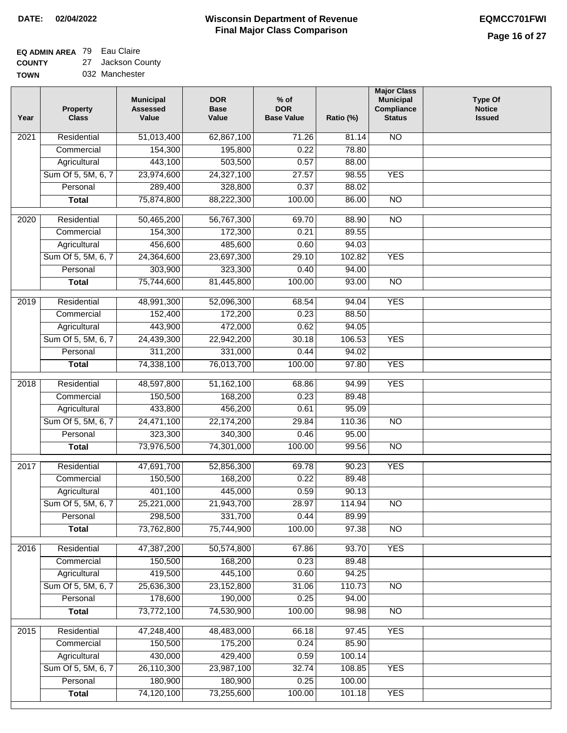# **EQ ADMIN AREA** 79 Eau Claire

**COUNTY TOWN** 27 Jackson County

| 032 Manchester |  |
|----------------|--|
|                |  |

| Year             | <b>Property</b><br><b>Class</b> | <b>Municipal</b><br><b>Assessed</b><br>Value | <b>DOR</b><br><b>Base</b><br>Value | $%$ of<br><b>DOR</b><br><b>Base Value</b> | Ratio (%) | <b>Major Class</b><br><b>Municipal</b><br>Compliance<br><b>Status</b> | <b>Type Of</b><br><b>Notice</b><br><b>Issued</b> |
|------------------|---------------------------------|----------------------------------------------|------------------------------------|-------------------------------------------|-----------|-----------------------------------------------------------------------|--------------------------------------------------|
| 2021             | Residential                     | 51,013,400                                   | 62,867,100                         | 71.26                                     | 81.14     | $\overline{NO}$                                                       |                                                  |
|                  | Commercial                      | 154,300                                      | 195,800                            | 0.22                                      | 78.80     |                                                                       |                                                  |
|                  | Agricultural                    | 443,100                                      | 503,500                            | 0.57                                      | 88.00     |                                                                       |                                                  |
|                  | Sum Of 5, 5M, 6, 7              | 23,974,600                                   | 24,327,100                         | 27.57                                     | 98.55     | <b>YES</b>                                                            |                                                  |
|                  | Personal                        | 289,400                                      | 328,800                            | 0.37                                      | 88.02     |                                                                       |                                                  |
|                  | <b>Total</b>                    | 75,874,800                                   | 88,222,300                         | 100.00                                    | 86.00     | $\overline{NO}$                                                       |                                                  |
| 2020             | Residential                     | 50,465,200                                   | 56,767,300                         | 69.70                                     | 88.90     | $\overline{10}$                                                       |                                                  |
|                  | Commercial                      | 154,300                                      | 172,300                            | 0.21                                      | 89.55     |                                                                       |                                                  |
|                  | Agricultural                    | 456,600                                      | 485,600                            | 0.60                                      | 94.03     |                                                                       |                                                  |
|                  | Sum Of 5, 5M, 6, 7              | 24,364,600                                   | 23,697,300                         | 29.10                                     | 102.82    | <b>YES</b>                                                            |                                                  |
|                  | Personal                        | 303,900                                      | 323,300                            | 0.40                                      | 94.00     |                                                                       |                                                  |
|                  | <b>Total</b>                    | 75,744,600                                   | 81,445,800                         | 100.00                                    | 93.00     | $\overline{NO}$                                                       |                                                  |
|                  |                                 |                                              |                                    |                                           |           |                                                                       |                                                  |
| $\frac{1}{2019}$ | Residential                     | 48,991,300                                   | 52,096,300                         | 68.54                                     | 94.04     | <b>YES</b>                                                            |                                                  |
|                  | Commercial                      | 152,400                                      | 172,200                            | 0.23                                      | 88.50     |                                                                       |                                                  |
|                  | Agricultural                    | 443,900                                      | 472,000                            | 0.62                                      | 94.05     |                                                                       |                                                  |
|                  | Sum Of 5, 5M, 6, 7              | 24,439,300                                   | 22,942,200                         | 30.18                                     | 106.53    | <b>YES</b>                                                            |                                                  |
|                  | Personal                        | 311,200                                      | 331,000                            | 0.44                                      | 94.02     |                                                                       |                                                  |
|                  | <b>Total</b>                    | 74,338,100                                   | 76,013,700                         | 100.00                                    | 97.80     | <b>YES</b>                                                            |                                                  |
| 2018             | Residential                     | 48,597,800                                   | 51,162,100                         | 68.86                                     | 94.99     | <b>YES</b>                                                            |                                                  |
|                  | Commercial                      | 150,500                                      | 168,200                            | 0.23                                      | 89.48     |                                                                       |                                                  |
|                  | Agricultural                    | 433,800                                      | 456,200                            | 0.61                                      | 95.09     |                                                                       |                                                  |
|                  | Sum Of 5, 5M, 6, 7              | 24,471,100                                   | 22,174,200                         | 29.84                                     | 110.36    | $\overline{10}$                                                       |                                                  |
|                  | Personal                        | 323,300                                      | 340,300                            | 0.46                                      | 95.00     |                                                                       |                                                  |
|                  | <b>Total</b>                    | 73,976,500                                   | 74,301,000                         | 100.00                                    | 99.56     | <b>NO</b>                                                             |                                                  |
| 2017             | Residential                     | 47,691,700                                   | 52,856,300                         | 69.78                                     | 90.23     | <b>YES</b>                                                            |                                                  |
|                  | Commercial                      | 150,500                                      | 168,200                            | 0.22                                      | 89.48     |                                                                       |                                                  |
|                  | Agricultural                    | 401,100                                      | 445,000                            | 0.59                                      | 90.13     |                                                                       |                                                  |
|                  | Sum Of 5, 5M, 6, 7              | 25,221,000                                   | 21,943,700                         | 28.97                                     | 114.94    | NO.                                                                   |                                                  |
|                  | Personal                        | 298,500                                      | 331,700                            | 0.44                                      | 89.99     |                                                                       |                                                  |
|                  | <b>Total</b>                    | 73,762,800                                   | 75,744,900                         | 100.00                                    | 97.38     | <b>NO</b>                                                             |                                                  |
|                  |                                 |                                              |                                    |                                           |           |                                                                       |                                                  |
| 2016             | Residential                     | 47,387,200                                   | 50,574,800                         | 67.86                                     | 93.70     | <b>YES</b>                                                            |                                                  |
|                  | Commercial                      | 150,500                                      | 168,200                            | 0.23                                      | 89.48     |                                                                       |                                                  |
|                  | Agricultural                    | 419,500                                      | 445,100                            | 0.60                                      | 94.25     |                                                                       |                                                  |
|                  | Sum Of 5, 5M, 6, 7              | 25,636,300                                   | 23,152,800                         | 31.06                                     | 110.73    | $\overline{NO}$                                                       |                                                  |
|                  | Personal                        | 178,600                                      | 190,000                            | 0.25                                      | 94.00     |                                                                       |                                                  |
|                  | <b>Total</b>                    | 73,772,100                                   | 74,530,900                         | 100.00                                    | 98.98     | $\overline{NO}$                                                       |                                                  |
| 2015             | Residential                     | 47,248,400                                   | 48,483,000                         | 66.18                                     | 97.45     | <b>YES</b>                                                            |                                                  |
|                  | Commercial                      | 150,500                                      | 175,200                            | 0.24                                      | 85.90     |                                                                       |                                                  |
|                  | Agricultural                    | 430,000                                      | 429,400                            | 0.59                                      | 100.14    |                                                                       |                                                  |
|                  | Sum Of 5, 5M, 6, 7              | 26,110,300                                   | 23,987,100                         | 32.74                                     | 108.85    | <b>YES</b>                                                            |                                                  |
|                  | Personal                        | 180,900                                      | 180,900                            | 0.25                                      | 100.00    |                                                                       |                                                  |
|                  | <b>Total</b>                    | 74,120,100                                   | 73,255,600                         | 100.00                                    | 101.18    | <b>YES</b>                                                            |                                                  |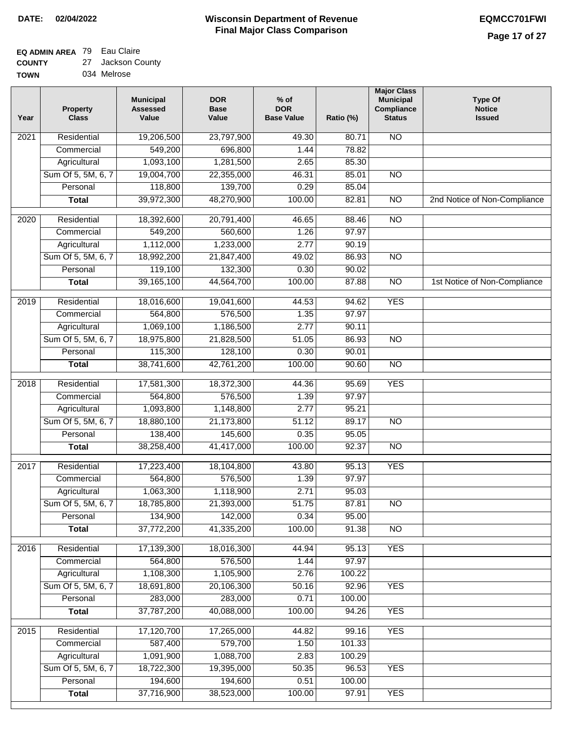### **EQ ADMIN AREA** 79 Eau Claire

| <b>COUNTY</b> | 27 Jackson County |
|---------------|-------------------|
| <b>TOWN</b>   | 034 Melrose       |

| Year              | <b>Property</b><br><b>Class</b> | <b>Municipal</b><br><b>Assessed</b><br>Value | <b>DOR</b><br><b>Base</b><br>Value | $%$ of<br><b>DOR</b><br><b>Base Value</b> | Ratio (%) | <b>Major Class</b><br><b>Municipal</b><br>Compliance<br><b>Status</b> | <b>Type Of</b><br><b>Notice</b><br><b>Issued</b> |
|-------------------|---------------------------------|----------------------------------------------|------------------------------------|-------------------------------------------|-----------|-----------------------------------------------------------------------|--------------------------------------------------|
| 2021              | Residential                     | 19,206,500                                   | 23,797,900                         | 49.30                                     | 80.71     | N <sub>O</sub>                                                        |                                                  |
|                   | Commercial                      | 549,200                                      | 696,800                            | 1.44                                      | 78.82     |                                                                       |                                                  |
|                   | Agricultural                    | 1,093,100                                    | 1,281,500                          | 2.65                                      | 85.30     |                                                                       |                                                  |
|                   | Sum Of 5, 5M, 6, 7              | 19,004,700                                   | 22,355,000                         | 46.31                                     | 85.01     | $\overline{NO}$                                                       |                                                  |
|                   | Personal                        | 118,800                                      | 139,700                            | 0.29                                      | 85.04     |                                                                       |                                                  |
|                   | <b>Total</b>                    | 39,972,300                                   | 48,270,900                         | 100.00                                    | 82.81     | $\overline{NO}$                                                       | 2nd Notice of Non-Compliance                     |
| $\overline{2020}$ | Residential                     | 18,392,600                                   | 20,791,400                         | 46.65                                     | 88.46     | $\overline{NO}$                                                       |                                                  |
|                   | Commercial                      | 549,200                                      | 560,600                            | 1.26                                      | 97.97     |                                                                       |                                                  |
|                   | Agricultural                    | 1,112,000                                    | 1,233,000                          | 2.77                                      | 90.19     |                                                                       |                                                  |
|                   | Sum Of 5, 5M, 6, 7              | 18,992,200                                   | 21,847,400                         | 49.02                                     | 86.93     | $\overline{NO}$                                                       |                                                  |
|                   | Personal                        | 119,100                                      | 132,300                            | 0.30                                      | 90.02     |                                                                       |                                                  |
|                   | <b>Total</b>                    | 39,165,100                                   | 44,564,700                         | 100.00                                    | 87.88     | $\overline{NO}$                                                       | 1st Notice of Non-Compliance                     |
| $\frac{1}{2019}$  | Residential                     | 18,016,600                                   | 19,041,600                         | 44.53                                     | 94.62     | <b>YES</b>                                                            |                                                  |
|                   | Commercial                      | 564,800                                      | 576,500                            | 1.35                                      | 97.97     |                                                                       |                                                  |
|                   | Agricultural                    | 1,069,100                                    | 1,186,500                          | 2.77                                      | 90.11     |                                                                       |                                                  |
|                   | Sum Of 5, 5M, 6, 7              | 18,975,800                                   | 21,828,500                         | 51.05                                     | 86.93     | $\overline{NO}$                                                       |                                                  |
|                   | Personal                        | 115,300                                      | 128,100                            | 0.30                                      | 90.01     |                                                                       |                                                  |
|                   | <b>Total</b>                    | 38,741,600                                   | 42,761,200                         | 100.00                                    | 90.60     | $\overline{NO}$                                                       |                                                  |
| 2018              | Residential                     | 17,581,300                                   | 18,372,300                         | 44.36                                     | 95.69     | <b>YES</b>                                                            |                                                  |
|                   | Commercial                      | 564,800                                      | 576,500                            | 1.39                                      | 97.97     |                                                                       |                                                  |
|                   | Agricultural                    | 1,093,800                                    | 1,148,800                          | 2.77                                      | 95.21     |                                                                       |                                                  |
|                   | Sum Of 5, 5M, 6, 7              | 18,880,100                                   | 21,173,800                         | 51.12                                     | 89.17     | $\overline{NO}$                                                       |                                                  |
|                   | Personal                        | 138,400                                      | 145,600                            | 0.35                                      | 95.05     |                                                                       |                                                  |
|                   | <b>Total</b>                    | 38,258,400                                   | 41,417,000                         | 100.00                                    | 92.37     | <b>NO</b>                                                             |                                                  |
| 2017              | Residential                     | 17,223,400                                   | 18,104,800                         | 43.80                                     | 95.13     | <b>YES</b>                                                            |                                                  |
|                   | Commercial                      | 564,800                                      | 576,500                            | 1.39                                      | 97.97     |                                                                       |                                                  |
|                   | Agricultural                    | 1,063,300                                    | 1,118,900                          | 2.71                                      | 95.03     |                                                                       |                                                  |
|                   | Sum Of 5, 5M, 6, 7              | 18,785,800                                   | 21,393,000                         | 51.75                                     | 87.81     | <b>NO</b>                                                             |                                                  |
|                   | Personal                        | 134,900                                      | 142,000                            | 0.34                                      | 95.00     |                                                                       |                                                  |
|                   | <b>Total</b>                    | 37,772,200                                   | 41,335,200                         | 100.00                                    | 91.38     | $\overline{NO}$                                                       |                                                  |
| 2016              | Residential                     | 17,139,300                                   | 18,016,300                         | 44.94                                     | 95.13     | <b>YES</b>                                                            |                                                  |
|                   | Commercial                      | 564,800                                      | 576,500                            | 1.44                                      | 97.97     |                                                                       |                                                  |
|                   | Agricultural                    | 1,108,300                                    | 1,105,900                          | 2.76                                      | 100.22    |                                                                       |                                                  |
|                   | Sum Of 5, 5M, 6, 7              | 18,691,800                                   | 20,106,300                         | 50.16                                     | 92.96     | <b>YES</b>                                                            |                                                  |
|                   | Personal                        | 283,000                                      | 283,000                            | 0.71                                      | 100.00    |                                                                       |                                                  |
|                   | <b>Total</b>                    | 37,787,200                                   | 40,088,000                         | 100.00                                    | 94.26     | <b>YES</b>                                                            |                                                  |
|                   |                                 |                                              |                                    |                                           |           |                                                                       |                                                  |
| 2015              | Residential                     | 17,120,700                                   | 17,265,000                         | 44.82                                     | 99.16     | <b>YES</b>                                                            |                                                  |
|                   | Commercial                      | 587,400                                      | 579,700                            | 1.50                                      | 101.33    |                                                                       |                                                  |
|                   | Agricultural                    | 1,091,900                                    | 1,088,700                          | 2.83                                      | 100.29    |                                                                       |                                                  |
|                   | Sum Of 5, 5M, 6, 7              | 18,722,300                                   | 19,395,000                         | 50.35                                     | 96.53     | <b>YES</b>                                                            |                                                  |
|                   | Personal                        | 194,600                                      | 194,600                            | 0.51                                      | 100.00    |                                                                       |                                                  |
|                   | <b>Total</b>                    | 37,716,900                                   | 38,523,000                         | 100.00                                    | 97.91     | <b>YES</b>                                                            |                                                  |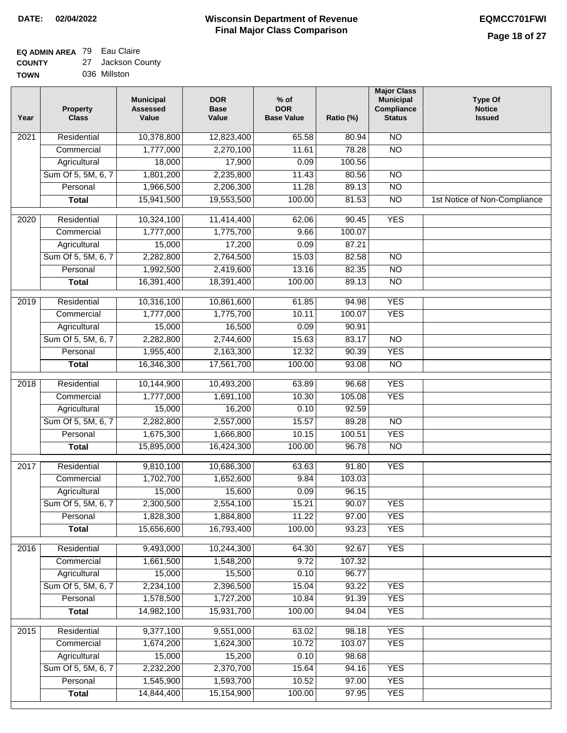### **EQ ADMIN AREA** 79 Eau Claire **COUNTY**

| <b>COUNTY</b> | 27 Jackson County |
|---------------|-------------------|
| <b>TOWN</b>   | 036 Millston      |

| Year | <b>Property</b><br><b>Class</b> | <b>Municipal</b><br><b>Assessed</b><br>Value | <b>DOR</b><br><b>Base</b><br>Value | $%$ of<br><b>DOR</b><br><b>Base Value</b> | Ratio (%) | <b>Major Class</b><br><b>Municipal</b><br>Compliance<br><b>Status</b> | <b>Type Of</b><br><b>Notice</b><br><b>Issued</b> |
|------|---------------------------------|----------------------------------------------|------------------------------------|-------------------------------------------|-----------|-----------------------------------------------------------------------|--------------------------------------------------|
| 2021 | Residential                     | 10,378,800                                   | 12,823,400                         | 65.58                                     | 80.94     | $\overline{NO}$                                                       |                                                  |
|      | Commercial                      | 1,777,000                                    | 2,270,100                          | 11.61                                     | 78.28     | $\overline{NO}$                                                       |                                                  |
|      | Agricultural                    | 18,000                                       | 17,900                             | 0.09                                      | 100.56    |                                                                       |                                                  |
|      | Sum Of 5, 5M, 6, 7              | 1,801,200                                    | 2,235,800                          | 11.43                                     | 80.56     | $\overline{NO}$                                                       |                                                  |
|      | Personal                        | 1,966,500                                    | 2,206,300                          | 11.28                                     | 89.13     | $\overline{NO}$                                                       |                                                  |
|      | <b>Total</b>                    | 15,941,500                                   | 19,553,500                         | 100.00                                    | 81.53     | $\overline{NO}$                                                       | 1st Notice of Non-Compliance                     |
| 2020 | Residential                     | 10,324,100                                   | 11,414,400                         | 62.06                                     | 90.45     | <b>YES</b>                                                            |                                                  |
|      | Commercial                      | 1,777,000                                    | 1,775,700                          | 9.66                                      | 100.07    |                                                                       |                                                  |
|      | Agricultural                    | 15,000                                       | 17,200                             | 0.09                                      | 87.21     |                                                                       |                                                  |
|      | Sum Of 5, 5M, 6, 7              | 2,282,800                                    | 2,764,500                          | 15.03                                     | 82.58     | $\overline{NO}$                                                       |                                                  |
|      | Personal                        | 1,992,500                                    | 2,419,600                          | 13.16                                     | 82.35     | $\overline{NO}$                                                       |                                                  |
|      | <b>Total</b>                    | 16,391,400                                   | 18,391,400                         | 100.00                                    | 89.13     | $\overline{NO}$                                                       |                                                  |
|      |                                 |                                              |                                    |                                           |           |                                                                       |                                                  |
| 2019 | Residential                     | 10,316,100                                   | 10,861,600                         | 61.85                                     | 94.98     | <b>YES</b>                                                            |                                                  |
|      | Commercial                      | 1,777,000                                    | 1,775,700                          | 10.11                                     | 100.07    | <b>YES</b>                                                            |                                                  |
|      | Agricultural                    | 15,000                                       | 16,500                             | 0.09                                      | 90.91     |                                                                       |                                                  |
|      | Sum Of 5, 5M, 6, 7              | 2,282,800                                    | 2,744,600                          | 15.63                                     | 83.17     | $\overline{NO}$                                                       |                                                  |
|      | Personal                        | 1,955,400                                    | 2,163,300                          | 12.32                                     | 90.39     | <b>YES</b>                                                            |                                                  |
|      | <b>Total</b>                    | 16,346,300                                   | 17,561,700                         | 100.00                                    | 93.08     | $\overline{NO}$                                                       |                                                  |
| 2018 | Residential                     | 10,144,900                                   | 10,493,200                         | 63.89                                     | 96.68     | <b>YES</b>                                                            |                                                  |
|      | Commercial                      | 1,777,000                                    | 1,691,100                          | 10.30                                     | 105.08    | <b>YES</b>                                                            |                                                  |
|      | Agricultural                    | 15,000                                       | 16,200                             | 0.10                                      | 92.59     |                                                                       |                                                  |
|      | Sum Of 5, 5M, 6, 7              | 2,282,800                                    | 2,557,000                          | 15.57                                     | 89.28     | N <sub>O</sub>                                                        |                                                  |
|      | Personal                        | 1,675,300                                    | 1,666,800                          | 10.15                                     | 100.51    | <b>YES</b>                                                            |                                                  |
|      | <b>Total</b>                    | 15,895,000                                   | 16,424,300                         | 100.00                                    | 96.78     | <b>NO</b>                                                             |                                                  |
| 2017 | Residential                     | 9,810,100                                    | 10,686,300                         | 63.63                                     | 91.80     | <b>YES</b>                                                            |                                                  |
|      | Commercial                      | 1,702,700                                    | 1,652,600                          | 9.84                                      | 103.03    |                                                                       |                                                  |
|      | Agricultural                    | 15,000                                       | 15,600                             | 0.09                                      | 96.15     |                                                                       |                                                  |
|      | Sum Of 5, 5M, 6, 7              | 2,300,500                                    | 2,554,100                          | 15.21                                     | 90.07     | YES                                                                   |                                                  |
|      | Personal                        | 1,828,300                                    | 1,884,800                          | 11.22                                     | 97.00     | <b>YES</b>                                                            |                                                  |
|      | <b>Total</b>                    | 15,656,600                                   | 16,793,400                         | 100.00                                    | 93.23     | <b>YES</b>                                                            |                                                  |
| 2016 | Residential                     | 9,493,000                                    | 10,244,300                         | 64.30                                     | 92.67     | <b>YES</b>                                                            |                                                  |
|      | Commercial                      | 1,661,500                                    | 1,548,200                          | 9.72                                      | 107.32    |                                                                       |                                                  |
|      | Agricultural                    | 15,000                                       | 15,500                             | 0.10                                      | 96.77     |                                                                       |                                                  |
|      | Sum Of 5, 5M, 6, 7              | 2,234,100                                    | 2,396,500                          | 15.04                                     | 93.22     | <b>YES</b>                                                            |                                                  |
|      | Personal                        | 1,578,500                                    | 1,727,200                          | 10.84                                     | 91.39     | <b>YES</b>                                                            |                                                  |
|      | <b>Total</b>                    | 14,982,100                                   | 15,931,700                         | 100.00                                    | 94.04     | <b>YES</b>                                                            |                                                  |
| 2015 | Residential                     | 9,377,100                                    | 9,551,000                          | 63.02                                     | 98.18     | <b>YES</b>                                                            |                                                  |
|      | Commercial                      | 1,674,200                                    | 1,624,300                          | 10.72                                     | 103.07    | <b>YES</b>                                                            |                                                  |
|      | Agricultural                    | 15,000                                       | 15,200                             | 0.10                                      | 98.68     |                                                                       |                                                  |
|      | Sum Of 5, 5M, 6, 7              | 2,232,200                                    | 2,370,700                          | 15.64                                     | 94.16     | <b>YES</b>                                                            |                                                  |
|      | Personal                        | 1,545,900                                    | 1,593,700                          | 10.52                                     | 97.00     | <b>YES</b>                                                            |                                                  |
|      | <b>Total</b>                    | 14,844,400                                   | 15,154,900                         | 100.00                                    | 97.95     | <b>YES</b>                                                            |                                                  |
|      |                                 |                                              |                                    |                                           |           |                                                                       |                                                  |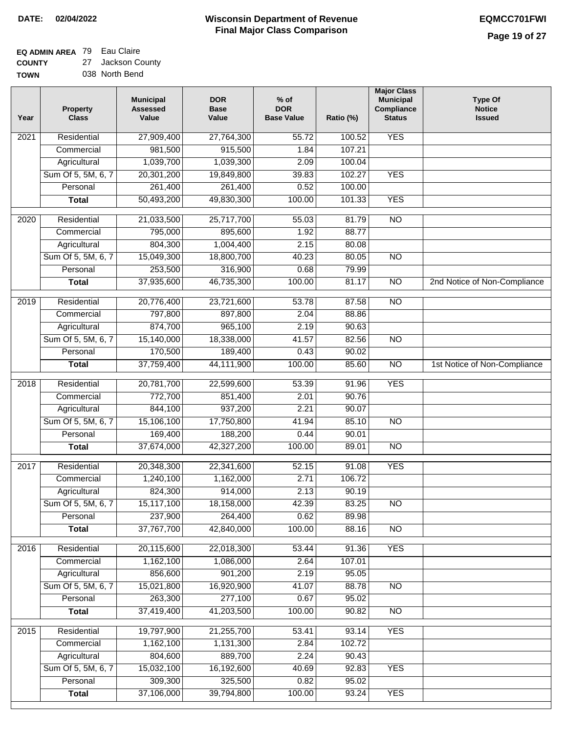# **EQ ADMIN AREA** 79 Eau Claire

**COUNTY TOWN** 27 Jackson County 038 North Bend

| Year | <b>Property</b><br><b>Class</b> | <b>Municipal</b><br><b>Assessed</b><br>Value | <b>DOR</b><br><b>Base</b><br>Value | $%$ of<br><b>DOR</b><br><b>Base Value</b> | Ratio (%) | <b>Major Class</b><br><b>Municipal</b><br>Compliance<br><b>Status</b> | <b>Type Of</b><br><b>Notice</b><br><b>Issued</b> |
|------|---------------------------------|----------------------------------------------|------------------------------------|-------------------------------------------|-----------|-----------------------------------------------------------------------|--------------------------------------------------|
| 2021 | Residential                     | 27,909,400                                   | 27,764,300                         | 55.72                                     | 100.52    | <b>YES</b>                                                            |                                                  |
|      | Commercial                      | 981,500                                      | 915,500                            | 1.84                                      | 107.21    |                                                                       |                                                  |
|      | Agricultural                    | 1,039,700                                    | 1,039,300                          | 2.09                                      | 100.04    |                                                                       |                                                  |
|      | Sum Of 5, 5M, 6, 7              | 20,301,200                                   | 19,849,800                         | 39.83                                     | 102.27    | <b>YES</b>                                                            |                                                  |
|      | Personal                        | 261,400                                      | 261,400                            | 0.52                                      | 100.00    |                                                                       |                                                  |
|      | <b>Total</b>                    | 50,493,200                                   | 49,830,300                         | 100.00                                    | 101.33    | <b>YES</b>                                                            |                                                  |
| 2020 | Residential                     | 21,033,500                                   | 25,717,700                         | 55.03                                     | 81.79     | $\overline{NO}$                                                       |                                                  |
|      | Commercial                      | 795,000                                      | 895,600                            | 1.92                                      | 88.77     |                                                                       |                                                  |
|      | Agricultural                    | 804,300                                      | 1,004,400                          | 2.15                                      | 80.08     |                                                                       |                                                  |
|      | Sum Of 5, 5M, 6, 7              | 15,049,300                                   | 18,800,700                         | 40.23                                     | 80.05     | $\overline{NO}$                                                       |                                                  |
|      | Personal                        | 253,500                                      | 316,900                            | 0.68                                      | 79.99     |                                                                       |                                                  |
|      | <b>Total</b>                    | 37,935,600                                   | 46,735,300                         | 100.00                                    | 81.17     | $\overline{NO}$                                                       | 2nd Notice of Non-Compliance                     |
| 2019 | Residential                     | 20,776,400                                   | 23,721,600                         | 53.78                                     | 87.58     | $\overline{3}$                                                        |                                                  |
|      | Commercial                      | 797,800                                      | 897,800                            | 2.04                                      | 88.86     |                                                                       |                                                  |
|      | Agricultural                    | 874,700                                      | 965,100                            | 2.19                                      | 90.63     |                                                                       |                                                  |
|      | Sum Of 5, 5M, 6, 7              | 15,140,000                                   | 18,338,000                         | 41.57                                     | 82.56     | $\overline{NO}$                                                       |                                                  |
|      | Personal                        | 170,500                                      | 189,400                            | 0.43                                      | 90.02     |                                                                       |                                                  |
|      | <b>Total</b>                    | 37,759,400                                   | 44,111,900                         | 100.00                                    | 85.60     | $\overline{NO}$                                                       | 1st Notice of Non-Compliance                     |
|      |                                 |                                              |                                    |                                           |           |                                                                       |                                                  |
| 2018 | Residential                     | 20,781,700                                   | 22,599,600                         | 53.39                                     | 91.96     | <b>YES</b>                                                            |                                                  |
|      | Commercial                      | 772,700                                      | 851,400                            | 2.01                                      | 90.76     |                                                                       |                                                  |
|      | Agricultural                    | 844,100                                      | 937,200                            | 2.21                                      | 90.07     |                                                                       |                                                  |
|      | Sum Of 5, 5M, 6, 7              | 15,106,100                                   | 17,750,800                         | 41.94                                     | 85.10     | $\overline{10}$                                                       |                                                  |
|      | Personal                        | 169,400                                      | 188,200                            | 0.44                                      | 90.01     |                                                                       |                                                  |
|      | <b>Total</b>                    | 37,674,000                                   | 42,327,200                         | 100.00                                    | 89.01     | <b>NO</b>                                                             |                                                  |
| 2017 | Residential                     | 20,348,300                                   | 22,341,600                         | 52.15                                     | 91.08     | <b>YES</b>                                                            |                                                  |
|      | Commercial                      | 1,240,100                                    | 1,162,000                          | 2.71                                      | 106.72    |                                                                       |                                                  |
|      | Agricultural                    | 824,300                                      | 914,000                            | 2.13                                      | 90.19     |                                                                       |                                                  |
|      | Sum Of 5, 5M, 6, 7              | 15,117,100                                   | 18,158,000                         | 42.39                                     | 83.25     | <b>NO</b>                                                             |                                                  |
|      | Personal                        | 237,900                                      | 264,400                            | 0.62                                      | 89.98     |                                                                       |                                                  |
|      | <b>Total</b>                    | 37,767,700                                   | 42,840,000                         | 100.00                                    | 88.16     | <b>NO</b>                                                             |                                                  |
| 2016 | Residential                     | 20,115,600                                   | 22,018,300                         | 53.44                                     | 91.36     | <b>YES</b>                                                            |                                                  |
|      | Commercial                      | 1,162,100                                    | 1,086,000                          | 2.64                                      | 107.01    |                                                                       |                                                  |
|      | Agricultural                    | 856,600                                      | 901,200                            | 2.19                                      | 95.05     |                                                                       |                                                  |
|      | Sum Of 5, 5M, 6, 7              | 15,021,800                                   | 16,920,900                         | 41.07                                     | 88.78     | $\overline{NO}$                                                       |                                                  |
|      | Personal                        | 263,300                                      | 277,100                            | 0.67                                      | 95.02     |                                                                       |                                                  |
|      | <b>Total</b>                    | 37,419,400                                   | 41,203,500                         | 100.00                                    | 90.82     | N <sub>O</sub>                                                        |                                                  |
| 2015 | Residential                     | 19,797,900                                   | 21,255,700                         | 53.41                                     | 93.14     | <b>YES</b>                                                            |                                                  |
|      | Commercial                      | 1,162,100                                    | 1,131,300                          | 2.84                                      | 102.72    |                                                                       |                                                  |
|      | Agricultural                    | 804,600                                      | 889,700                            | 2.24                                      | 90.43     |                                                                       |                                                  |
|      | Sum Of 5, 5M, 6, 7              | 15,032,100                                   | 16,192,600                         | 40.69                                     | 92.83     | <b>YES</b>                                                            |                                                  |
|      | Personal                        | 309,300                                      | 325,500                            | 0.82                                      | 95.02     |                                                                       |                                                  |
|      | <b>Total</b>                    | 37,106,000                                   | 39,794,800                         | 100.00                                    | 93.24     | <b>YES</b>                                                            |                                                  |
|      |                                 |                                              |                                    |                                           |           |                                                                       |                                                  |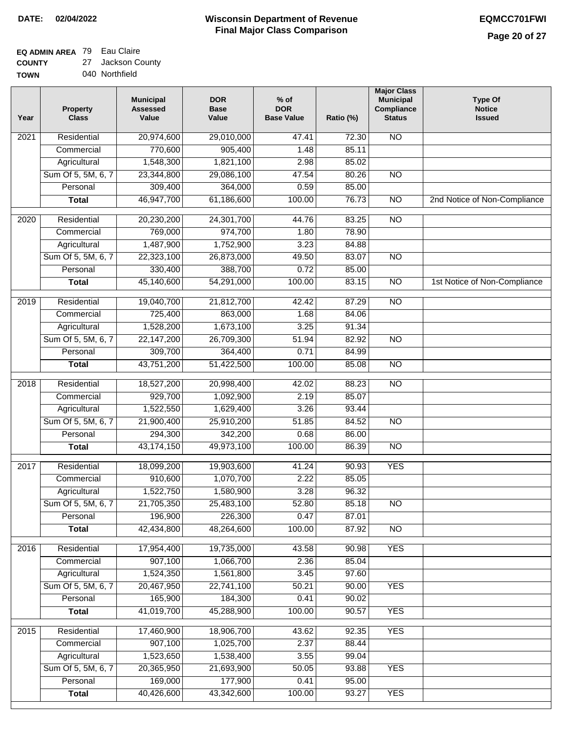### **Wisconsin Department of Revenue Final Major Class Comparison DATE: 02/04/2022 EQMCC701FWI**

# **EQ ADMIN AREA** 79 Eau Claire

**COUNTY TOWN** 27 Jackson County 040 Northfield

| Year              | <b>Property</b><br><b>Class</b> | <b>Municipal</b><br><b>Assessed</b><br>Value | <b>DOR</b><br><b>Base</b><br>Value | % of<br><b>DOR</b><br><b>Base Value</b> | Ratio (%) | <b>Major Class</b><br><b>Municipal</b><br>Compliance<br><b>Status</b> | <b>Type Of</b><br><b>Notice</b><br><b>Issued</b> |
|-------------------|---------------------------------|----------------------------------------------|------------------------------------|-----------------------------------------|-----------|-----------------------------------------------------------------------|--------------------------------------------------|
| 2021              | Residential                     | 20,974,600                                   | 29,010,000                         | 47.41                                   | 72.30     | <b>NO</b>                                                             |                                                  |
|                   | Commercial                      | 770,600                                      | 905,400                            | 1.48                                    | 85.11     |                                                                       |                                                  |
|                   | Agricultural                    | 1,548,300                                    | 1,821,100                          | 2.98                                    | 85.02     |                                                                       |                                                  |
|                   | Sum Of 5, 5M, 6, 7              | 23,344,800                                   | 29,086,100                         | 47.54                                   | 80.26     | $\overline{NO}$                                                       |                                                  |
|                   | Personal                        | 309,400                                      | 364,000                            | 0.59                                    | 85.00     |                                                                       |                                                  |
|                   | <b>Total</b>                    | 46,947,700                                   | 61,186,600                         | 100.00                                  | 76.73     | $\overline{NO}$                                                       | 2nd Notice of Non-Compliance                     |
| $\overline{2020}$ | Residential                     | 20,230,200                                   | 24,301,700                         | 44.76                                   | 83.25     | $\overline{NO}$                                                       |                                                  |
|                   | Commercial                      | 769,000                                      | 974,700                            | 1.80                                    | 78.90     |                                                                       |                                                  |
|                   | Agricultural                    | 1,487,900                                    | 1,752,900                          | 3.23                                    | 84.88     |                                                                       |                                                  |
|                   | Sum Of 5, 5M, 6, 7              | 22,323,100                                   | 26,873,000                         | 49.50                                   | 83.07     | <b>NO</b>                                                             |                                                  |
|                   | Personal                        | 330,400                                      | 388,700                            | 0.72                                    | 85.00     |                                                                       |                                                  |
|                   | <b>Total</b>                    | 45,140,600                                   | 54,291,000                         | 100.00                                  | 83.15     | $\overline{NO}$                                                       | 1st Notice of Non-Compliance                     |
| 2019              | Residential                     | 19,040,700                                   | 21,812,700                         | 42.42                                   | 87.29     | $\overline{NO}$                                                       |                                                  |
|                   | Commercial                      | 725,400                                      | 863,000                            | 1.68                                    | 84.06     |                                                                       |                                                  |
|                   | Agricultural                    | 1,528,200                                    | 1,673,100                          | 3.25                                    | 91.34     |                                                                       |                                                  |
|                   | Sum Of 5, 5M, 6, 7              | 22,147,200                                   | 26,709,300                         | 51.94                                   | 82.92     | $\overline{NO}$                                                       |                                                  |
|                   | Personal                        | 309,700                                      | 364,400                            | 0.71                                    | 84.99     |                                                                       |                                                  |
|                   | <b>Total</b>                    | 43,751,200                                   | 51,422,500                         | 100.00                                  | 85.08     | $\overline{NO}$                                                       |                                                  |
| 2018              | Residential                     | 18,527,200                                   | 20,998,400                         | 42.02                                   | 88.23     | $\overline{NO}$                                                       |                                                  |
|                   | Commercial                      | 929,700                                      | 1,092,900                          | 2.19                                    | 85.07     |                                                                       |                                                  |
|                   | Agricultural                    | 1,522,550                                    | 1,629,400                          | 3.26                                    | 93.44     |                                                                       |                                                  |
|                   | Sum Of 5, 5M, 6, 7              | 21,900,400                                   | 25,910,200                         | 51.85                                   | 84.52     | <b>NO</b>                                                             |                                                  |
|                   | Personal                        | 294,300                                      | 342,200                            | 0.68                                    | 86.00     |                                                                       |                                                  |
|                   | <b>Total</b>                    | 43,174,150                                   | 49,973,100                         | 100.00                                  | 86.39     | $\overline{10}$                                                       |                                                  |
| 2017              | Residential                     | 18,099,200                                   | 19,903,600                         | 41.24                                   | 90.93     | <b>YES</b>                                                            |                                                  |
|                   | Commercial                      | 910,600                                      | 1,070,700                          | 2.22                                    | 85.05     |                                                                       |                                                  |
|                   | Agricultural                    | 1,522,750                                    | 1,580,900                          | 3.28                                    | 96.32     |                                                                       |                                                  |
|                   | Sum Of 5, 5M, 6, 7              | 21,705,350                                   | 25,483,100                         | 52.80                                   | 85.18     | $\overline{N}$                                                        |                                                  |
|                   | Personal                        | 196,900                                      | 226,300                            | 0.47                                    | 87.01     |                                                                       |                                                  |
|                   | <b>Total</b>                    | 42,434,800                                   | 48,264,600                         | 100.00                                  | 87.92     | $\overline{30}$                                                       |                                                  |
| 2016              | Residential                     | 17,954,400                                   | 19,735,000                         | 43.58                                   | 90.98     | <b>YES</b>                                                            |                                                  |
|                   | Commercial                      | 907,100                                      | 1,066,700                          | 2.36                                    | 85.04     |                                                                       |                                                  |
|                   | Agricultural                    | 1,524,350                                    | 1,561,800                          | 3.45                                    | 97.60     |                                                                       |                                                  |
|                   | Sum Of 5, 5M, 6, 7              | 20,467,950                                   | 22,741,100                         | 50.21                                   | 90.00     | <b>YES</b>                                                            |                                                  |
|                   | Personal                        | 165,900                                      | 184,300                            | 0.41                                    | 90.02     |                                                                       |                                                  |
|                   | <b>Total</b>                    | 41,019,700                                   | 45,288,900                         | 100.00                                  | 90.57     | <b>YES</b>                                                            |                                                  |
| 2015              | Residential                     | 17,460,900                                   | 18,906,700                         | 43.62                                   | 92.35     | <b>YES</b>                                                            |                                                  |
|                   | Commercial                      | 907,100                                      | 1,025,700                          | 2.37                                    | 88.44     |                                                                       |                                                  |
|                   | Agricultural                    | 1,523,650                                    | 1,538,400                          | 3.55                                    | 99.04     |                                                                       |                                                  |
|                   | Sum Of 5, 5M, 6, 7              | 20,365,950                                   | 21,693,900                         | 50.05                                   | 93.88     | <b>YES</b>                                                            |                                                  |
|                   | Personal                        | 169,000                                      | 177,900                            | 0.41                                    | 95.00     |                                                                       |                                                  |
|                   | <b>Total</b>                    | 40,426,600                                   | 43,342,600                         | 100.00                                  | 93.27     | <b>YES</b>                                                            |                                                  |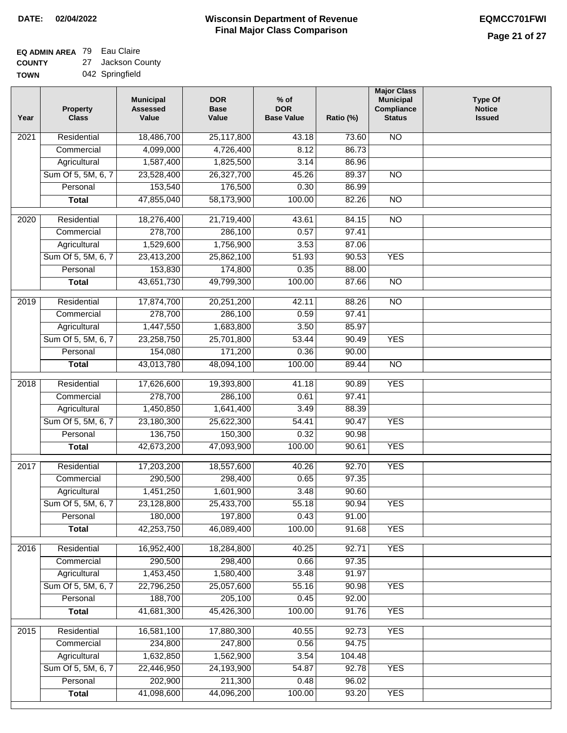# **EQ ADMIN AREA** 79 Eau Claire

**COUNTY TOWN** 27 Jackson County

|  | 042 Springfield |
|--|-----------------|
|  |                 |

| Year              | <b>Property</b><br><b>Class</b> | <b>Municipal</b><br><b>Assessed</b><br>Value | <b>DOR</b><br><b>Base</b><br>Value | $%$ of<br><b>DOR</b><br><b>Base Value</b> | Ratio (%) | <b>Major Class</b><br><b>Municipal</b><br>Compliance<br><b>Status</b> | <b>Type Of</b><br><b>Notice</b><br><b>Issued</b> |
|-------------------|---------------------------------|----------------------------------------------|------------------------------------|-------------------------------------------|-----------|-----------------------------------------------------------------------|--------------------------------------------------|
| 2021              | Residential                     | 18,486,700                                   | 25,117,800                         | 43.18                                     | 73.60     | N <sub>O</sub>                                                        |                                                  |
|                   | Commercial                      | 4,099,000                                    | 4,726,400                          | 8.12                                      | 86.73     |                                                                       |                                                  |
|                   | Agricultural                    | 1,587,400                                    | 1,825,500                          | 3.14                                      | 86.96     |                                                                       |                                                  |
|                   | Sum Of 5, 5M, 6, 7              | 23,528,400                                   | 26,327,700                         | 45.26                                     | 89.37     | $\overline{NO}$                                                       |                                                  |
|                   | Personal                        | 153,540                                      | 176,500                            | 0.30                                      | 86.99     |                                                                       |                                                  |
|                   | <b>Total</b>                    | 47,855,040                                   | 58,173,900                         | 100.00                                    | 82.26     | $\overline{NO}$                                                       |                                                  |
| 2020              | Residential                     | 18,276,400                                   | 21,719,400                         | 43.61                                     | 84.15     | $\overline{3}$                                                        |                                                  |
|                   | Commercial                      | 278,700                                      | 286,100                            | 0.57                                      | 97.41     |                                                                       |                                                  |
|                   | Agricultural                    | 1,529,600                                    | 1,756,900                          | 3.53                                      | 87.06     |                                                                       |                                                  |
|                   | Sum Of 5, 5M, 6, 7              | 23,413,200                                   | 25,862,100                         | 51.93                                     | 90.53     | <b>YES</b>                                                            |                                                  |
|                   | Personal                        | 153,830                                      | 174,800                            | 0.35                                      | 88.00     |                                                                       |                                                  |
|                   | <b>Total</b>                    | 43,651,730                                   | 49,799,300                         | 100.00                                    | 87.66     | $\overline{NO}$                                                       |                                                  |
|                   |                                 |                                              |                                    |                                           |           |                                                                       |                                                  |
| 2019              | Residential                     | 17,874,700                                   | 20,251,200                         | 42.11                                     | 88.26     | $\overline{NO}$                                                       |                                                  |
|                   | Commercial                      | 278,700                                      | 286,100                            | 0.59                                      | 97.41     |                                                                       |                                                  |
|                   | Agricultural                    | 1,447,550                                    | 1,683,800                          | 3.50                                      | 85.97     |                                                                       |                                                  |
|                   | Sum Of 5, 5M, 6, 7              | 23,258,750                                   | 25,701,800                         | 53.44                                     | 90.49     | <b>YES</b>                                                            |                                                  |
|                   | Personal                        | 154,080                                      | 171,200                            | 0.36                                      | 90.00     |                                                                       |                                                  |
|                   | <b>Total</b>                    | 43,013,780                                   | 48,094,100                         | 100.00                                    | 89.44     | $\overline{NO}$                                                       |                                                  |
| 2018              | Residential                     | 17,626,600                                   | 19,393,800                         | 41.18                                     | 90.89     | <b>YES</b>                                                            |                                                  |
|                   | Commercial                      | 278,700                                      | 286,100                            | 0.61                                      | 97.41     |                                                                       |                                                  |
|                   | Agricultural                    | 1,450,850                                    | 1,641,400                          | 3.49                                      | 88.39     |                                                                       |                                                  |
|                   | Sum Of 5, 5M, 6, 7              | 23,180,300                                   | 25,622,300                         | 54.41                                     | 90.47     | <b>YES</b>                                                            |                                                  |
|                   | Personal                        | 136,750                                      | 150,300                            | 0.32                                      | 90.98     |                                                                       |                                                  |
|                   | <b>Total</b>                    | 42,673,200                                   | 47,093,900                         | 100.00                                    | 90.61     | <b>YES</b>                                                            |                                                  |
| 2017              | Residential                     | 17,203,200                                   | 18,557,600                         | 40.26                                     | 92.70     | <b>YES</b>                                                            |                                                  |
|                   | Commercial                      | 290,500                                      | 298,400                            | 0.65                                      | 97.35     |                                                                       |                                                  |
|                   | Agricultural                    | 1,451,250                                    | 1,601,900                          | 3.48                                      | 90.60     |                                                                       |                                                  |
|                   | Sum Of 5, 5M, 6, 7              | 23,128,800                                   | 25,433,700                         | 55.18                                     | 90.94     | <b>YES</b>                                                            |                                                  |
|                   | Personal                        | 180,000                                      | 197,800                            | 0.43                                      | 91.00     |                                                                       |                                                  |
|                   | <b>Total</b>                    | 42,253,750                                   | 46,089,400                         | 100.00                                    | 91.68     | <b>YES</b>                                                            |                                                  |
| 2016              | Residential                     | 16,952,400                                   | 18,284,800                         | 40.25                                     | 92.71     | <b>YES</b>                                                            |                                                  |
|                   | Commercial                      | 290,500                                      | 298,400                            | 0.66                                      | 97.35     |                                                                       |                                                  |
|                   | Agricultural                    | 1,453,450                                    | 1,580,400                          | 3.48                                      | 91.97     |                                                                       |                                                  |
|                   | Sum Of 5, 5M, 6, 7              | 22,796,250                                   | 25,057,600                         | 55.16                                     | 90.98     | <b>YES</b>                                                            |                                                  |
|                   | Personal                        | 188,700                                      | 205,100                            | 0.45                                      | 92.00     |                                                                       |                                                  |
|                   | <b>Total</b>                    | 41,681,300                                   | 45,426,300                         | 100.00                                    | 91.76     | <b>YES</b>                                                            |                                                  |
|                   |                                 |                                              |                                    |                                           |           |                                                                       |                                                  |
| $\overline{2015}$ | Residential                     | 16,581,100                                   | 17,880,300                         | 40.55                                     | 92.73     | <b>YES</b>                                                            |                                                  |
|                   | Commercial                      | 234,800                                      | 247,800                            | 0.56                                      | 94.75     |                                                                       |                                                  |
|                   | Agricultural                    | 1,632,850                                    | 1,562,900                          | 3.54                                      | 104.48    |                                                                       |                                                  |
|                   | Sum Of 5, 5M, 6, 7              | 22,446,950                                   | 24,193,900                         | 54.87                                     | 92.78     | <b>YES</b>                                                            |                                                  |
|                   | Personal                        | 202,900                                      | 211,300                            | 0.48                                      | 96.02     |                                                                       |                                                  |
|                   | <b>Total</b>                    | 41,098,600                                   | 44,096,200                         | 100.00                                    | 93.20     | <b>YES</b>                                                            |                                                  |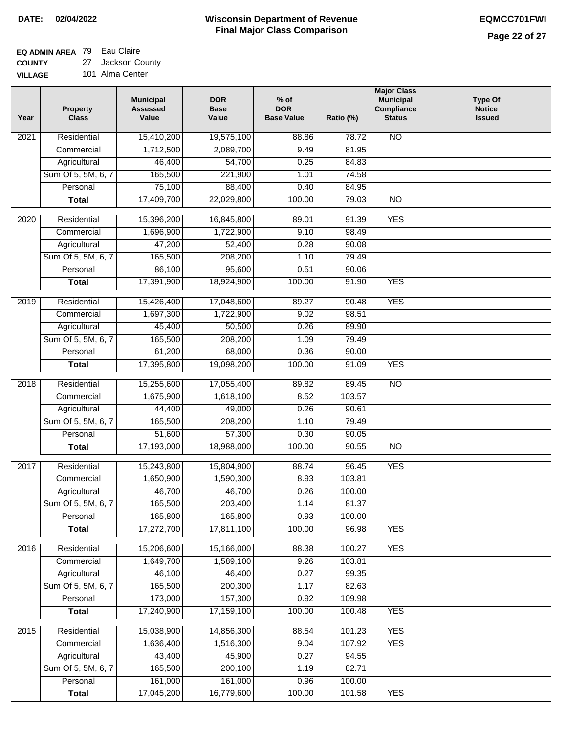## **EQ ADMIN AREA** 79 Eau Claire

**COUNTY** 27 Jackson County

**VILLAGE** 101 Alma Center

| Year | <b>Property</b><br><b>Class</b> | <b>Municipal</b><br><b>Assessed</b><br>Value | <b>DOR</b><br><b>Base</b><br>Value | $%$ of<br><b>DOR</b><br><b>Base Value</b> | Ratio (%) | <b>Major Class</b><br><b>Municipal</b><br>Compliance<br><b>Status</b> | <b>Type Of</b><br><b>Notice</b><br><b>Issued</b> |
|------|---------------------------------|----------------------------------------------|------------------------------------|-------------------------------------------|-----------|-----------------------------------------------------------------------|--------------------------------------------------|
| 2021 | Residential                     | 15,410,200                                   | 19,575,100                         | 88.86                                     | 78.72     | N <sub>O</sub>                                                        |                                                  |
|      | Commercial                      | 1,712,500                                    | 2,089,700                          | 9.49                                      | 81.95     |                                                                       |                                                  |
|      | Agricultural                    | 46,400                                       | 54,700                             | 0.25                                      | 84.83     |                                                                       |                                                  |
|      | Sum Of 5, 5M, 6, 7              | 165,500                                      | 221,900                            | 1.01                                      | 74.58     |                                                                       |                                                  |
|      | Personal                        | 75,100                                       | 88,400                             | 0.40                                      | 84.95     |                                                                       |                                                  |
|      | <b>Total</b>                    | 17,409,700                                   | 22,029,800                         | 100.00                                    | 79.03     | $\overline{NO}$                                                       |                                                  |
| 2020 | Residential                     | 15,396,200                                   | 16,845,800                         | 89.01                                     | 91.39     | <b>YES</b>                                                            |                                                  |
|      | Commercial                      | 1,696,900                                    | 1,722,900                          | 9.10                                      | 98.49     |                                                                       |                                                  |
|      | Agricultural                    | 47,200                                       | 52,400                             | 0.28                                      | 90.08     |                                                                       |                                                  |
|      | Sum Of 5, 5M, 6, 7              | 165,500                                      | 208,200                            | 1.10                                      | 79.49     |                                                                       |                                                  |
|      | Personal                        | 86,100                                       | 95,600                             | 0.51                                      | 90.06     |                                                                       |                                                  |
|      | <b>Total</b>                    | 17,391,900                                   | 18,924,900                         | 100.00                                    | 91.90     | <b>YES</b>                                                            |                                                  |
| 2019 | Residential                     | 15,426,400                                   | 17,048,600                         | 89.27                                     | 90.48     | <b>YES</b>                                                            |                                                  |
|      | Commercial                      | 1,697,300                                    | 1,722,900                          | 9.02                                      | 98.51     |                                                                       |                                                  |
|      | Agricultural                    | 45,400                                       | 50,500                             | 0.26                                      | 89.90     |                                                                       |                                                  |
|      | Sum Of 5, 5M, 6, 7              | 165,500                                      | 208,200                            | 1.09                                      | 79.49     |                                                                       |                                                  |
|      | Personal                        | 61,200                                       | 68,000                             | 0.36                                      | 90.00     |                                                                       |                                                  |
|      | <b>Total</b>                    | 17,395,800                                   | 19,098,200                         | 100.00                                    | 91.09     | <b>YES</b>                                                            |                                                  |
|      |                                 |                                              |                                    |                                           |           |                                                                       |                                                  |
| 2018 | Residential                     | 15,255,600                                   | 17,055,400                         | 89.82                                     | 89.45     | $\overline{10}$                                                       |                                                  |
|      | Commercial                      | 1,675,900                                    | 1,618,100                          | 8.52                                      | 103.57    |                                                                       |                                                  |
|      | Agricultural                    | 44,400                                       | 49,000                             | 0.26                                      | 90.61     |                                                                       |                                                  |
|      | Sum Of 5, 5M, 6, 7              | 165,500                                      | 208,200                            | 1.10                                      | 79.49     |                                                                       |                                                  |
|      | Personal                        | 51,600                                       | 57,300                             | 0.30                                      | 90.05     |                                                                       |                                                  |
|      | <b>Total</b>                    | 17,193,000                                   | 18,988,000                         | 100.00                                    | 90.55     | <b>NO</b>                                                             |                                                  |
| 2017 | Residential                     | 15,243,800                                   | 15,804,900                         | 88.74                                     | 96.45     | <b>YES</b>                                                            |                                                  |
|      | Commercial                      | 1,650,900                                    | 1,590,300                          | 8.93                                      | 103.81    |                                                                       |                                                  |
|      | Agricultural                    | 46,700                                       | 46,700                             | 0.26                                      | 100.00    |                                                                       |                                                  |
|      | Sum Of 5, 5M, 6, 7              | 165,500                                      | 203,400                            | 1.14                                      | 81.37     |                                                                       |                                                  |
|      | Personal                        | 165,800                                      | 165,800                            | 0.93                                      | 100.00    |                                                                       |                                                  |
|      | <b>Total</b>                    | 17,272,700                                   | 17,811,100                         | 100.00                                    | 96.98     | <b>YES</b>                                                            |                                                  |
| 2016 | Residential                     | 15,206,600                                   | 15,166,000                         | 88.38                                     | 100.27    | <b>YES</b>                                                            |                                                  |
|      | Commercial                      | 1,649,700                                    | 1,589,100                          | 9.26                                      | 103.81    |                                                                       |                                                  |
|      | Agricultural                    | 46,100                                       | 46,400                             | 0.27                                      | 99.35     |                                                                       |                                                  |
|      | Sum Of 5, 5M, 6, 7              | 165,500                                      | 200,300                            | 1.17                                      | 82.63     |                                                                       |                                                  |
|      | Personal                        | 173,000                                      | 157,300                            | 0.92                                      | 109.98    |                                                                       |                                                  |
|      | <b>Total</b>                    | 17,240,900                                   | 17,159,100                         | 100.00                                    | 100.48    | <b>YES</b>                                                            |                                                  |
| 2015 | Residential                     | 15,038,900                                   | 14,856,300                         | 88.54                                     | 101.23    | <b>YES</b>                                                            |                                                  |
|      | Commercial                      | 1,636,400                                    | 1,516,300                          | 9.04                                      | 107.92    | <b>YES</b>                                                            |                                                  |
|      | Agricultural                    | 43,400                                       | 45,900                             | 0.27                                      | 94.55     |                                                                       |                                                  |
|      | Sum Of 5, 5M, 6, 7              | 165,500                                      | 200,100                            | 1.19                                      | 82.71     |                                                                       |                                                  |
|      | Personal                        | 161,000                                      | 161,000                            | 0.96                                      | 100.00    |                                                                       |                                                  |
|      | <b>Total</b>                    | 17,045,200                                   | 16,779,600                         | 100.00                                    | 101.58    | <b>YES</b>                                                            |                                                  |
|      |                                 |                                              |                                    |                                           |           |                                                                       |                                                  |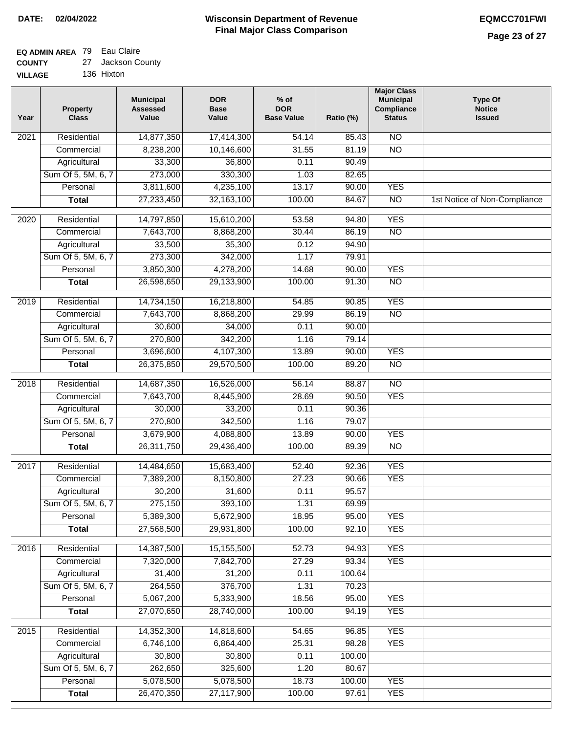┓

### **EQ ADMIN AREA** 79 Eau Claire **COUNTY**

| <b>COUNTY</b>  | 27 Jackson County |
|----------------|-------------------|
| <b>VILLAGE</b> | 136 Hixton        |

| Year             | <b>Property</b><br><b>Class</b> | <b>Municipal</b><br><b>Assessed</b><br>Value | <b>DOR</b><br><b>Base</b><br>Value | $%$ of<br><b>DOR</b><br><b>Base Value</b> | Ratio (%) | <b>Major Class</b><br><b>Municipal</b><br>Compliance<br><b>Status</b> | <b>Type Of</b><br><b>Notice</b><br><b>Issued</b> |
|------------------|---------------------------------|----------------------------------------------|------------------------------------|-------------------------------------------|-----------|-----------------------------------------------------------------------|--------------------------------------------------|
| 2021             | Residential                     | 14,877,350                                   | 17,414,300                         | 54.14                                     | 85.43     | <b>NO</b>                                                             |                                                  |
|                  | Commercial                      | 8,238,200                                    | 10,146,600                         | 31.55                                     | 81.19     | $\overline{NO}$                                                       |                                                  |
|                  | Agricultural                    | 33,300                                       | 36,800                             | 0.11                                      | 90.49     |                                                                       |                                                  |
|                  | Sum Of 5, 5M, 6, 7              | 273,000                                      | 330,300                            | 1.03                                      | 82.65     |                                                                       |                                                  |
|                  | Personal                        | 3,811,600                                    | 4,235,100                          | 13.17                                     | 90.00     | <b>YES</b>                                                            |                                                  |
|                  | <b>Total</b>                    | 27,233,450                                   | 32, 163, 100                       | 100.00                                    | 84.67     | $\overline{NO}$                                                       | 1st Notice of Non-Compliance                     |
| $\frac{1}{2020}$ | Residential                     | 14,797,850                                   | 15,610,200                         | 53.58                                     | 94.80     | <b>YES</b>                                                            |                                                  |
|                  | Commercial                      | 7,643,700                                    | 8,868,200                          | 30.44                                     | 86.19     | $\overline{NO}$                                                       |                                                  |
|                  | Agricultural                    | 33,500                                       | 35,300                             | 0.12                                      | 94.90     |                                                                       |                                                  |
|                  | Sum Of 5, 5M, 6, 7              | 273,300                                      | 342,000                            | 1.17                                      | 79.91     |                                                                       |                                                  |
|                  | Personal                        | 3,850,300                                    | 4,278,200                          | 14.68                                     | 90.00     | <b>YES</b>                                                            |                                                  |
|                  | <b>Total</b>                    | 26,598,650                                   | 29,133,900                         | 100.00                                    | 91.30     | $\overline{NO}$                                                       |                                                  |
|                  |                                 |                                              |                                    |                                           |           |                                                                       |                                                  |
| 2019             | Residential                     | 14,734,150                                   | 16,218,800                         | 54.85                                     | 90.85     | <b>YES</b>                                                            |                                                  |
|                  | Commercial                      | 7,643,700                                    | 8,868,200                          | 29.99                                     | 86.19     | $\overline{NO}$                                                       |                                                  |
|                  | Agricultural                    | 30,600                                       | 34,000                             | 0.11                                      | 90.00     |                                                                       |                                                  |
|                  | Sum Of 5, 5M, 6, 7              | 270,800                                      | 342,200                            | 1.16                                      | 79.14     |                                                                       |                                                  |
|                  | Personal                        | 3,696,600                                    | 4,107,300                          | 13.89                                     | 90.00     | <b>YES</b>                                                            |                                                  |
|                  | <b>Total</b>                    | 26,375,850                                   | 29,570,500                         | 100.00                                    | 89.20     | $\overline{NO}$                                                       |                                                  |
| 2018             | Residential                     | 14,687,350                                   | 16,526,000                         | 56.14                                     | 88.87     | $\overline{NO}$                                                       |                                                  |
|                  | Commercial                      | 7,643,700                                    | 8,445,900                          | 28.69                                     | 90.50     | <b>YES</b>                                                            |                                                  |
|                  | Agricultural                    | 30,000                                       | 33,200                             | 0.11                                      | 90.36     |                                                                       |                                                  |
|                  | Sum Of 5, 5M, 6, 7              | 270,800                                      | 342,500                            | 1.16                                      | 79.07     |                                                                       |                                                  |
|                  | Personal                        | 3,679,900                                    | 4,088,800                          | 13.89                                     | 90.00     | <b>YES</b>                                                            |                                                  |
|                  | <b>Total</b>                    | 26,311,750                                   | 29,436,400                         | 100.00                                    | 89.39     | <b>NO</b>                                                             |                                                  |
| 2017             | Residential                     | 14,484,650                                   | 15,683,400                         | 52.40                                     | 92.36     | <b>YES</b>                                                            |                                                  |
|                  | Commercial                      | 7,389,200                                    | 8,150,800                          | 27.23                                     | 90.66     | <b>YES</b>                                                            |                                                  |
|                  | Agricultural                    | 30,200                                       | 31,600                             | 0.11                                      | 95.57     |                                                                       |                                                  |
|                  | Sum Of 5, 5M, 6, 7              | 275,150                                      | 393,100                            | 1.31                                      | 69.99     |                                                                       |                                                  |
|                  | Personal                        | 5,389,300                                    | 5,672,900                          | 18.95                                     | 95.00     | <b>YES</b>                                                            |                                                  |
|                  | <b>Total</b>                    | 27,568,500                                   | 29,931,800                         | 100.00                                    | 92.10     | <b>YES</b>                                                            |                                                  |
|                  |                                 |                                              |                                    |                                           |           |                                                                       |                                                  |
| 2016             | Residential                     | 14,387,500                                   | 15,155,500                         | 52.73                                     | 94.93     | <b>YES</b>                                                            |                                                  |
|                  | Commercial                      | 7,320,000                                    | 7,842,700                          | 27.29                                     | 93.34     | <b>YES</b>                                                            |                                                  |
|                  | Agricultural                    | 31,400<br>264,550                            | 31,200<br>376,700                  | 0.11                                      | 100.64    |                                                                       |                                                  |
|                  | Sum Of 5, 5M, 6, 7              |                                              |                                    | 1.31                                      | 70.23     |                                                                       |                                                  |
|                  | Personal                        | 5,067,200                                    | 5,333,900                          | 18.56                                     | 95.00     | <b>YES</b>                                                            |                                                  |
|                  | <b>Total</b>                    | 27,070,650                                   | 28,740,000                         | 100.00                                    | 94.19     | <b>YES</b>                                                            |                                                  |
| 2015             | Residential                     | 14,352,300                                   | 14,818,600                         | 54.65                                     | 96.85     | <b>YES</b>                                                            |                                                  |
|                  | Commercial                      | 6,746,100                                    | 6,864,400                          | 25.31                                     | 98.28     | <b>YES</b>                                                            |                                                  |
|                  | Agricultural                    | 30,800                                       | 30,800                             | 0.11                                      | 100.00    |                                                                       |                                                  |
|                  | Sum Of 5, 5M, 6, 7              | 262,650                                      | 325,600                            | 1.20                                      | 80.67     |                                                                       |                                                  |
|                  | Personal                        | 5,078,500                                    | 5,078,500                          | 18.73                                     | 100.00    | <b>YES</b>                                                            |                                                  |
|                  | <b>Total</b>                    | 26,470,350                                   | 27,117,900                         | 100.00                                    | 97.61     | <b>YES</b>                                                            |                                                  |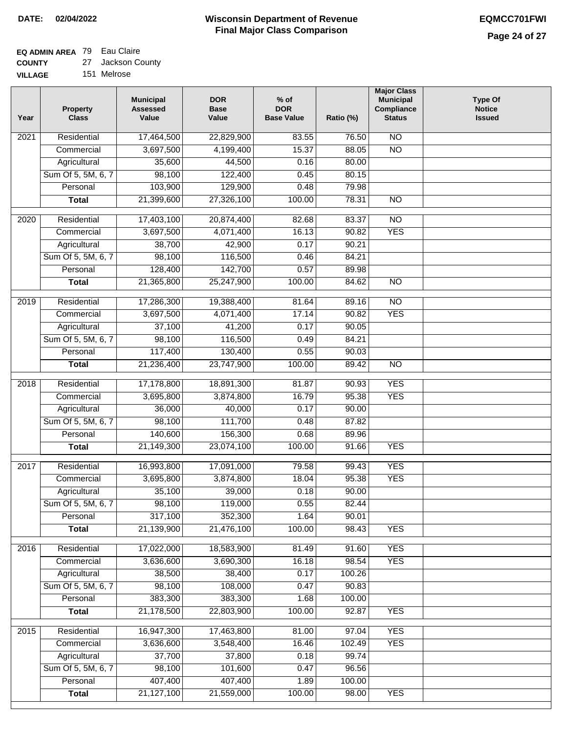# **EQ ADMIN AREA** 79 Eau Claire

**COUNTY** 27 Jackson County

**VILLAGE** 151 Melrose

| Year              | <b>Property</b><br><b>Class</b> | <b>Municipal</b><br><b>Assessed</b><br>Value | <b>DOR</b><br><b>Base</b><br>Value | $%$ of<br><b>DOR</b><br><b>Base Value</b> | Ratio (%) | <b>Major Class</b><br><b>Municipal</b><br>Compliance<br><b>Status</b> | <b>Type Of</b><br><b>Notice</b><br><b>Issued</b> |
|-------------------|---------------------------------|----------------------------------------------|------------------------------------|-------------------------------------------|-----------|-----------------------------------------------------------------------|--------------------------------------------------|
| $\overline{202}1$ | Residential                     | 17,464,500                                   | 22,829,900                         | 83.55                                     | 76.50     | $\overline{NO}$                                                       |                                                  |
|                   | Commercial                      | 3,697,500                                    | 4,199,400                          | 15.37                                     | 88.05     | $\overline{NO}$                                                       |                                                  |
|                   | Agricultural                    | 35,600                                       | 44,500                             | 0.16                                      | 80.00     |                                                                       |                                                  |
|                   | Sum Of 5, 5M, 6, 7              | 98,100                                       | 122,400                            | 0.45                                      | 80.15     |                                                                       |                                                  |
|                   | Personal                        | 103,900                                      | 129,900                            | 0.48                                      | 79.98     |                                                                       |                                                  |
|                   | <b>Total</b>                    | 21,399,600                                   | 27,326,100                         | 100.00                                    | 78.31     | $\overline{NO}$                                                       |                                                  |
| $\overline{2020}$ | Residential                     | 17,403,100                                   | 20,874,400                         | 82.68                                     | 83.37     | $\overline{NO}$                                                       |                                                  |
|                   | Commercial                      | 3,697,500                                    | 4,071,400                          | 16.13                                     | 90.82     | <b>YES</b>                                                            |                                                  |
|                   | Agricultural                    | 38,700                                       | 42,900                             | 0.17                                      | 90.21     |                                                                       |                                                  |
|                   | Sum Of 5, 5M, 6, 7              | 98,100                                       | 116,500                            | 0.46                                      | 84.21     |                                                                       |                                                  |
|                   | Personal                        | 128,400                                      | 142,700                            | 0.57                                      | 89.98     |                                                                       |                                                  |
|                   | <b>Total</b>                    | 21,365,800                                   | 25,247,900                         | 100.00                                    | 84.62     | $\overline{NO}$                                                       |                                                  |
| 2019              | Residential                     | 17,286,300                                   | 19,388,400                         | 81.64                                     | 89.16     | $\overline{10}$                                                       |                                                  |
|                   | Commercial                      | 3,697,500                                    | 4,071,400                          | 17.14                                     | 90.82     | <b>YES</b>                                                            |                                                  |
|                   | Agricultural                    | 37,100                                       | 41,200                             | 0.17                                      | 90.05     |                                                                       |                                                  |
|                   | Sum Of 5, 5M, 6, 7              | 98,100                                       | 116,500                            | 0.49                                      | 84.21     |                                                                       |                                                  |
|                   | Personal                        | 117,400                                      | 130,400                            | 0.55                                      | 90.03     |                                                                       |                                                  |
|                   | <b>Total</b>                    | 21,236,400                                   | 23,747,900                         | 100.00                                    | 89.42     | $\overline{NO}$                                                       |                                                  |
|                   |                                 |                                              |                                    |                                           |           |                                                                       |                                                  |
| 2018              | Residential                     | 17,178,800                                   | 18,891,300                         | 81.87                                     | 90.93     | <b>YES</b>                                                            |                                                  |
|                   | Commercial                      | 3,695,800                                    | 3,874,800                          | 16.79                                     | 95.38     | <b>YES</b>                                                            |                                                  |
|                   | Agricultural                    | 36,000                                       | 40,000                             | 0.17                                      | 90.00     |                                                                       |                                                  |
|                   | Sum Of 5, 5M, 6, 7              | 98,100                                       | 111,700                            | 0.48                                      | 87.82     |                                                                       |                                                  |
|                   | Personal                        | 140,600                                      | 156,300                            | 0.68                                      | 89.96     |                                                                       |                                                  |
|                   | <b>Total</b>                    | 21,149,300                                   | 23,074,100                         | 100.00                                    | 91.66     | <b>YES</b>                                                            |                                                  |
| 2017              | Residential                     | 16,993,800                                   | 17,091,000                         | 79.58                                     | 99.43     | <b>YES</b>                                                            |                                                  |
|                   | Commercial                      | 3,695,800                                    | 3,874,800                          | 18.04                                     | 95.38     | <b>YES</b>                                                            |                                                  |
|                   | Agricultural                    | 35,100                                       | 39,000                             | 0.18                                      | 90.00     |                                                                       |                                                  |
|                   | Sum Of 5, 5M, 6, 7              | 98,100                                       | 119,000                            | 0.55                                      | 82.44     |                                                                       |                                                  |
|                   | Personal                        | 317,100                                      | 352,300                            | 1.64                                      | 90.01     |                                                                       |                                                  |
|                   | <b>Total</b>                    | 21,139,900                                   | 21,476,100                         | 100.00                                    | 98.43     | <b>YES</b>                                                            |                                                  |
| 2016              | Residential                     | 17,022,000                                   | 18,583,900                         | 81.49                                     | 91.60     | <b>YES</b>                                                            |                                                  |
|                   | Commercial                      | 3,636,600                                    | 3,690,300                          | 16.18                                     | 98.54     | <b>YES</b>                                                            |                                                  |
|                   | Agricultural                    | 38,500                                       | 38,400                             | 0.17                                      | 100.26    |                                                                       |                                                  |
|                   | Sum Of 5, 5M, 6, 7              | 98,100                                       | 108,000                            | 0.47                                      | 90.83     |                                                                       |                                                  |
|                   | Personal                        | 383,300                                      | 383,300                            | 1.68                                      | 100.00    |                                                                       |                                                  |
|                   | <b>Total</b>                    | 21,178,500                                   | 22,803,900                         | 100.00                                    | 92.87     | <b>YES</b>                                                            |                                                  |
| 2015              | Residential                     | 16,947,300                                   | 17,463,800                         | 81.00                                     | 97.04     | <b>YES</b>                                                            |                                                  |
|                   | Commercial                      | 3,636,600                                    | 3,548,400                          | 16.46                                     | 102.49    | <b>YES</b>                                                            |                                                  |
|                   | Agricultural                    | 37,700                                       | 37,800                             | 0.18                                      | 99.74     |                                                                       |                                                  |
|                   | Sum Of 5, 5M, 6, 7              | 98,100                                       | 101,600                            | 0.47                                      | 96.56     |                                                                       |                                                  |
|                   | Personal                        | 407,400                                      | 407,400                            | 1.89                                      | 100.00    |                                                                       |                                                  |
|                   | <b>Total</b>                    | 21,127,100                                   | 21,559,000                         | 100.00                                    | 98.00     | <b>YES</b>                                                            |                                                  |
|                   |                                 |                                              |                                    |                                           |           |                                                                       |                                                  |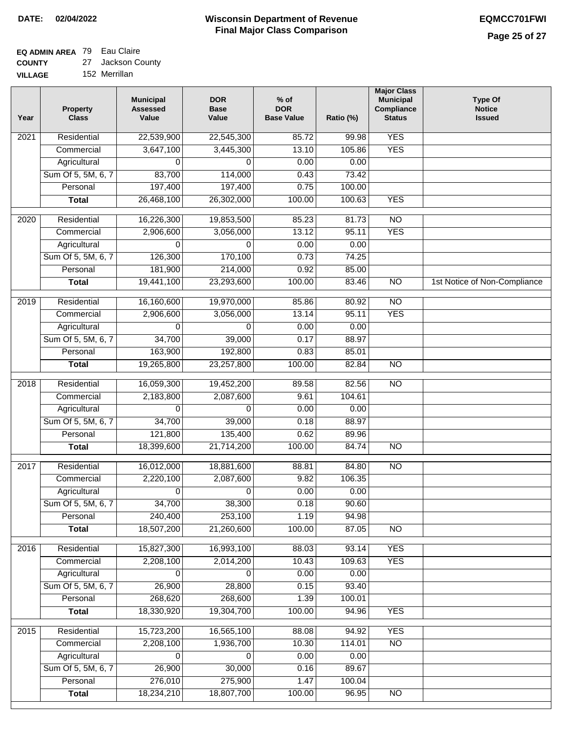# **EQ ADMIN AREA** 79 Eau Claire

**COUNTY** 27 Jackson County

**VILLAGE** 152 Merrillan

| Year              | <b>Property</b><br><b>Class</b> | <b>Municipal</b><br><b>Assessed</b><br>Value | <b>DOR</b><br><b>Base</b><br>Value | % of<br><b>DOR</b><br><b>Base Value</b> | Ratio (%) | <b>Major Class</b><br><b>Municipal</b><br>Compliance<br><b>Status</b> | <b>Type Of</b><br><b>Notice</b><br><b>Issued</b> |
|-------------------|---------------------------------|----------------------------------------------|------------------------------------|-----------------------------------------|-----------|-----------------------------------------------------------------------|--------------------------------------------------|
| $\overline{202}1$ | Residential                     | 22,539,900                                   | 22,545,300                         | 85.72                                   | 99.98     | <b>YES</b>                                                            |                                                  |
|                   | Commercial                      | 3,647,100                                    | 3,445,300                          | 13.10                                   | 105.86    | <b>YES</b>                                                            |                                                  |
|                   | Agricultural                    | 0                                            | 0                                  | 0.00                                    | 0.00      |                                                                       |                                                  |
|                   | Sum Of 5, 5M, 6, 7              | 83,700                                       | 114,000                            | 0.43                                    | 73.42     |                                                                       |                                                  |
|                   | Personal                        | 197,400                                      | 197,400                            | 0.75                                    | 100.00    |                                                                       |                                                  |
|                   | <b>Total</b>                    | 26,468,100                                   | 26,302,000                         | 100.00                                  | 100.63    | <b>YES</b>                                                            |                                                  |
| $\overline{2020}$ | Residential                     | 16,226,300                                   | 19,853,500                         | 85.23                                   | 81.73     | $\overline{NO}$                                                       |                                                  |
|                   | Commercial                      | 2,906,600                                    | 3,056,000                          | 13.12                                   | 95.11     | <b>YES</b>                                                            |                                                  |
|                   | Agricultural                    | 0                                            | 0                                  | 0.00                                    | 0.00      |                                                                       |                                                  |
|                   | Sum Of 5, 5M, 6, 7              | 126,300                                      | 170,100                            | 0.73                                    | 74.25     |                                                                       |                                                  |
|                   | Personal                        | 181,900                                      | 214,000                            | 0.92                                    | 85.00     |                                                                       |                                                  |
|                   | <b>Total</b>                    | 19,441,100                                   | 23,293,600                         | 100.00                                  | 83.46     | $\overline{NO}$                                                       | 1st Notice of Non-Compliance                     |
| 2019              | Residential                     | 16,160,600                                   | 19,970,000                         | 85.86                                   | 80.92     | $\overline{10}$                                                       |                                                  |
|                   | Commercial                      | 2,906,600                                    | 3,056,000                          | 13.14                                   | 95.11     | <b>YES</b>                                                            |                                                  |
|                   | Agricultural                    | 0                                            | 0                                  | 0.00                                    | 0.00      |                                                                       |                                                  |
|                   | Sum Of 5, 5M, 6, 7              | 34,700                                       | 39,000                             | 0.17                                    | 88.97     |                                                                       |                                                  |
|                   | Personal                        | 163,900                                      | 192,800                            | 0.83                                    | 85.01     |                                                                       |                                                  |
|                   | <b>Total</b>                    | 19,265,800                                   | 23,257,800                         | 100.00                                  | 82.84     | $\overline{NO}$                                                       |                                                  |
| 2018              | Residential                     | 16,059,300                                   | 19,452,200                         | 89.58                                   | 82.56     | $\overline{NO}$                                                       |                                                  |
|                   | Commercial                      | 2,183,800                                    | 2,087,600                          | 9.61                                    | 104.61    |                                                                       |                                                  |
|                   | Agricultural                    | 0                                            | 0                                  | 0.00                                    | 0.00      |                                                                       |                                                  |
|                   | Sum Of 5, 5M, 6, 7              | 34,700                                       | 39,000                             | 0.18                                    | 88.97     |                                                                       |                                                  |
|                   | Personal                        | 121,800                                      | 135,400                            | 0.62                                    | 89.96     |                                                                       |                                                  |
|                   | <b>Total</b>                    | 18,399,600                                   | 21,714,200                         | 100.00                                  | 84.74     | <b>NO</b>                                                             |                                                  |
| 2017              | Residential                     | 16,012,000                                   | 18,881,600                         | 88.81                                   | 84.80     | $\overline{NO}$                                                       |                                                  |
|                   | Commercial                      | 2,220,100                                    | 2,087,600                          | 9.82                                    | 106.35    |                                                                       |                                                  |
|                   | Agricultural                    | 0                                            | 0                                  | 0.00                                    | 0.00      |                                                                       |                                                  |
|                   | Sum Of 5, 5M, 6, 7              | 34,700                                       | 38,300                             | 0.18                                    | 90.60     |                                                                       |                                                  |
|                   | Personal                        | 240,400                                      | 253,100                            | 1.19                                    | 94.98     |                                                                       |                                                  |
|                   | <b>Total</b>                    | 18,507,200                                   | 21,260,600                         | 100.00                                  | 87.05     | <b>NO</b>                                                             |                                                  |
| 2016              | Residential                     | 15,827,300                                   | 16,993,100                         | 88.03                                   | 93.14     | <b>YES</b>                                                            |                                                  |
|                   | Commercial                      | 2,208,100                                    | 2,014,200                          | 10.43                                   | 109.63    | <b>YES</b>                                                            |                                                  |
|                   | Agricultural                    | 0                                            | 0                                  | 0.00                                    | 0.00      |                                                                       |                                                  |
|                   | Sum Of 5, 5M, 6, 7              | 26,900                                       | 28,800                             | 0.15                                    | 93.40     |                                                                       |                                                  |
|                   | Personal                        | 268,620                                      | 268,600                            | 1.39                                    | 100.01    |                                                                       |                                                  |
|                   | <b>Total</b>                    | 18,330,920                                   | 19,304,700                         | 100.00                                  | 94.96     | <b>YES</b>                                                            |                                                  |
| 2015              | Residential                     | 15,723,200                                   | 16,565,100                         | 88.08                                   | 94.92     | <b>YES</b>                                                            |                                                  |
|                   | Commercial                      | 2,208,100                                    | 1,936,700                          | 10.30                                   | 114.01    | $\overline{NO}$                                                       |                                                  |
|                   | Agricultural                    | 0                                            | 0                                  | 0.00                                    | 0.00      |                                                                       |                                                  |
|                   | Sum Of 5, 5M, 6, 7              | 26,900                                       | 30,000                             | 0.16                                    | 89.67     |                                                                       |                                                  |
|                   | Personal                        | 276,010                                      | 275,900                            | 1.47                                    | 100.04    |                                                                       |                                                  |
|                   | <b>Total</b>                    | 18,234,210                                   | 18,807,700                         | 100.00                                  | 96.95     | NO                                                                    |                                                  |
|                   |                                 |                                              |                                    |                                         |           |                                                                       |                                                  |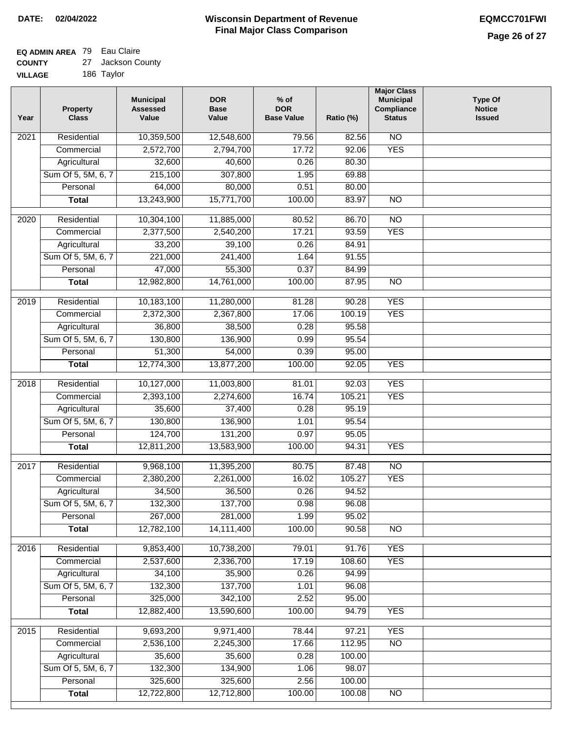### **EQ ADMIN AREA** 79 Eau Claire **COUNTY**

| <b>COUNTY</b>  | 27 Jackson County |
|----------------|-------------------|
| <b>VILLAGE</b> | 186 Taylor        |

| 10,359,500<br>12,548,600<br>$\overline{NO}$<br>Residential<br>79.56<br>82.56<br>2021<br><b>YES</b><br>2,572,700<br>2,794,700<br>17.72<br>Commercial<br>92.06<br>Agricultural<br>32,600<br>40,600<br>0.26<br>80.30<br>Sum Of 5, 5M, 6, 7<br>307,800<br>215,100<br>1.95<br>69.88 |  |
|--------------------------------------------------------------------------------------------------------------------------------------------------------------------------------------------------------------------------------------------------------------------------------|--|
|                                                                                                                                                                                                                                                                                |  |
|                                                                                                                                                                                                                                                                                |  |
|                                                                                                                                                                                                                                                                                |  |
|                                                                                                                                                                                                                                                                                |  |
| 64,000<br>80,000<br>0.51<br>80.00<br>Personal                                                                                                                                                                                                                                  |  |
| 13,243,900<br>15,771,700<br>100.00<br>83.97<br>$\overline{NO}$<br><b>Total</b>                                                                                                                                                                                                 |  |
| Residential<br>10,304,100<br>11,885,000<br>80.52<br>86.70<br>$\overline{10}$<br>2020                                                                                                                                                                                           |  |
| <b>YES</b><br>2,377,500<br>17.21<br>93.59<br>Commercial<br>2,540,200                                                                                                                                                                                                           |  |
| 33,200<br>39,100<br>0.26<br>84.91<br>Agricultural                                                                                                                                                                                                                              |  |
| Sum Of 5, 5M, 6, 7<br>221,000<br>241,400<br>1.64<br>91.55                                                                                                                                                                                                                      |  |
| 55,300<br>Personal<br>47,000<br>0.37<br>84.99                                                                                                                                                                                                                                  |  |
| 14,761,000<br>100.00<br>$\overline{NO}$<br><b>Total</b><br>12,982,800<br>87.95                                                                                                                                                                                                 |  |
| <b>YES</b><br>Residential<br>10,183,100<br>81.28<br>90.28<br>2019<br>11,280,000                                                                                                                                                                                                |  |
| 2,372,300<br><b>YES</b><br>Commercial<br>2,367,800<br>17.06<br>100.19                                                                                                                                                                                                          |  |
| Agricultural<br>38,500<br>0.28<br>95.58<br>36,800                                                                                                                                                                                                                              |  |
| Sum Of 5, 5M, 6, 7<br>136,900<br>130,800<br>0.99<br>95.54                                                                                                                                                                                                                      |  |
| Personal<br>51,300<br>54,000<br>0.39<br>95.00                                                                                                                                                                                                                                  |  |
| 12,774,300<br>13,877,200<br>100.00<br>92.05<br><b>YES</b><br><b>Total</b>                                                                                                                                                                                                      |  |
|                                                                                                                                                                                                                                                                                |  |
| <b>YES</b><br>2018<br>Residential<br>10,127,000<br>11,003,800<br>81.01<br>92.03                                                                                                                                                                                                |  |
| 105.21<br><b>YES</b><br>Commercial<br>2,393,100<br>2,274,600<br>16.74                                                                                                                                                                                                          |  |
| 37,400<br>Agricultural<br>35,600<br>0.28<br>95.19<br>Sum Of 5, 5M, 6, 7<br>130,800<br>136,900<br>95.54<br>1.01                                                                                                                                                                 |  |
| 124,700<br>131,200<br>Personal<br>0.97<br>95.05                                                                                                                                                                                                                                |  |
| <b>YES</b><br><b>Total</b><br>12,811,200<br>13,583,900<br>100.00<br>94.31                                                                                                                                                                                                      |  |
|                                                                                                                                                                                                                                                                                |  |
| N <sub>O</sub><br>2017<br>Residential<br>9,968,100<br>11,395,200<br>80.75<br>87.48                                                                                                                                                                                             |  |
| <b>YES</b><br>2,380,200<br>2,261,000<br>16.02<br>105.27<br>Commercial                                                                                                                                                                                                          |  |
| 36,500<br>0.26<br>Agricultural<br>34,500<br>94.52                                                                                                                                                                                                                              |  |
| Sum Of 5, 5M, 6, 7<br>132,300<br>137,700<br>0.98<br>96.08                                                                                                                                                                                                                      |  |
| 267,000<br>1.99<br>95.02<br>281,000<br>Personal                                                                                                                                                                                                                                |  |
| 12,782,100<br>14, 111, 400<br>100.00<br>90.58<br>$\overline{NO}$<br><b>Total</b>                                                                                                                                                                                               |  |
| <b>YES</b><br>Residential<br>9,853,400<br>10,738,200<br>79.01<br>91.76<br>2016                                                                                                                                                                                                 |  |
| 2,537,600<br>2,336,700<br>17.19<br>108.60<br><b>YES</b><br>Commercial                                                                                                                                                                                                          |  |
| 34,100<br>35,900<br>Agricultural<br>0.26<br>94.99                                                                                                                                                                                                                              |  |
| Sum Of 5, 5M, 6, 7<br>137,700<br>132,300<br>1.01<br>96.08                                                                                                                                                                                                                      |  |
| 325,000<br>342,100<br>2.52<br>95.00<br>Personal                                                                                                                                                                                                                                |  |
| 13,590,600<br>12,882,400<br>100.00<br>94.79<br><b>Total</b><br><b>YES</b>                                                                                                                                                                                                      |  |
| 9,693,200<br>9,971,400<br>78.44<br><b>YES</b><br>2015<br>Residential<br>97.21                                                                                                                                                                                                  |  |
| Commercial<br>2,536,100<br>2,245,300<br>17.66<br>112.95<br>$\overline{NO}$                                                                                                                                                                                                     |  |
| 35,600<br>Agricultural<br>35,600<br>0.28<br>100.00                                                                                                                                                                                                                             |  |
| Sum Of 5, 5M, 6, 7<br>132,300<br>134,900<br>98.07<br>1.06                                                                                                                                                                                                                      |  |
| Personal<br>325,600<br>325,600<br>2.56<br>100.00                                                                                                                                                                                                                               |  |
| 12,712,800<br><b>Total</b><br>12,722,800<br>100.00<br>$\overline{NO}$<br>100.08                                                                                                                                                                                                |  |